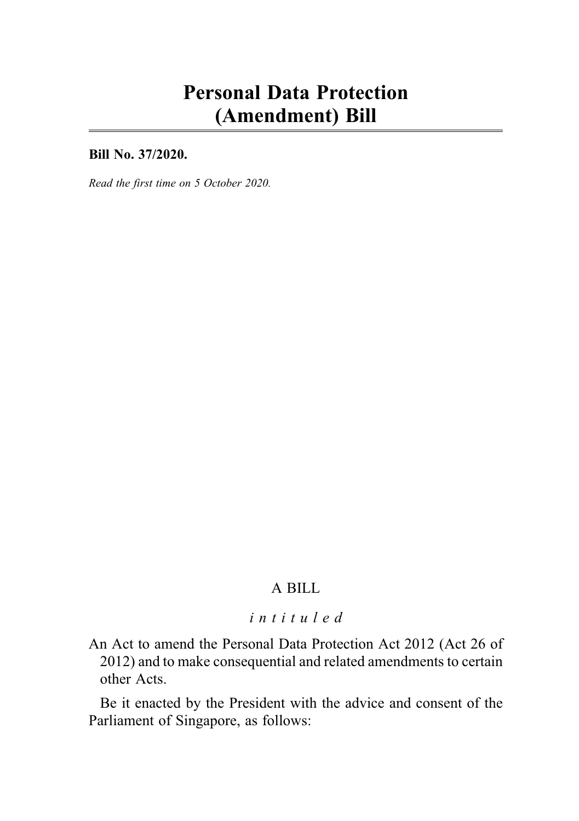# Personal Data Protection (Amendment) Bill

Bill No. 37/2020.

Read the first time on 5 October 2020.

# A BILL

#### intituled

An Act to amend the Personal Data Protection Act 2012 (Act 26 of 2012) and to make consequential and related amendments to certain other Acts.

Be it enacted by the President with the advice and consent of the Parliament of Singapore, as follows: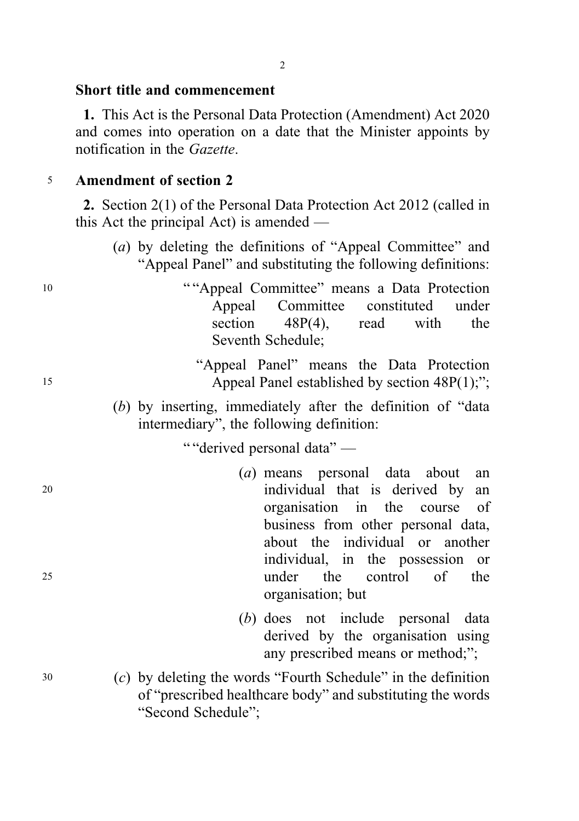### Short title and commencement

1. This Act is the Personal Data Protection (Amendment) Act 2020 and comes into operation on a date that the Minister appoints by notification in the Gazette.

#### <sup>5</sup> Amendment of section 2

2. Section 2(1) of the Personal Data Protection Act 2012 (called in this Act the principal Act) is amended —

- (a) by deleting the definitions of "Appeal Committee" and "Appeal Panel" and substituting the following definitions:
- <sup>10</sup> " "Appeal Committee" means a Data Protection Appeal Committee constituted under section 48P(4), read with the Seventh Schedule;

# "Appeal Panel" means the Data Protection 15 Appeal Panel established by section 48P(1);";

(b) by inserting, immediately after the definition of "data intermediary", the following definition:

" "derived personal data" —

- (a) means personal data about an <sup>20</sup> individual that is derived by an organisation in the course of business from other personal data, about the individual or another individual, in the possession or <sup>25</sup> under the control of the organisation; but
	- (b) does not include personal data derived by the organisation using any prescribed means or method;";
- <sup>30</sup> (c) by deleting the words "Fourth Schedule" in the definition of "prescribed healthcare body" and substituting the words "Second Schedule";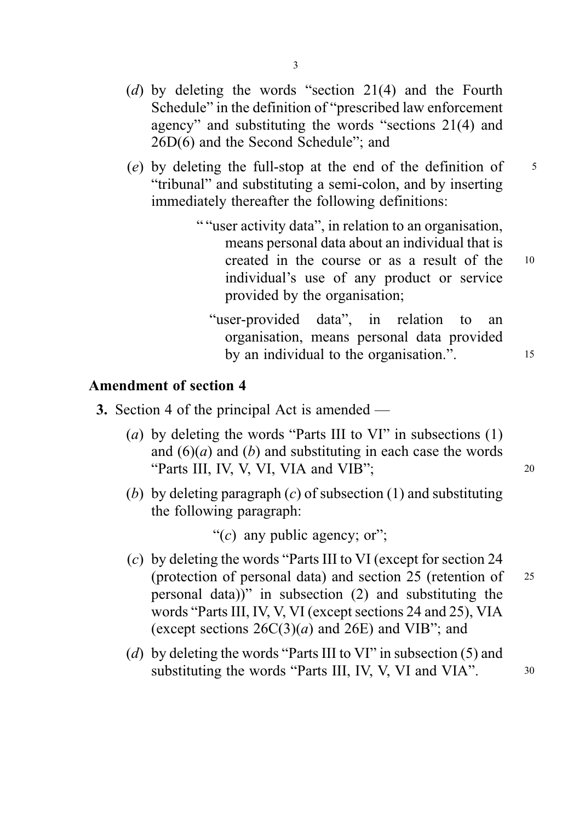- (d) by deleting the words "section 21(4) and the Fourth Schedule" in the definition of "prescribed law enforcement agency" and substituting the words "sections 21(4) and 26D(6) and the Second Schedule"; and
- (e) by deleting the full-stop at the end of the definition of  $\frac{5}{5}$ "tribunal" and substituting a semi-colon, and by inserting immediately thereafter the following definitions:
	- " "user activity data", in relation to an organisation, means personal data about an individual that is created in the course or as a result of the <sup>10</sup> individual's use of any product or service provided by the organisation;
		- "user-provided data", in relation to an organisation, means personal data provided by an individual to the organisation.". 15

#### Amendment of section 4

- 3. Section 4 of the principal Act is amended
	- (a) by deleting the words "Parts III to VI" in subsections  $(1)$ and  $(6)(a)$  and  $(b)$  and substituting in each case the words "Parts III, IV, V, VI, VIA and VIB"; 20
	- (b) by deleting paragraph  $(c)$  of subsection (1) and substituting the following paragraph:

"(c) any public agency; or";

- (c) by deleting the words "Parts III to VI (except for section 24 (protection of personal data) and section 25 (retention of <sup>25</sup> personal data))" in subsection (2) and substituting the words "Parts III, IV, V, VI (except sections 24 and 25), VIA (except sections  $26C(3)(a)$  and  $26E$ ) and VIB"; and
- (d) by deleting the words "Parts III to VI" in subsection (5) and substituting the words "Parts III, IV, V, VI and VIA".  $30$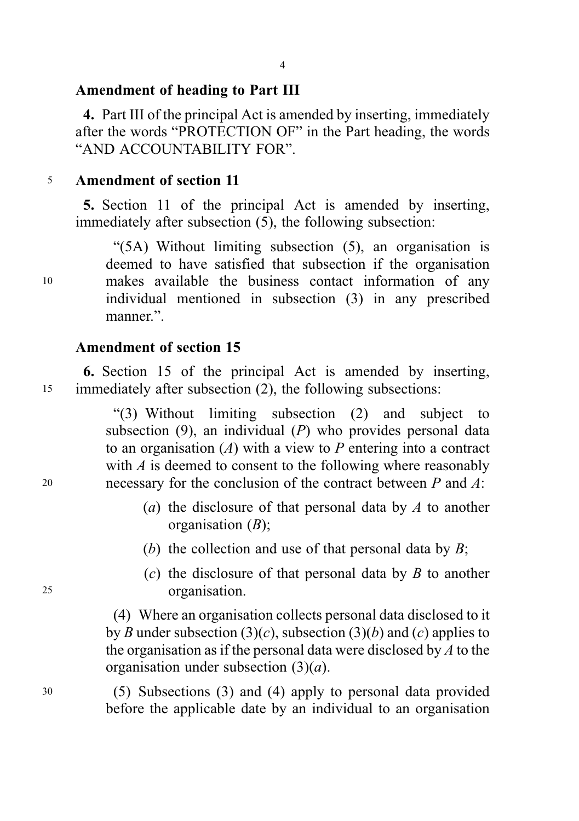# Amendment of heading to Part III

4. Part III of the principal Act is amended by inserting, immediately after the words "PROTECTION OF" in the Part heading, the words "AND ACCOUNTABILITY FOR".

## <sup>5</sup> Amendment of section 11

5. Section 11 of the principal Act is amended by inserting, immediately after subsection (5), the following subsection:

"(5A) Without limiting subsection (5), an organisation is deemed to have satisfied that subsection if the organisation <sup>10</sup> makes available the business contact information of any individual mentioned in subsection (3) in any prescribed manner.".

## Amendment of section 15

6. Section 15 of the principal Act is amended by inserting, <sup>15</sup> immediately after subsection (2), the following subsections:

"(3) Without limiting subsection (2) and subject to subsection  $(9)$ , an individual  $(P)$  who provides personal data to an organisation  $(A)$  with a view to P entering into a contract with  $\vec{A}$  is deemed to consent to the following where reasonably 20 necessary for the conclusion of the contract between  $P$  and  $\ddot{A}$ :

- (a) the disclosure of that personal data by  $\Lambda$  to another organisation  $(B)$ ;
- (b) the collection and use of that personal data by  $B$ ;
- $(c)$  the disclosure of that personal data by B to another <sup>25</sup> organisation.

(4) Where an organisation collects personal data disclosed to it by B under subsection (3)(c), subsection (3)(b) and (c) applies to the organisation as if the personal data were disclosed by  $A$  to the organisation under subsection  $(3)(a)$ .

<sup>30</sup> (5) Subsections (3) and (4) apply to personal data provided before the applicable date by an individual to an organisation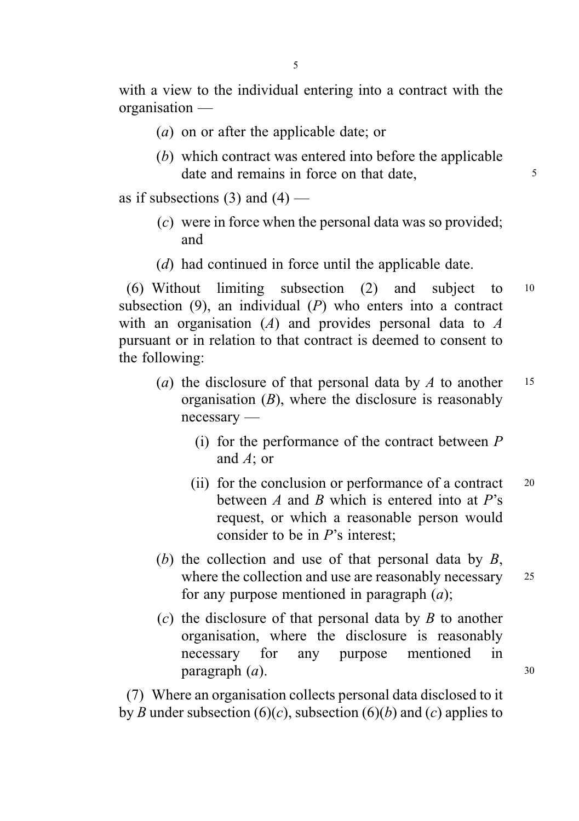with a view to the individual entering into a contract with the organisation —

- (a) on or after the applicable date; or
- (b) which contract was entered into before the applicable date and remains in force on that date,

as if subsections  $(3)$  and  $(4)$  —

- (c) were in force when the personal data was so provided; and
- (d) had continued in force until the applicable date.

(6) Without limiting subsection (2) and subject to <sup>10</sup> subsection  $(9)$ , an individual  $(P)$  who enters into a contract with an organisation  $(A)$  and provides personal data to  $A$ pursuant or in relation to that contract is deemed to consent to the following:

- (a) the disclosure of that personal data by  $\Lambda$  to another 15 organisation  $(B)$ , where the disclosure is reasonably necessary —
	- (i) for the performance of the contract between  $P$ and A; or
	- (ii) for the conclusion or performance of a contract 20 between  $\vec{A}$  and  $\vec{B}$  which is entered into at  $\vec{P}$ 's request, or which a reasonable person would consider to be in P's interest;
- (b) the collection and use of that personal data by  $B$ , where the collection and use are reasonably necessary 25 for any purpose mentioned in paragraph  $(a)$ ;
- $(c)$  the disclosure of that personal data by B to another organisation, where the disclosure is reasonably necessary for any purpose mentioned in  $\mathbf{p}$ aragraph  $(a)$ . 30

(7) Where an organisation collects personal data disclosed to it by B under subsection (6)(c), subsection (6)(b) and (c) applies to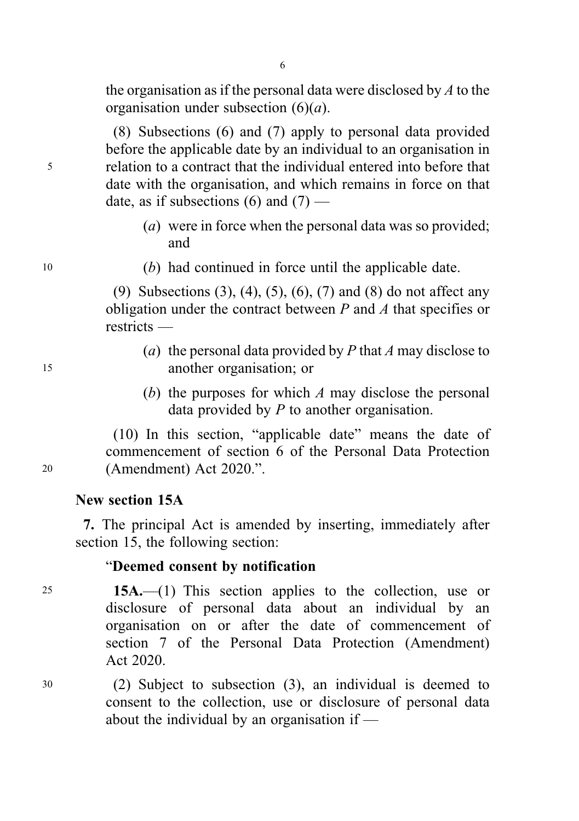the organisation as if the personal data were disclosed by  $A$  to the organisation under subsection  $(6)(a)$ .

(8) Subsections (6) and (7) apply to personal data provided before the applicable date by an individual to an organisation in <sup>5</sup> relation to a contract that the individual entered into before that date with the organisation, and which remains in force on that date, as if subsections  $(6)$  and  $(7)$  —

- (a) were in force when the personal data was so provided; and
- <sup>10</sup> (b) had continued in force until the applicable date.

(9) Subsections (3), (4), (5), (6), (7) and (8) do not affect any obligation under the contract between  $P$  and  $\Lambda$  that specifies or restricts —

- (a) the personal data provided by P that A may disclose to <sup>15</sup> another organisation; or
	- (b) the purposes for which  $A$  may disclose the personal data provided by  $P$  to another organisation.

(10) In this section, "applicable date" means the date of commencement of section 6 of the Personal Data Protection <sup>20</sup> (Amendment) Act 2020.".

# New section 15A

7. The principal Act is amended by inserting, immediately after section 15, the following section:

#### "Deemed consent by notification

<sup>25</sup> 15A.—(1) This section applies to the collection, use or disclosure of personal data about an individual by an organisation on or after the date of commencement of section 7 of the Personal Data Protection (Amendment) Act 2020.

<sup>30</sup> (2) Subject to subsection (3), an individual is deemed to consent to the collection, use or disclosure of personal data about the individual by an organisation if —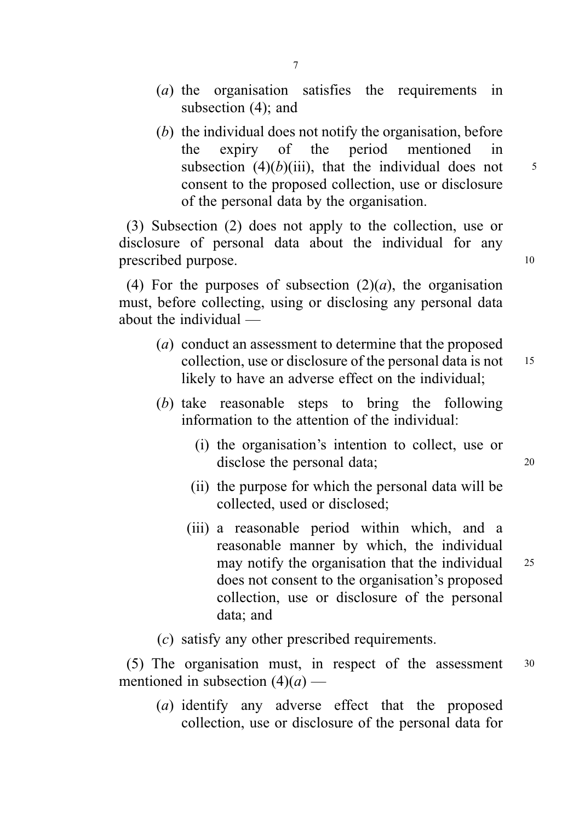- (a) the organisation satisfies the requirements in subsection (4); and
- (b) the individual does not notify the organisation, before the expiry of the period mentioned in subsection  $(4)(b)(iii)$ , that the individual does not  $5$ consent to the proposed collection, use or disclosure of the personal data by the organisation.

(3) Subsection (2) does not apply to the collection, use or disclosure of personal data about the individual for any prescribed purpose. 10

(4) For the purposes of subsection  $(2)(a)$ , the organisation must, before collecting, using or disclosing any personal data about the individual —

- (a) conduct an assessment to determine that the proposed collection, use or disclosure of the personal data is not 15 likely to have an adverse effect on the individual;
- (b) take reasonable steps to bring the following information to the attention of the individual:
	- (i) the organisation's intention to collect, use or disclose the personal data; 20
	- (ii) the purpose for which the personal data will be collected, used or disclosed;
	- (iii) a reasonable period within which, and a reasonable manner by which, the individual may notify the organisation that the individual 25 does not consent to the organisation's proposed collection, use or disclosure of the personal data; and
- (c) satisfy any other prescribed requirements.

(5) The organisation must, in respect of the assessment <sup>30</sup> mentioned in subsection  $(4)(a)$  —

(a) identify any adverse effect that the proposed collection, use or disclosure of the personal data for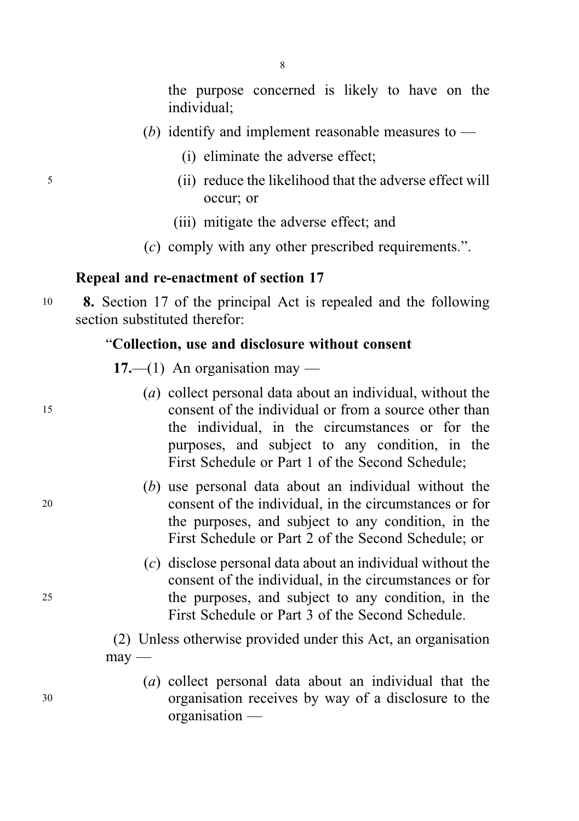the purpose concerned is likely to have on the individual;

- (b) identify and implement reasonable measures to  $-$ 
	- (i) eliminate the adverse effect;
- <sup>5</sup> (ii) reduce the likelihood that the adverse effect will occur; or
	- (iii) mitigate the adverse effect; and
	- (c) comply with any other prescribed requirements.".

#### Repeal and re-enactment of section 17

<sup>10</sup> 8. Section 17 of the principal Act is repealed and the following section substituted therefor:

#### "Collection, use and disclosure without consent

 $17$ —(1) An organisation may —

- (a) collect personal data about an individual, without the <sup>15</sup> consent of the individual or from a source other than the individual, in the circumstances or for the purposes, and subject to any condition, in the First Schedule or Part 1 of the Second Schedule;
- (b) use personal data about an individual without the <sup>20</sup> consent of the individual, in the circumstances or for the purposes, and subject to any condition, in the First Schedule or Part 2 of the Second Schedule; or
- (c) disclose personal data about an individual without the consent of the individual, in the circumstances or for <sup>25</sup> the purposes, and subject to any condition, in the First Schedule or Part 3 of the Second Schedule.

(2) Unless otherwise provided under this Act, an organisation  $may -$ 

(a) collect personal data about an individual that the <sup>30</sup> organisation receives by way of a disclosure to the organisation —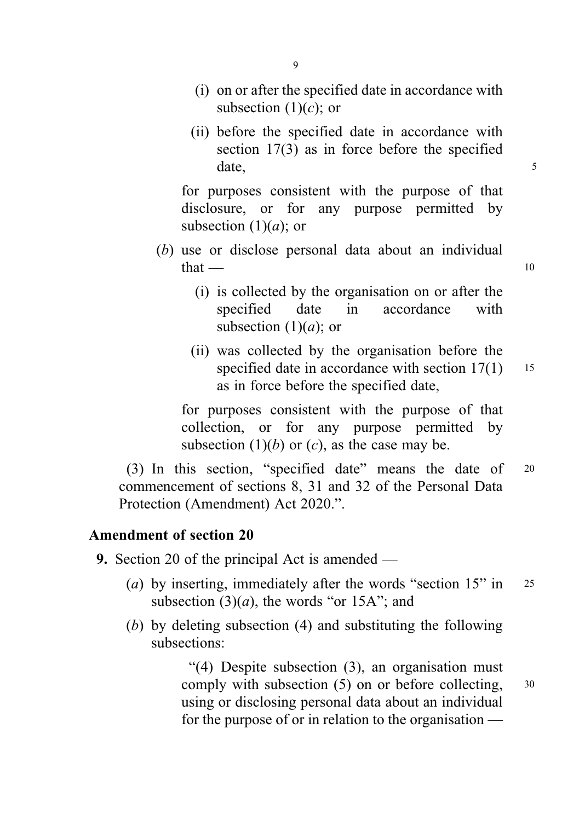- (i) on or after the specified date in accordance with subsection  $(1)(c)$ ; or
- (ii) before the specified date in accordance with section 17(3) as in force before the specified date, 5

for purposes consistent with the purpose of that disclosure, or for any purpose permitted by subsection  $(1)(a)$ ; or

- (b) use or disclose personal data about an individual  $that$  — 10
	- (i) is collected by the organisation on or after the specified date in accordance with subsection  $(1)(a)$ ; or
	- (ii) was collected by the organisation before the specified date in accordance with section  $17(1)$  15 as in force before the specified date,

for purposes consistent with the purpose of that collection, or for any purpose permitted by subsection  $(1)(b)$  or  $(c)$ , as the case may be.

(3) In this section, "specified date" means the date of <sup>20</sup> commencement of sections 8, 31 and 32 of the Personal Data Protection (Amendment) Act 2020.".

## Amendment of section 20

- 9. Section 20 of the principal Act is amended
	- (a) by inserting, immediately after the words "section  $15$ " in 25 subsection  $(3)(a)$ , the words "or 15A"; and
	- (b) by deleting subsection (4) and substituting the following subsections:

"(4) Despite subsection (3), an organisation must comply with subsection (5) on or before collecting, <sup>30</sup> using or disclosing personal data about an individual for the purpose of or in relation to the organisation —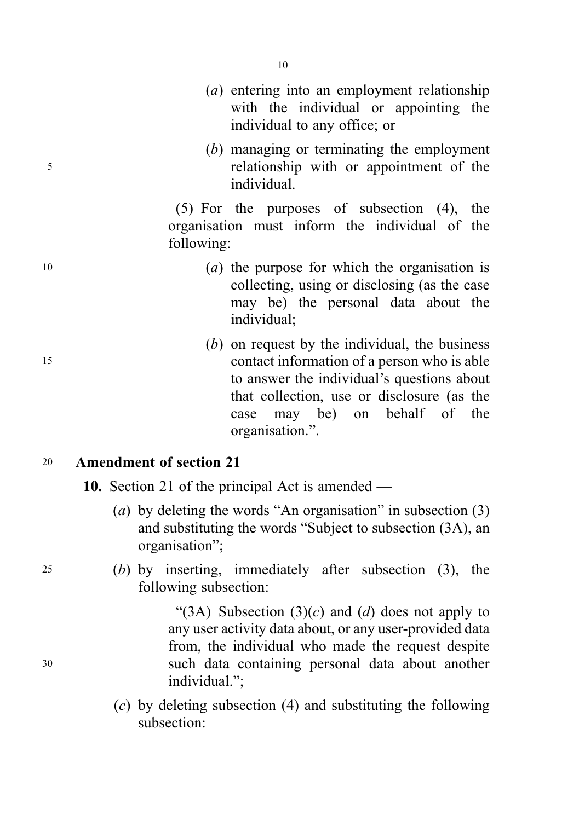- (a) entering into an employment relationship with the individual or appointing the individual to any office; or
- (b) managing or terminating the employment <sup>5</sup> relationship with or appointment of the individual.

(5) For the purposes of subsection (4), the organisation must inform the individual of the following:

- $(a)$  the purpose for which the organisation is collecting, using or disclosing (as the case may be) the personal data about the individual;
- $(b)$  on request by the individual, the business <sup>15</sup> contact information of a person who is able to answer the individual's questions about that collection, use or disclosure (as the case may be) on behalf of the organisation.".

#### <sup>20</sup> Amendment of section 21

- 10. Section 21 of the principal Act is amended
	- (a) by deleting the words "An organisation" in subsection (3) and substituting the words "Subject to subsection (3A), an organisation";
- <sup>25</sup> (b) by inserting, immediately after subsection (3), the following subsection:

"(3A) Subsection  $(3)(c)$  and  $(d)$  does not apply to any user activity data about, or any user-provided data from, the individual who made the request despite <sup>30</sup> such data containing personal data about another individual.";

> (c) by deleting subsection (4) and substituting the following subsection: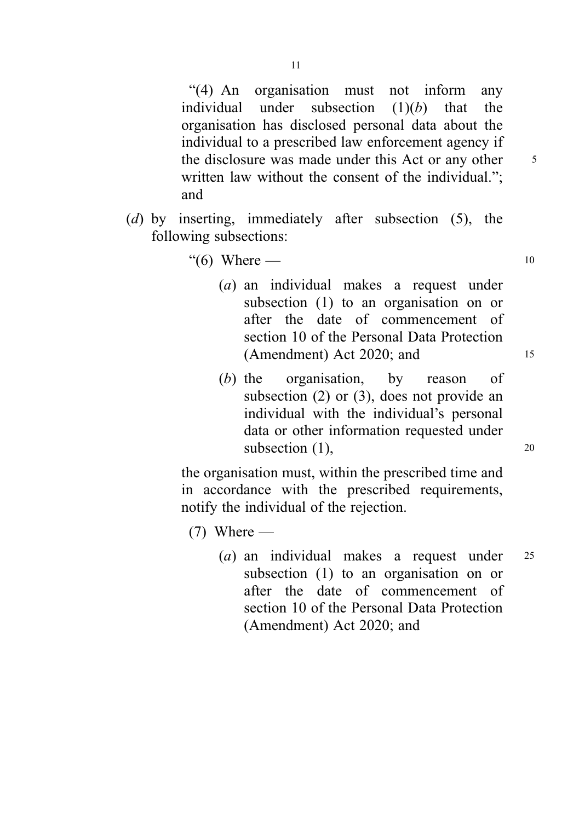"(4) An organisation must not inform any individual under subsection  $(1)(b)$  that the organisation has disclosed personal data about the individual to a prescribed law enforcement agency if the disclosure was made under this Act or any other <sup>5</sup> written law without the consent of the individual."; and

- (d) by inserting, immediately after subsection (5), the following subsections:
	- "(6) Where  $-$  10
		- (a) an individual makes a request under subsection (1) to an organisation on or after the date of commencement of section 10 of the Personal Data Protection (Amendment) Act 2020; and <sup>15</sup>
		- (b) the organisation, by reason of subsection (2) or (3), does not provide an individual with the individual's personal data or other information requested under subsection  $(1)$ , 20

the organisation must, within the prescribed time and in accordance with the prescribed requirements, notify the individual of the rejection.

 $(7)$  Where —

(a) an individual makes a request under <sup>25</sup> subsection (1) to an organisation on or after the date of commencement of section 10 of the Personal Data Protection (Amendment) Act 2020; and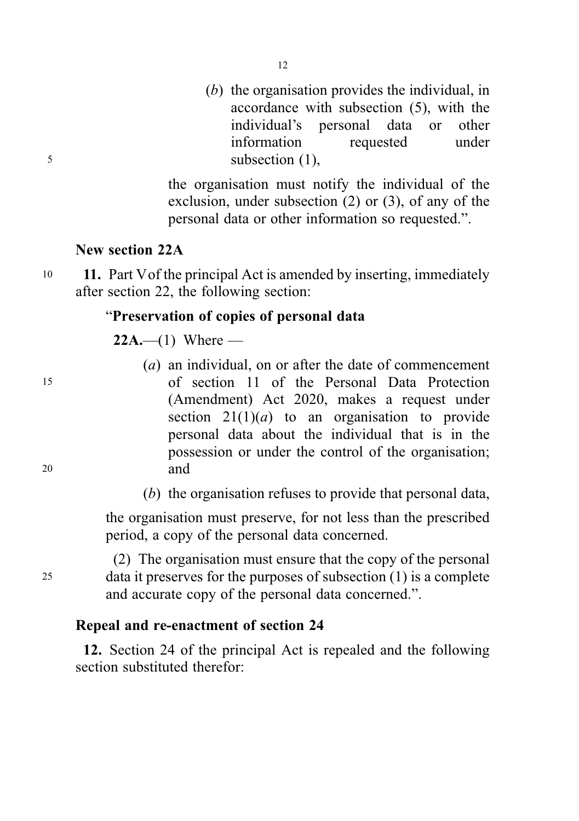(b) the organisation provides the individual, in accordance with subsection (5), with the individual's personal data or other information requested under <sup>5</sup> subsection (1),

> the organisation must notify the individual of the exclusion, under subsection (2) or (3), of any of the personal data or other information so requested.".

#### New section 22A

10 11. Part V of the principal Act is amended by inserting, immediately after section 22, the following section:

# "Preservation of copies of personal data

**22A.**—(1) Where —

- (a) an individual, on or after the date of commencement <sup>15</sup> of section 11 of the Personal Data Protection (Amendment) Act 2020, makes a request under section  $21(1)(a)$  to an organisation to provide personal data about the individual that is in the possession or under the control of the organisation; <sup>20</sup> and
	- (b) the organisation refuses to provide that personal data,

the organisation must preserve, for not less than the prescribed period, a copy of the personal data concerned.

(2) The organisation must ensure that the copy of the personal <sup>25</sup> data it preserves for the purposes of subsection (1) is a complete and accurate copy of the personal data concerned.".

#### Repeal and re-enactment of section 24

12. Section 24 of the principal Act is repealed and the following section substituted therefor: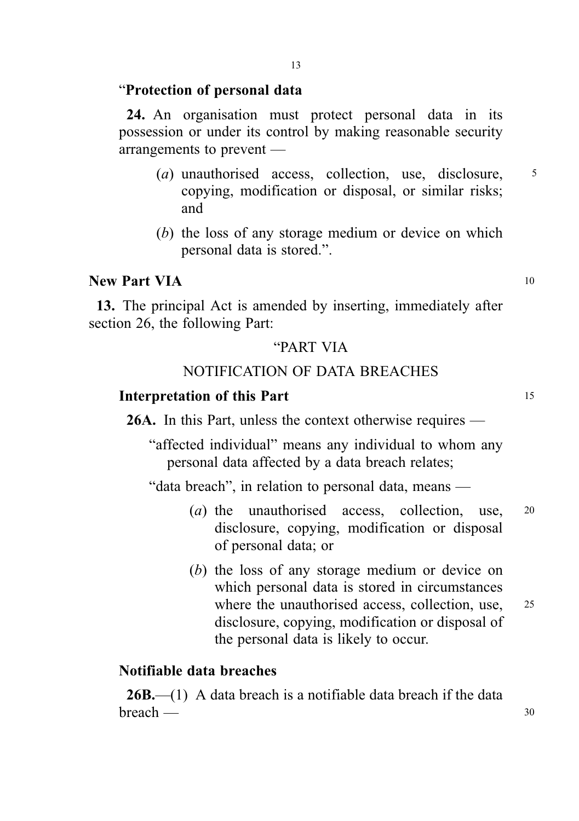#### "Protection of personal data

24. An organisation must protect personal data in its possession or under its control by making reasonable security arrangements to prevent —

- (a) unauthorised access, collection, use, disclosure. 5 copying, modification or disposal, or similar risks; and
- (b) the loss of any storage medium or device on which personal data is stored.".

#### New Part VIA 10

13. The principal Act is amended by inserting, immediately after section 26, the following Part:

# "PART VIA

# NOTIFICATION OF DATA BREACHES

#### Interpretation of this Part 15

26A. In this Part, unless the context otherwise requires —

"affected individual" means any individual to whom any personal data affected by a data breach relates;

"data breach", in relation to personal data, means —

- (*a*) the unauthorised access, collection, use, 20 disclosure, copying, modification or disposal of personal data; or
- (b) the loss of any storage medium or device on which personal data is stored in circumstances where the unauthorised access, collection, use, 25 disclosure, copying, modification or disposal of the personal data is likely to occur.

#### Notifiable data breaches

**26B.**—(1) A data breach is a notifiable data breach if the data  $\mathsf{break}\longrightarrow$  30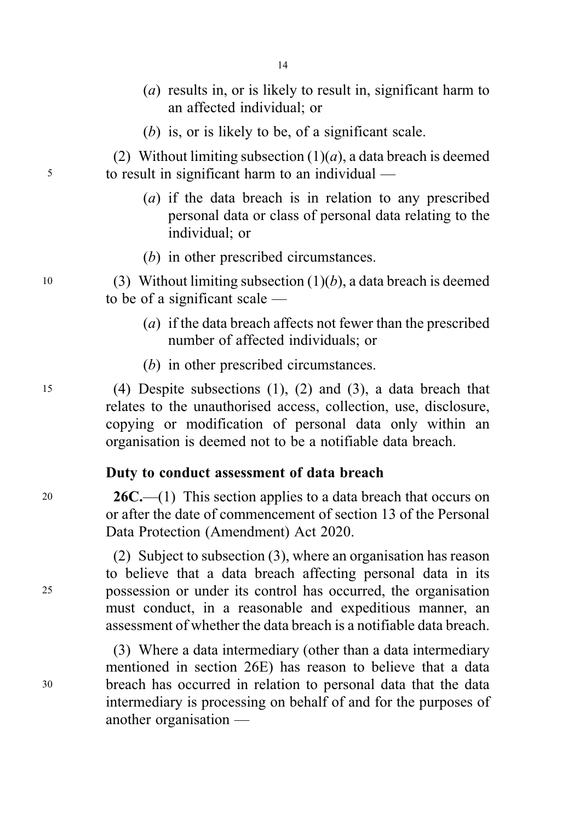- (a) results in, or is likely to result in, significant harm to an affected individual; or
- (b) is, or is likely to be, of a significant scale.

(2) Without limiting subsection  $(1)(a)$ , a data breach is deemed <sup>5</sup> to result in significant harm to an individual —

- (a) if the data breach is in relation to any prescribed personal data or class of personal data relating to the individual; or
- (b) in other prescribed circumstances.

10 (3) Without limiting subsection  $(1)(b)$ , a data breach is deemed to be of a significant scale —

- (a) if the data breach affects not fewer than the prescribed number of affected individuals; or
- (b) in other prescribed circumstances.

<sup>15</sup> (4) Despite subsections (1), (2) and (3), a data breach that relates to the unauthorised access, collection, use, disclosure, copying or modification of personal data only within an organisation is deemed not to be a notifiable data breach.

#### Duty to conduct assessment of data breach

 $26C - (1)$  This section applies to a data breach that occurs on or after the date of commencement of section 13 of the Personal Data Protection (Amendment) Act 2020.

(2) Subject to subsection (3), where an organisation has reason to believe that a data breach affecting personal data in its <sup>25</sup> possession or under its control has occurred, the organisation must conduct, in a reasonable and expeditious manner, an assessment of whether the data breach is a notifiable data breach.

(3) Where a data intermediary (other than a data intermediary mentioned in section 26E) has reason to believe that a data <sup>30</sup> breach has occurred in relation to personal data that the data intermediary is processing on behalf of and for the purposes of another organisation —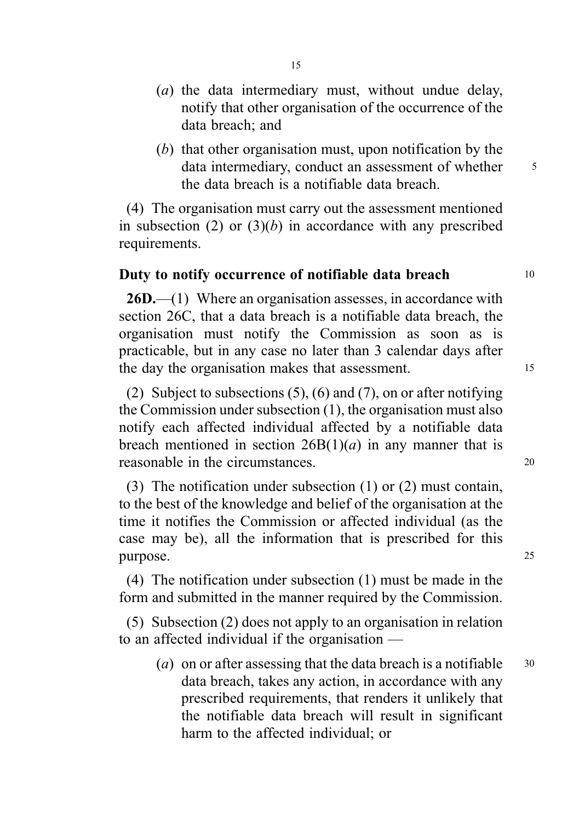- (a) the data intermediary must, without undue delay, notify that other organisation of the occurrence of the data breach; and
- (b) that other organisation must, upon notification by the data intermediary, conduct an assessment of whether  $\frac{5}{5}$ the data breach is a notifiable data breach.

(4) The organisation must carry out the assessment mentioned in subsection (2) or  $(3)(b)$  in accordance with any prescribed requirements.

## Duty to notify occurrence of notifiable data breach 10

26D.—(1) Where an organisation assesses, in accordance with section 26C, that a data breach is a notifiable data breach, the organisation must notify the Commission as soon as is practicable, but in any case no later than 3 calendar days after the day the organisation makes that assessment. 15

(2) Subject to subsections (5), (6) and (7), on or after notifying the Commission under subsection (1), the organisation must also notify each affected individual affected by a notifiable data breach mentioned in section  $26B(1)(a)$  in any manner that is reasonable in the circumstances 20

(3) The notification under subsection (1) or (2) must contain, to the best of the knowledge and belief of the organisation at the time it notifies the Commission or affected individual (as the case may be), all the information that is prescribed for this purpose. 25

(4) The notification under subsection (1) must be made in the form and submitted in the manner required by the Commission.

(5) Subsection (2) does not apply to an organisation in relation to an affected individual if the organisation —

(a) on or after assessing that the data breach is a notifiable  $30$ data breach, takes any action, in accordance with any prescribed requirements, that renders it unlikely that the notifiable data breach will result in significant harm to the affected individual; or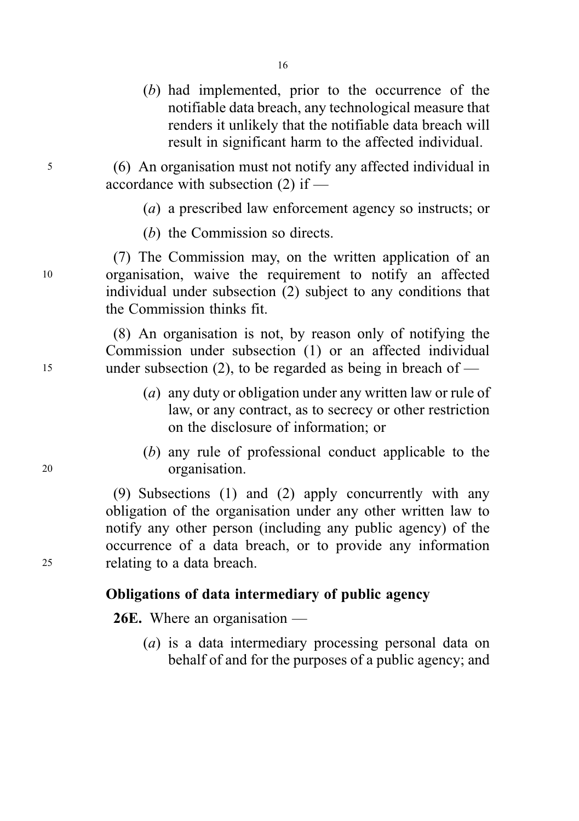(b) had implemented, prior to the occurrence of the notifiable data breach, any technological measure that renders it unlikely that the notifiable data breach will result in significant harm to the affected individual.

<sup>5</sup> (6) An organisation must not notify any affected individual in accordance with subsection (2) if —

16

- (a) a prescribed law enforcement agency so instructs; or
- (b) the Commission so directs.

(7) The Commission may, on the written application of an <sup>10</sup> organisation, waive the requirement to notify an affected individual under subsection (2) subject to any conditions that the Commission thinks fit.

(8) An organisation is not, by reason only of notifying the Commission under subsection (1) or an affected individual <sup>15</sup> under subsection (2), to be regarded as being in breach of —

- (a) any duty or obligation under any written law or rule of law, or any contract, as to secrecy or other restriction on the disclosure of information; or
- (b) any rule of professional conduct applicable to the <sup>20</sup> organisation.

(9) Subsections (1) and (2) apply concurrently with any obligation of the organisation under any other written law to notify any other person (including any public agency) of the occurrence of a data breach, or to provide any information <sup>25</sup> relating to a data breach.

# Obligations of data intermediary of public agency

26E. Where an organisation —

(a) is a data intermediary processing personal data on behalf of and for the purposes of a public agency; and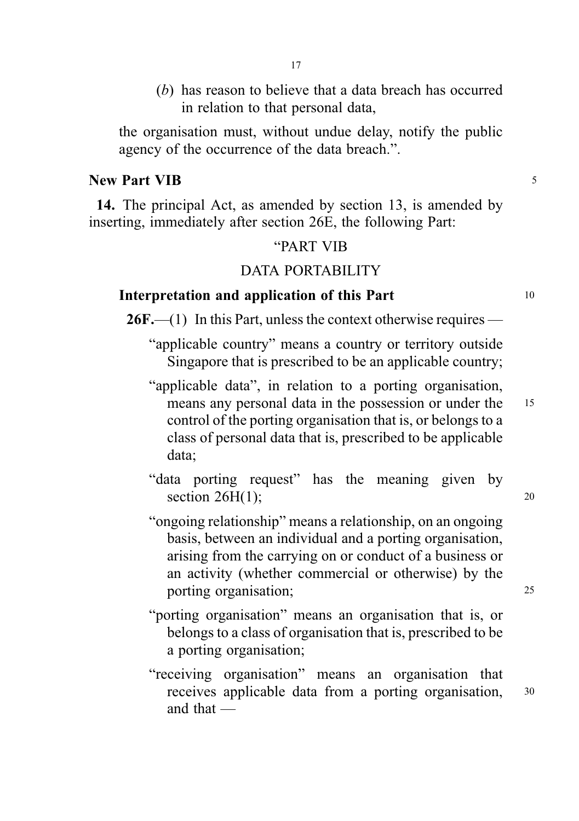- 17
- (b) has reason to believe that a data breach has occurred in relation to that personal data,

the organisation must, without undue delay, notify the public agency of the occurrence of the data breach.".

#### New Part VIB 5

14. The principal Act, as amended by section 13, is amended by inserting, immediately after section 26E, the following Part:

#### "PART VIB

#### DATA PORTABILITY

#### Interpretation and application of this Part 10

 $26F$ .—(1) In this Part, unless the context otherwise requires —

- "applicable country" means a country or territory outside Singapore that is prescribed to be an applicable country;
- "applicable data", in relation to a porting organisation, means any personal data in the possession or under the 15 control of the porting organisation that is, or belongs to a class of personal data that is, prescribed to be applicable data;
- "data porting request" has the meaning given by section  $26H(1)$ ; 20
- "ongoing relationship" means a relationship, on an ongoing basis, between an individual and a porting organisation, arising from the carrying on or conduct of a business or an activity (whether commercial or otherwise) by the porting organisation; 25
- "porting organisation" means an organisation that is, or belongs to a class of organisation that is, prescribed to be a porting organisation;
- "receiving organisation" means an organisation that receives applicable data from a porting organisation, <sup>30</sup> and that —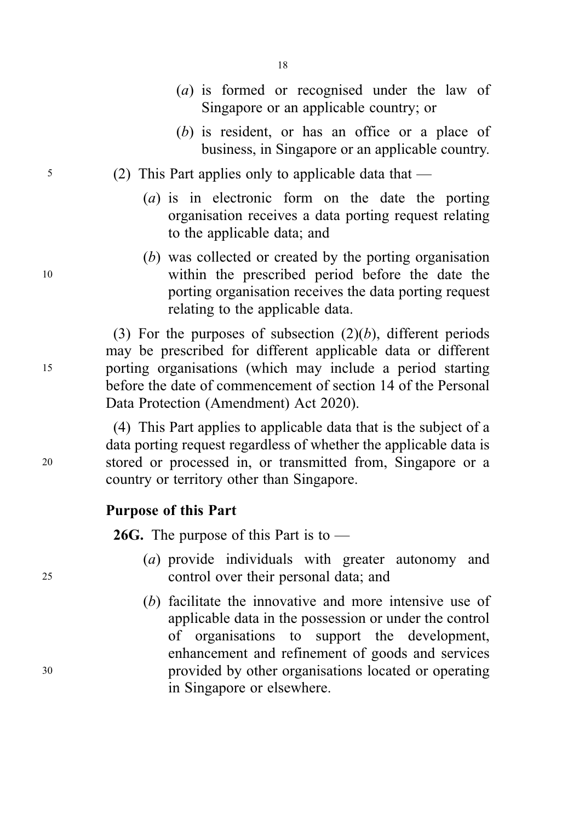|    | $(b)$ is resident, or has an office or a place of<br>business, in Singapore or an applicable country.                                                                                                                                                                                                    |
|----|----------------------------------------------------------------------------------------------------------------------------------------------------------------------------------------------------------------------------------------------------------------------------------------------------------|
| 5  | (2) This Part applies only to applicable data that $-$                                                                                                                                                                                                                                                   |
|    | (a) is in electronic form on the date the porting<br>organisation receives a data porting request relating<br>to the applicable data; and                                                                                                                                                                |
| 10 | (b) was collected or created by the porting organisation<br>within the prescribed period before the date the<br>porting organisation receives the data porting request<br>relating to the applicable data.                                                                                               |
| 15 | (3) For the purposes of subsection $(2)(b)$ , different periods<br>may be prescribed for different applicable data or different<br>porting organisations (which may include a period starting<br>before the date of commencement of section 14 of the Personal<br>Data Protection (Amendment) Act 2020). |

(4) This Part applies to applicable data that is the subject of a data porting request regardless of whether the applicable data is <sup>20</sup> stored or processed in, or transmitted from, Singapore or a country or territory other than Singapore.

# Purpose of this Part

**26G.** The purpose of this Part is to  $-$ 

- (a) provide individuals with greater autonomy and <sup>25</sup> control over their personal data; and
- (b) facilitate the innovative and more intensive use of applicable data in the possession or under the control of organisations to support the development, enhancement and refinement of goods and services <sup>30</sup> provided by other organisations located or operating in Singapore or elsewhere.

18

(a) is formed or recognised under the law of Singapore or an applicable country; or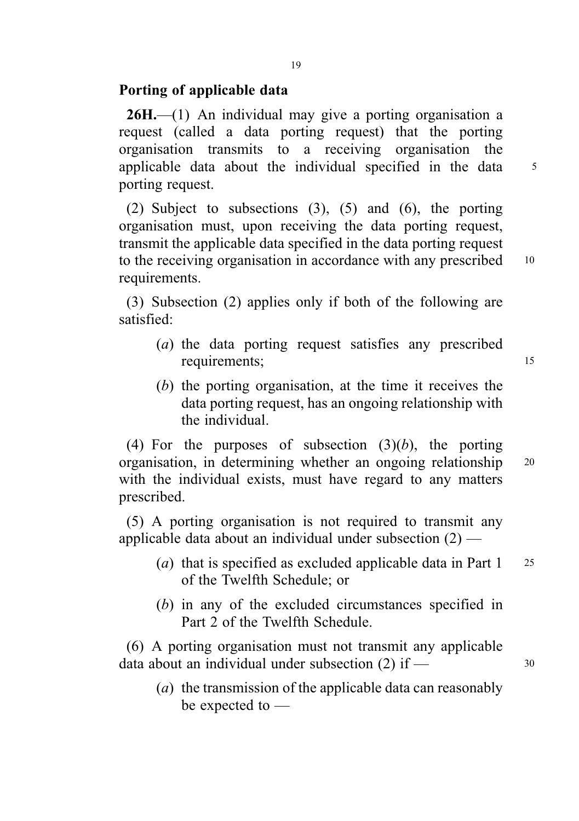# Porting of applicable data

 $26H$ ,  $-$ (1) An individual may give a porting organisation a request (called a data porting request) that the porting organisation transmits to a receiving organisation the applicable data about the individual specified in the data 5 porting request.

(2) Subject to subsections (3), (5) and (6), the porting organisation must, upon receiving the data porting request, transmit the applicable data specified in the data porting request to the receiving organisation in accordance with any prescribed 10 requirements.

(3) Subsection (2) applies only if both of the following are satisfied:

- (a) the data porting request satisfies any prescribed requirements; 15
- (b) the porting organisation, at the time it receives the data porting request, has an ongoing relationship with the individual.

(4) For the purposes of subsection  $(3)(b)$ , the porting organisation, in determining whether an ongoing relationship <sup>20</sup> with the individual exists, must have regard to any matters prescribed.

(5) A porting organisation is not required to transmit any applicable data about an individual under subsection (2) —

- (a) that is specified as excluded applicable data in Part  $1 \quad 25$ of the Twelfth Schedule; or
- (b) in any of the excluded circumstances specified in Part 2 of the Twelfth Schedule.

(6) A porting organisation must not transmit any applicable data about an individual under subsection  $(2)$  if —  $30$ 

(a) the transmission of the applicable data can reasonably be expected to —

19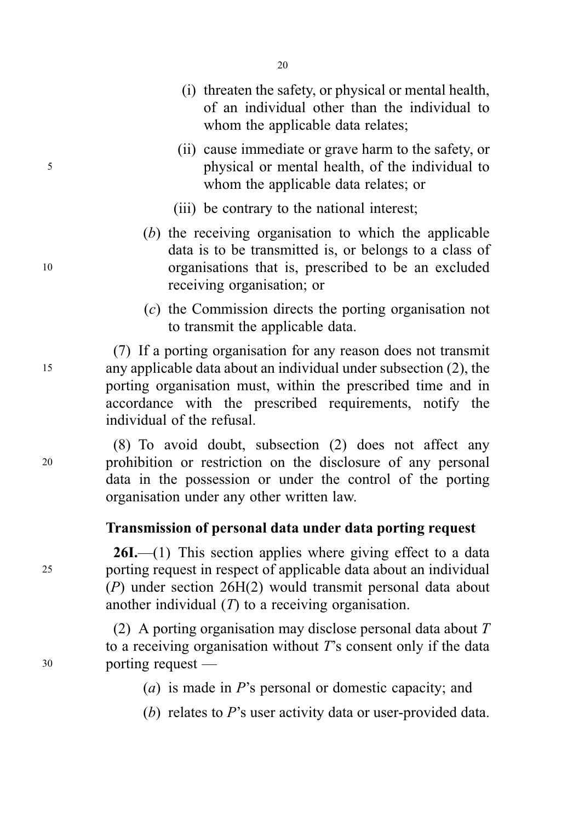- (i) threaten the safety, or physical or mental health, of an individual other than the individual to whom the applicable data relates;
- (ii) cause immediate or grave harm to the safety, or <sup>5</sup> physical or mental health, of the individual to whom the applicable data relates; or
	- (iii) be contrary to the national interest;
- (b) the receiving organisation to which the applicable data is to be transmitted is, or belongs to a class of <sup>10</sup> organisations that is, prescribed to be an excluded receiving organisation; or
	- (c) the Commission directs the porting organisation not to transmit the applicable data.

(7) If a porting organisation for any reason does not transmit <sup>15</sup> any applicable data about an individual under subsection (2), the porting organisation must, within the prescribed time and in accordance with the prescribed requirements, notify the individual of the refusal.

(8) To avoid doubt, subsection (2) does not affect any <sup>20</sup> prohibition or restriction on the disclosure of any personal data in the possession or under the control of the porting organisation under any other written law.

# Transmission of personal data under data porting request

 $26I$ .—(1) This section applies where giving effect to a data <sup>25</sup> porting request in respect of applicable data about an individual (P) under section 26H(2) would transmit personal data about another individual  $(T)$  to a receiving organisation.

(2) A porting organisation may disclose personal data about  $T$ to a receiving organisation without  $T$ 's consent only if the data <sup>30</sup> porting request —

- (a) is made in P's personal or domestic capacity; and
- (b) relates to P's user activity data or user-provided data.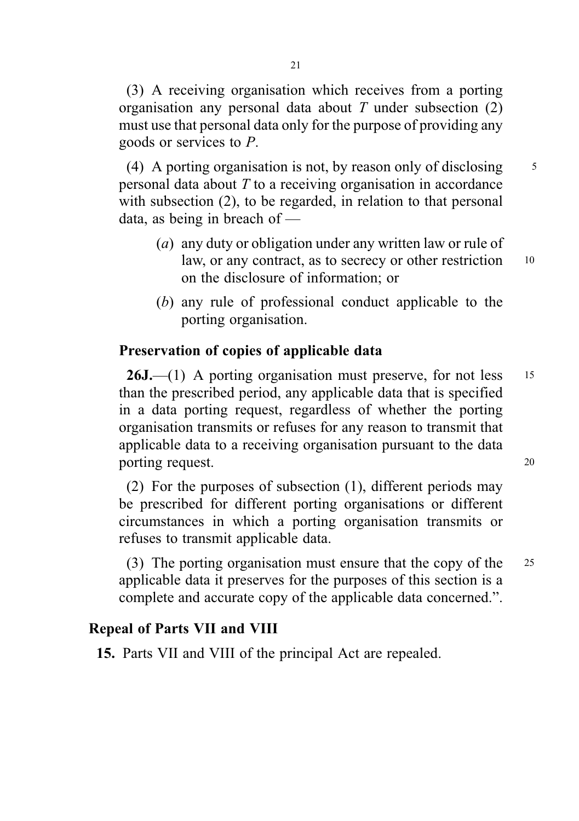(3) A receiving organisation which receives from a porting organisation any personal data about  $T$  under subsection (2) must use that personal data only for the purpose of providing any goods or services to P.

(4) A porting organisation is not, by reason only of disclosing  $\frac{5}{5}$ personal data about  $T$  to a receiving organisation in accordance with subsection (2), to be regarded, in relation to that personal data, as being in breach of —

- (a) any duty or obligation under any written law or rule of law, or any contract, as to secrecy or other restriction 10 on the disclosure of information; or
- (b) any rule of professional conduct applicable to the porting organisation.

#### Preservation of copies of applicable data

 $26J$ ,—(1) A porting organisation must preserve, for not less 15 than the prescribed period, any applicable data that is specified in a data porting request, regardless of whether the porting organisation transmits or refuses for any reason to transmit that applicable data to a receiving organisation pursuant to the data porting request. 20

(2) For the purposes of subsection (1), different periods may be prescribed for different porting organisations or different circumstances in which a porting organisation transmits or refuses to transmit applicable data.

(3) The porting organisation must ensure that the copy of the <sup>25</sup> applicable data it preserves for the purposes of this section is a complete and accurate copy of the applicable data concerned.".

## Repeal of Parts VII and VIII

15. Parts VII and VIII of the principal Act are repealed.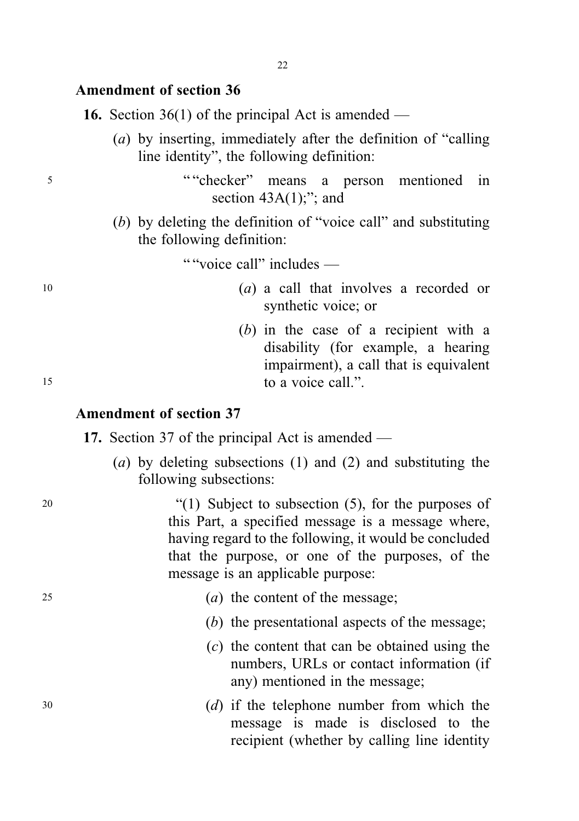#### Amendment of section 36

**16.** Section 36(1) of the principal Act is amended —

(a) by inserting, immediately after the definition of "calling line identity", the following definition:

<sup>5</sup> " "checker" means a person mentioned in section  $43A(1)$ ;"; and

> (b) by deleting the definition of "voice call" and substituting the following definition:

> > " "voice call" includes —

- <sup>10</sup> (a) a call that involves a recorded or synthetic voice; or
- (b) in the case of a recipient with a disability (for example, a hearing impairment), a call that is equivalent 15 to a voice call."

#### Amendment of section 37

- 17. Section 37 of the principal Act is amended
	- (a) by deleting subsections (1) and (2) and substituting the following subsections:

<sup>20</sup> "(1) Subject to subsection (5), for the purposes of this Part, a specified message is a message where, having regard to the following, it would be concluded that the purpose, or one of the purposes, of the message is an applicable purpose:

- 25 (a) the content of the message;
	- (b) the presentational aspects of the message;
	- (c) the content that can be obtained using the numbers, URLs or contact information (if any) mentioned in the message;
- <sup>30</sup> (d) if the telephone number from which the message is made is disclosed to the recipient (whether by calling line identity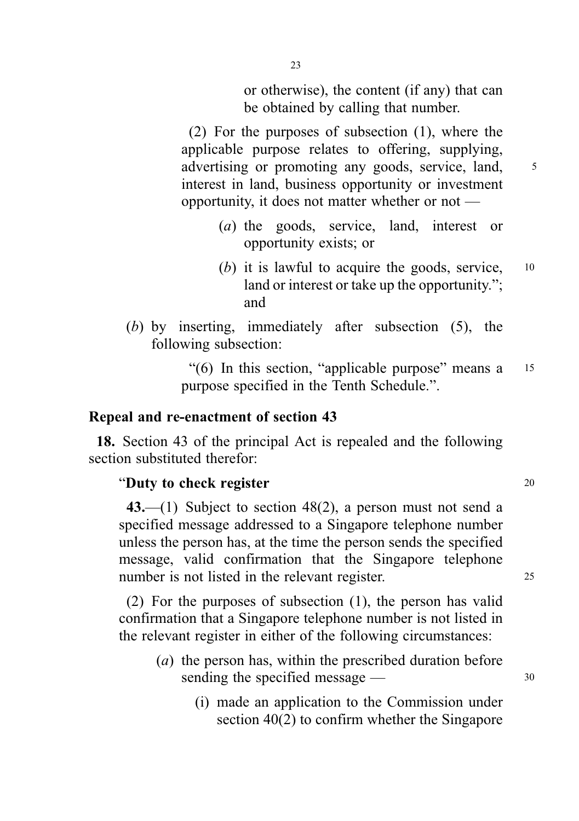or otherwise), the content (if any) that can be obtained by calling that number.

(2) For the purposes of subsection (1), where the applicable purpose relates to offering, supplying, advertising or promoting any goods, service, land, 5 interest in land, business opportunity or investment opportunity, it does not matter whether or not —

- (a) the goods, service, land, interest or opportunity exists; or
- (b) it is lawful to acquire the goods, service,  $10$ land or interest or take up the opportunity."; and
- (b) by inserting, immediately after subsection (5), the following subsection:

"(6) In this section, "applicable purpose" means a <sup>15</sup> purpose specified in the Tenth Schedule.".

#### Repeal and re-enactment of section 43

18. Section 43 of the principal Act is repealed and the following section substituted therefor:

#### "Duty to check register  $20$

43.—(1) Subject to section 48(2), a person must not send a specified message addressed to a Singapore telephone number unless the person has, at the time the person sends the specified message, valid confirmation that the Singapore telephone number is not listed in the relevant register. 25

(2) For the purposes of subsection (1), the person has valid confirmation that a Singapore telephone number is not listed in the relevant register in either of the following circumstances:

- (a) the person has, within the prescribed duration before sending the specified message  $\frac{30}{2}$ 
	- (i) made an application to the Commission under section 40(2) to confirm whether the Singapore

23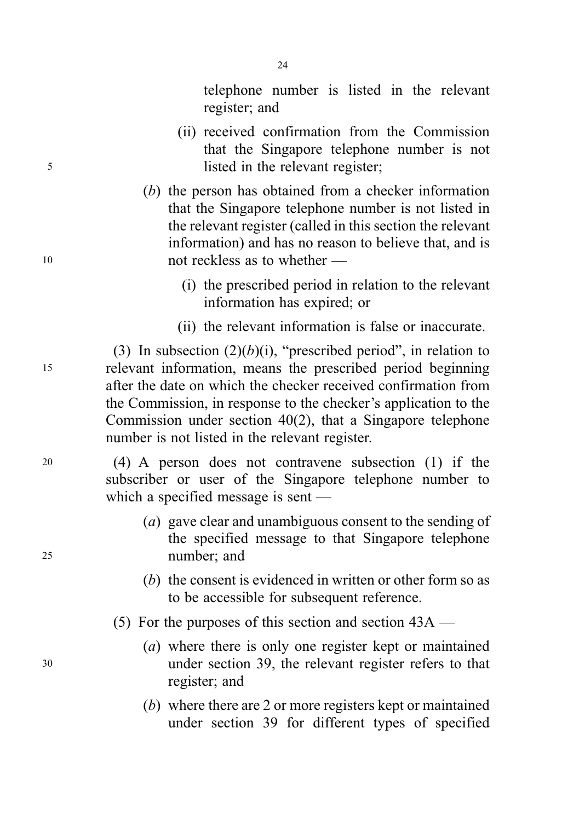telephone number is listed in the relevant register; and

- (ii) received confirmation from the Commission that the Singapore telephone number is not <sup>5</sup> listed in the relevant register;
- (b) the person has obtained from a checker information that the Singapore telephone number is not listed in the relevant register (called in this section the relevant information) and has no reason to believe that, and is <sup>10</sup> not reckless as to whether —
	- (i) the prescribed period in relation to the relevant information has expired; or
	- (ii) the relevant information is false or inaccurate.

(3) In subsection  $(2)(b)(i)$ , "prescribed period", in relation to <sup>15</sup> relevant information, means the prescribed period beginning after the date on which the checker received confirmation from the Commission, in response to the checker's application to the Commission under section 40(2), that a Singapore telephone number is not listed in the relevant register.

<sup>20</sup> (4) A person does not contravene subsection (1) if the subscriber or user of the Singapore telephone number to which a specified message is sent —

- (a) gave clear and unambiguous consent to the sending of the specified message to that Singapore telephone <sup>25</sup> number; and
	- (b) the consent is evidenced in written or other form so as to be accessible for subsequent reference.

(5) For the purposes of this section and section 43A —

- (a) where there is only one register kept or maintained <sup>30</sup> under section 39, the relevant register refers to that register; and
	- (b) where there are 2 or more registers kept or maintained under section 39 for different types of specified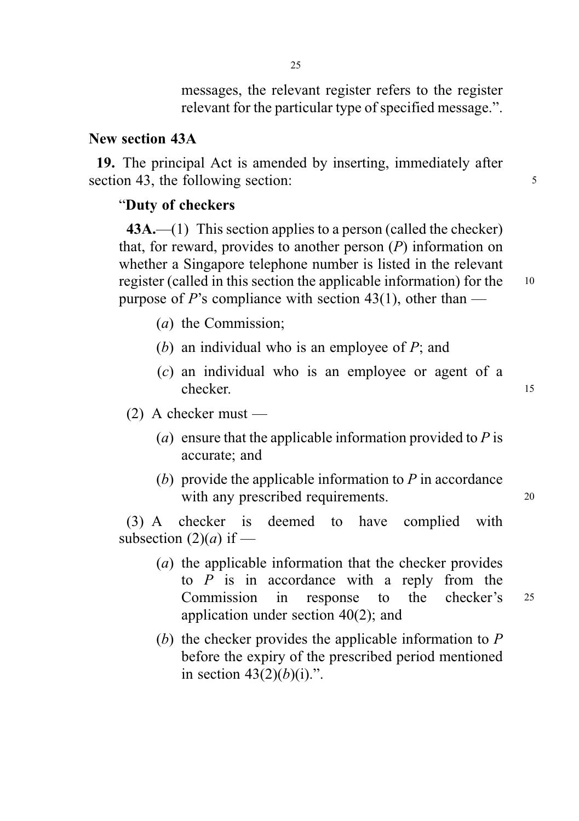messages, the relevant register refers to the register relevant for the particular type of specified message.".

#### New section 43A

19. The principal Act is amended by inserting, immediately after section 43, the following section: 5

#### "Duty of checkers

 $43A$ ,—(1) This section applies to a person (called the checker) that, for reward, provides to another person  $(P)$  information on whether a Singapore telephone number is listed in the relevant register (called in this section the applicable information) for the <sup>10</sup> purpose of P's compliance with section 43(1), other than —

- (a) the Commission;
- (b) an individual who is an employee of  $P$ ; and
- (c) an individual who is an employee or agent of a checker. 15

(2) A checker must —

- (a) ensure that the applicable information provided to  $P$  is accurate; and
- (b) provide the applicable information to  $P$  in accordance with any prescribed requirements. 20

(3) A checker is deemed to have complied with subsection  $(2)(a)$  if —

- (a) the applicable information that the checker provides to  $P$  is in accordance with a reply from the Commission in response to the checker's <sup>25</sup> application under section 40(2); and
- (b) the checker provides the applicable information to  $P$ before the expiry of the prescribed period mentioned in section  $43(2)(b)(i)$ .".

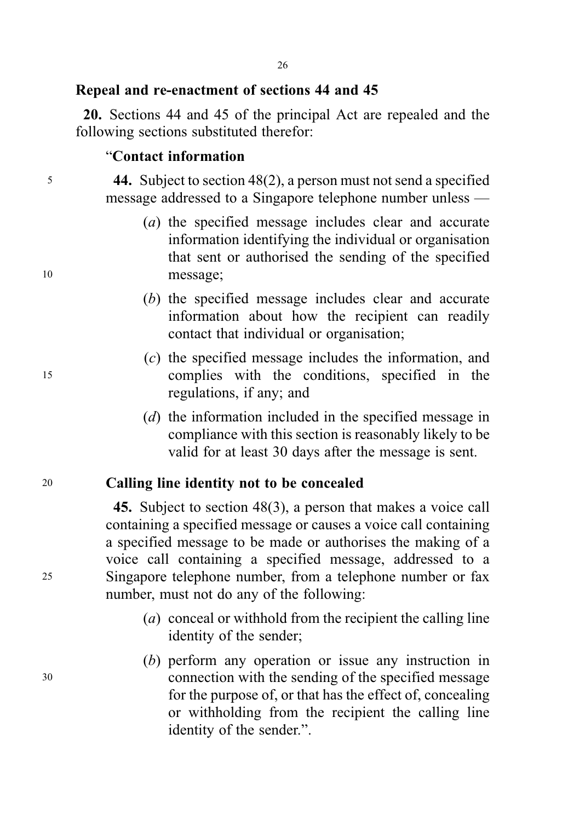# Repeal and re-enactment of sections 44 and 45

20. Sections 44 and 45 of the principal Act are repealed and the following sections substituted therefor:

# "Contact information

<sup>5</sup> 44. Subject to section 48(2), a person must not send a specified message addressed to a Singapore telephone number unless —

- (a) the specified message includes clear and accurate information identifying the individual or organisation that sent or authorised the sending of the specified <sup>10</sup> message;
	- (b) the specified message includes clear and accurate information about how the recipient can readily contact that individual or organisation;
- (c) the specified message includes the information, and <sup>15</sup> complies with the conditions, specified in the regulations, if any; and
	- (d) the information included in the specified message in compliance with this section is reasonably likely to be valid for at least 30 days after the message is sent.

# <sup>20</sup> Calling line identity not to be concealed

45. Subject to section 48(3), a person that makes a voice call containing a specified message or causes a voice call containing a specified message to be made or authorises the making of a voice call containing a specified message, addressed to a <sup>25</sup> Singapore telephone number, from a telephone number or fax number, must not do any of the following:

- (a) conceal or withhold from the recipient the calling line identity of the sender;
- (b) perform any operation or issue any instruction in <sup>30</sup> connection with the sending of the specified message for the purpose of, or that has the effect of, concealing or withholding from the recipient the calling line identity of the sender.".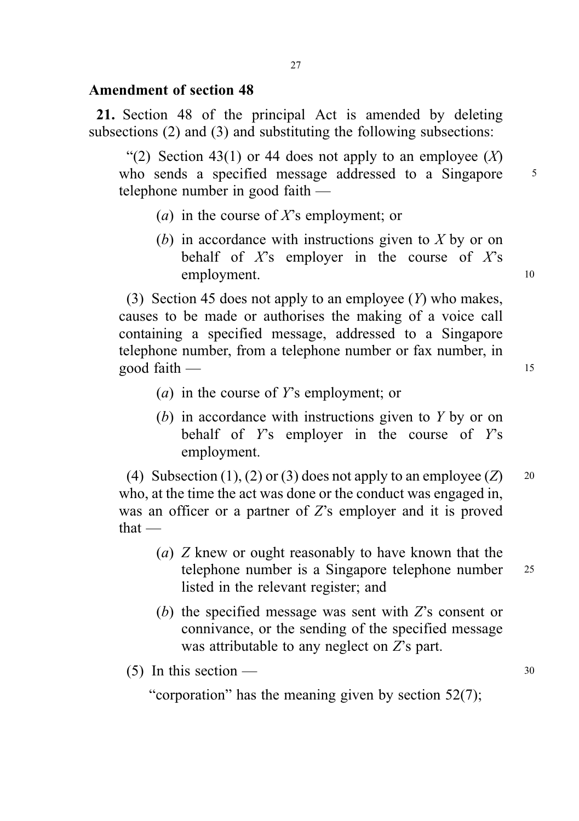## Amendment of section 48

21. Section 48 of the principal Act is amended by deleting subsections (2) and (3) and substituting the following subsections:

"(2) Section 43(1) or 44 does not apply to an employee  $(X)$ who sends a specified message addressed to a Singapore 5 telephone number in good faith —

- (*a*) in the course of X's employment; or
- (b) in accordance with instructions given to X by or on behalf of  $X$ 's employer in the course of  $X$ 's employment. 10

(3) Section 45 does not apply to an employee  $(Y)$  who makes, causes to be made or authorises the making of a voice call containing a specified message, addressed to a Singapore telephone number, from a telephone number or fax number, in good faith — 15

- (a) in the course of Y's employment; or
- (b) in accordance with instructions given to Y by or on behalf of  $Y$ 's employer in the course of  $Y$ 's employment.

(4) Subsection (1), (2) or (3) does not apply to an employee (Z)  $20$ who, at the time the act was done or the conduct was engaged in, was an officer or a partner of Z's employer and it is proved that —

- (a) Z knew or ought reasonably to have known that the telephone number is a Singapore telephone number 25 listed in the relevant register; and
- (b) the specified message was sent with Z's consent or connivance, or the sending of the specified message was attributable to any neglect on  $Z$ 's part.

(5) In this section —  $30$ 

"corporation" has the meaning given by section 52(7);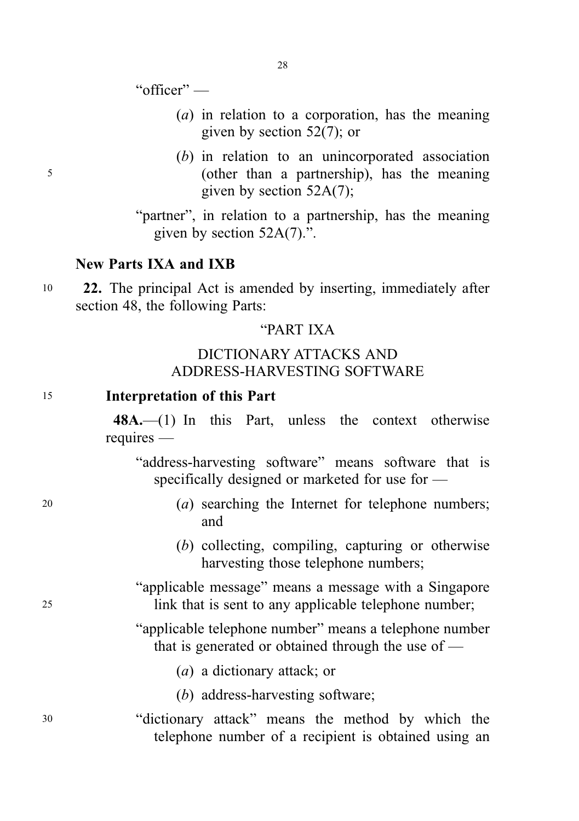"officer" —

- (a) in relation to a corporation, has the meaning given by section 52(7); or
- (b) in relation to an unincorporated association <sup>5</sup> (other than a partnership), has the meaning given by section 52A(7);

"partner", in relation to a partnership, has the meaning given by section 52A(7).".

#### New Parts IXA and IXB

<sup>10</sup> 22. The principal Act is amended by inserting, immediately after section 48, the following Parts:

## "PART IXA

# DICTIONARY ATTACKS AND ADDRESS-HARVESTING SOFTWARE

#### <sup>15</sup> Interpretation of this Part

48A.—(1) In this Part, unless the context otherwise requires —

"address-harvesting software" means software that is specifically designed or marketed for use for —

- 
- <sup>20</sup> (a) searching the Internet for telephone numbers; and
	- (b) collecting, compiling, capturing or otherwise harvesting those telephone numbers;
- "applicable message" means a message with a Singapore <sup>25</sup> link that is sent to any applicable telephone number;
	- "applicable telephone number" means a telephone number that is generated or obtained through the use of —
		- (a) a dictionary attack; or
		- (b) address-harvesting software;
- <sup>30</sup> "dictionary attack" means the method by which the telephone number of a recipient is obtained using an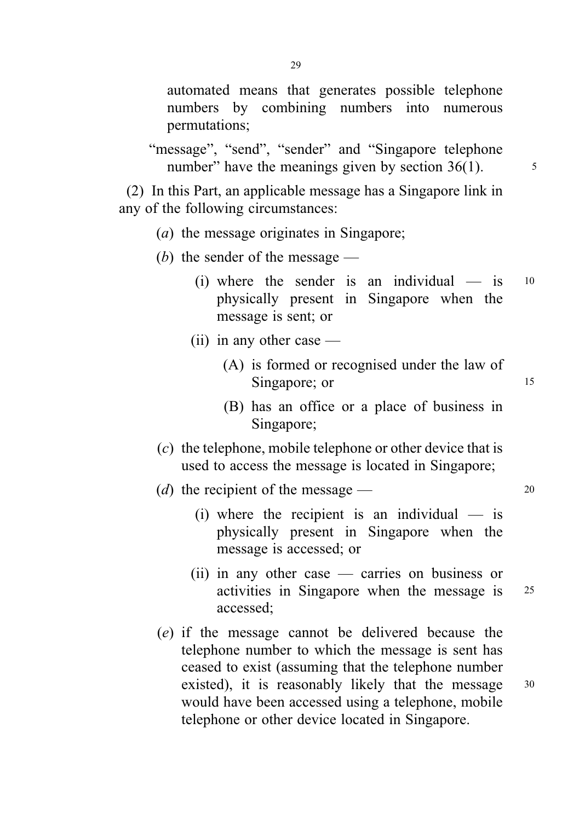"message", "send", "sender" and "Singapore telephone" number" have the meanings given by section  $36(1)$ .  $\frac{5}{10}$ 

(2) In this Part, an applicable message has a Singapore link in any of the following circumstances:

- (a) the message originates in Singapore;
- (b) the sender of the message  $-$ 
	- (i) where the sender is an individual  $-$  is  $10$ physically present in Singapore when the message is sent; or
	- (ii) in any other case
		- (A) is formed or recognised under the law of Singapore; or 15
		- (B) has an office or a place of business in Singapore;
- (c) the telephone, mobile telephone or other device that is used to access the message is located in Singapore;

(d) the recipient of the message —  $20$ 

- $(i)$  where the recipient is an individual is physically present in Singapore when the message is accessed; or
- (ii) in any other case carries on business or activities in Singapore when the message is <sup>25</sup> accessed;
- (e) if the message cannot be delivered because the telephone number to which the message is sent has ceased to exist (assuming that the telephone number existed), it is reasonably likely that the message  $30$ would have been accessed using a telephone, mobile telephone or other device located in Singapore.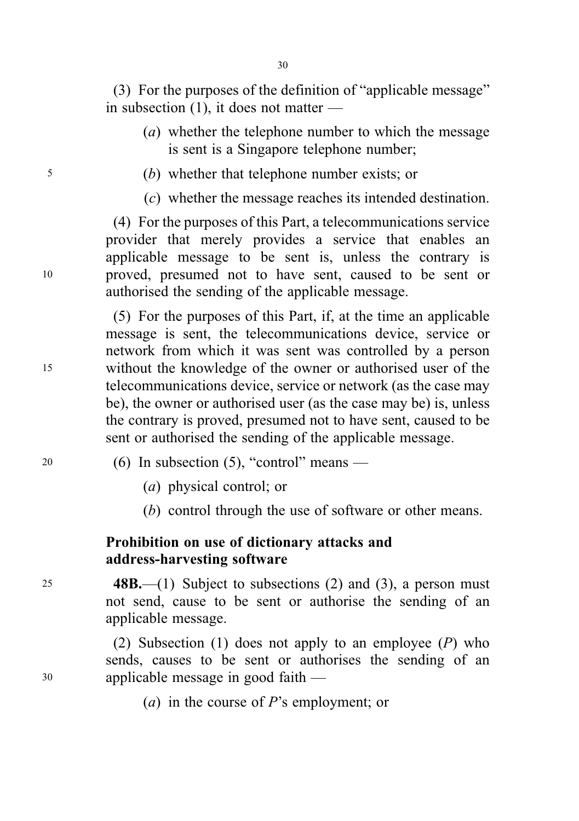(3) For the purposes of the definition of "applicable message" in subsection (1), it does not matter —

- (a) whether the telephone number to which the message is sent is a Singapore telephone number;
- <sup>5</sup> (b) whether that telephone number exists; or
	- (c) whether the message reaches its intended destination.

(4) For the purposes of this Part, a telecommunications service provider that merely provides a service that enables an applicable message to be sent is, unless the contrary is <sup>10</sup> proved, presumed not to have sent, caused to be sent or authorised the sending of the applicable message.

(5) For the purposes of this Part, if, at the time an applicable message is sent, the telecommunications device, service or network from which it was sent was controlled by a person <sup>15</sup> without the knowledge of the owner or authorised user of the telecommunications device, service or network (as the case may be), the owner or authorised user (as the case may be) is, unless the contrary is proved, presumed not to have sent, caused to be sent or authorised the sending of the applicable message.

- $20$  (6) In subsection (5), "control" means
	- (a) physical control; or
	- (b) control through the use of software or other means.

# Prohibition on use of dictionary attacks and address-harvesting software

<sup>25</sup> 48B.—(1) Subject to subsections (2) and (3), a person must not send, cause to be sent or authorise the sending of an applicable message.

(2) Subsection (1) does not apply to an employee  $(P)$  who sends, causes to be sent or authorises the sending of an <sup>30</sup> applicable message in good faith —

(*a*) in the course of  $P$ 's employment; or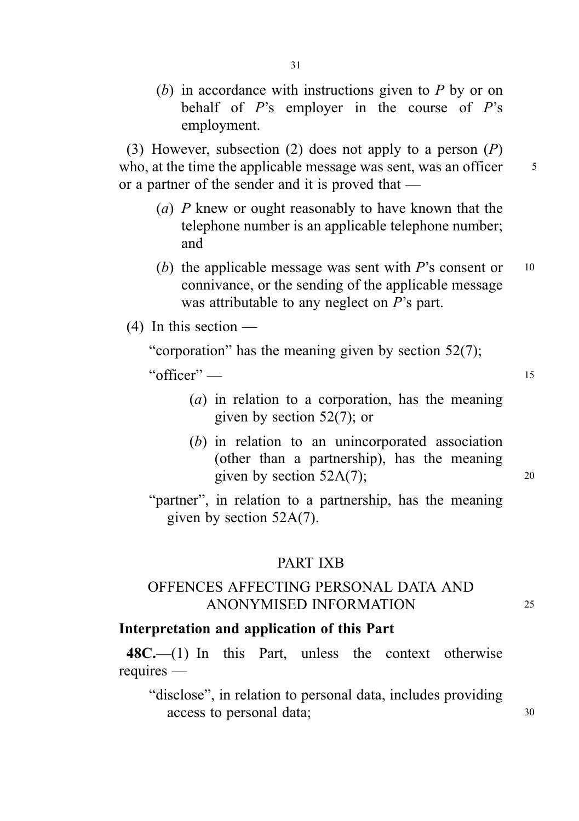(b) in accordance with instructions given to  $P$  by or on behalf of  $P$ 's employer in the course of  $P$ 's employment.

(3) However, subsection (2) does not apply to a person  $(P)$ who, at the time the applicable message was sent, was an officer  $\frac{5}{5}$ or a partner of the sender and it is proved that —

- (a) P knew or ought reasonably to have known that the telephone number is an applicable telephone number; and
- (b) the applicable message was sent with  $P$ 's consent or  $10$ connivance, or the sending of the applicable message was attributable to any neglect on P's part.

 $(4)$  In this section —

"corporation" has the meaning given by section 52(7);

" $\text{offer}$ "  $\longrightarrow$  15

- (a) in relation to a corporation, has the meaning given by section 52(7); or
- (b) in relation to an unincorporated association (other than a partnership), has the meaning given by section  $52A(7)$ ; 20
- "partner", in relation to a partnership, has the meaning given by section 52A(7).

#### PART IXB

# OFFENCES AFFECTING PERSONAL DATA AND ANONYMISED INFORMATION <sup>25</sup>

#### Interpretation and application of this Part

 $48C$ —(1) In this Part, unless the context otherwise requires —

"disclose", in relation to personal data, includes providing access to personal data;  $30$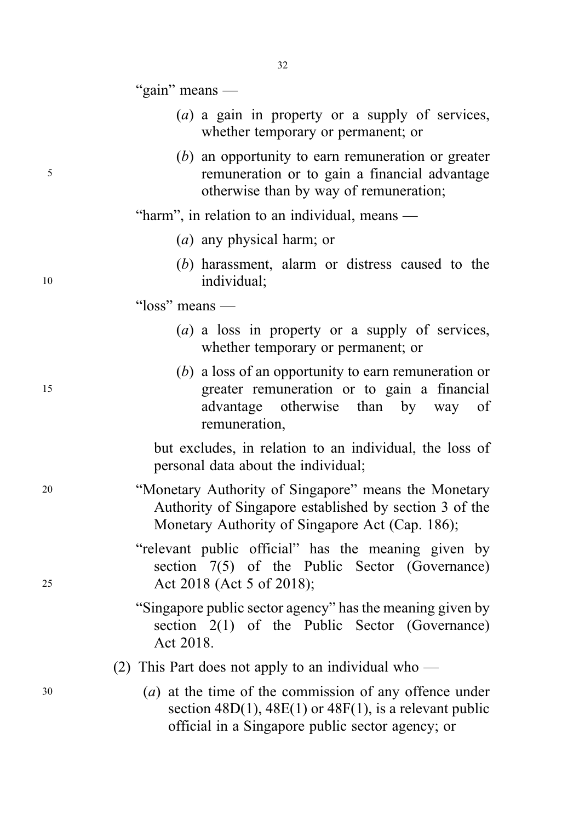"gain" means —

- (a) a gain in property or a supply of services, whether temporary or permanent; or
- (b) an opportunity to earn remuneration or greater <sup>5</sup> remuneration or to gain a financial advantage otherwise than by way of remuneration;

"harm", in relation to an individual, means —

- (a) any physical harm; or
- (b) harassment, alarm or distress caused to the 10 individual:
	- "loss" means
		- (a) a loss in property or a supply of services, whether temporary or permanent; or
- (b) a loss of an opportunity to earn remuneration or <sup>15</sup> greater remuneration or to gain a financial advantage otherwise than by way of remuneration,

but excludes, in relation to an individual, the loss of personal data about the individual;

<sup>20</sup> "Monetary Authority of Singapore" means the Monetary Authority of Singapore established by section 3 of the Monetary Authority of Singapore Act (Cap. 186);

"relevant public official" has the meaning given by section 7(5) of the Public Sector (Governance) <sup>25</sup> Act 2018 (Act 5 of 2018);

> "Singapore public sector agency" has the meaning given by section 2(1) of the Public Sector (Governance) Act 2018.

(2) This Part does not apply to an individual who —

<sup>30</sup> (a) at the time of the commission of any offence under section  $48D(1)$ ,  $48E(1)$  or  $48F(1)$ , is a relevant public official in a Singapore public sector agency; or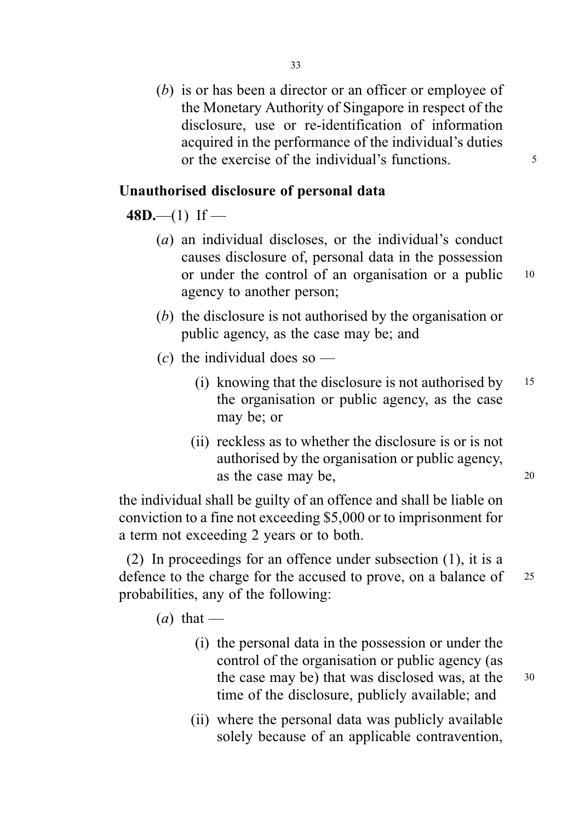(b) is or has been a director or an officer or employee of the Monetary Authority of Singapore in respect of the disclosure, use or re-identification of information acquired in the performance of the individual's duties or the exercise of the individual's functions.

# Unauthorised disclosure of personal data

# $48D$ —(1) If —

- (a) an individual discloses, or the individual's conduct causes disclosure of, personal data in the possession or under the control of an organisation or a public <sup>10</sup> agency to another person;
- (b) the disclosure is not authorised by the organisation or public agency, as the case may be; and
- (c) the individual does so  $-$ 
	- (i) knowing that the disclosure is not authorised by  $15$ the organisation or public agency, as the case may be; or
	- (ii) reckless as to whether the disclosure is or is not authorised by the organisation or public agency, as the case may be, 20

the individual shall be guilty of an offence and shall be liable on conviction to a fine not exceeding \$5,000 or to imprisonment for a term not exceeding 2 years or to both.

(2) In proceedings for an offence under subsection (1), it is a defence to the charge for the accused to prove, on a balance of 25 probabilities, any of the following:

 $(a)$  that —

- (i) the personal data in the possession or under the control of the organisation or public agency (as the case may be) that was disclosed was, at the 30 time of the disclosure, publicly available; and
- (ii) where the personal data was publicly available solely because of an applicable contravention,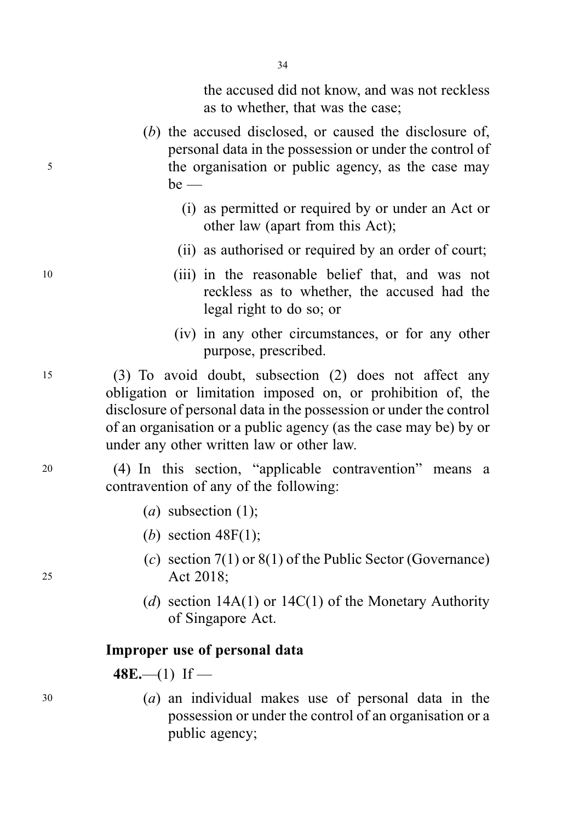the accused did not know, and was not reckless as to whether, that was the case;

- (b) the accused disclosed, or caused the disclosure of, personal data in the possession or under the control of <sup>5</sup> the organisation or public agency, as the case may  $be$  —
	- (i) as permitted or required by or under an Act or other law (apart from this Act);
	- (ii) as authorised or required by an order of court;
- <sup>10</sup> (iii) in the reasonable belief that, and was not reckless as to whether, the accused had the legal right to do so; or
	- (iv) in any other circumstances, or for any other purpose, prescribed.

<sup>15</sup> (3) To avoid doubt, subsection (2) does not affect any obligation or limitation imposed on, or prohibition of, the disclosure of personal data in the possession or under the control of an organisation or a public agency (as the case may be) by or under any other written law or other law.

<sup>20</sup> (4) In this section, "applicable contravention" means a contravention of any of the following:

- (a) subsection  $(1)$ ;
- (b) section  $48F(1)$ ;
- (c) section  $7(1)$  or  $8(1)$  of the Public Sector (Governance) <sup>25</sup> Act 2018;
	- (d) section  $14A(1)$  or  $14C(1)$  of the Monetary Authority of Singapore Act.

#### Improper use of personal data

 $48E$ —(1) If —

<sup>30</sup> (a) an individual makes use of personal data in the possession or under the control of an organisation or a public agency;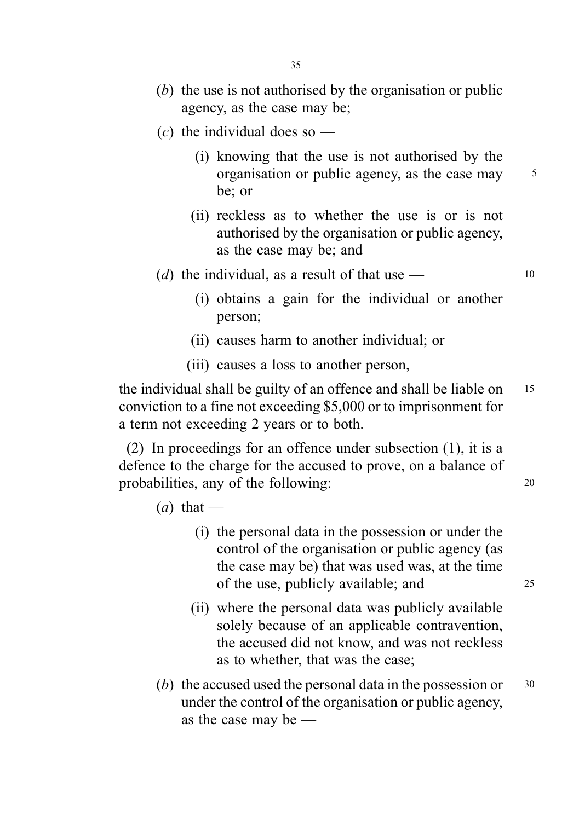- (b) the use is not authorised by the organisation or public agency, as the case may be;
- (c) the individual does so  $-$ 
	- (i) knowing that the use is not authorised by the organisation or public agency, as the case may  $\frac{5}{5}$ be; or
	- (ii) reckless as to whether the use is or is not authorised by the organisation or public agency, as the case may be; and
- (d) the individual, as a result of that use  $-$  10
	- (i) obtains a gain for the individual or another person;
	- (ii) causes harm to another individual; or
	- (iii) causes a loss to another person,

the individual shall be guilty of an offence and shall be liable on 15 conviction to a fine not exceeding \$5,000 or to imprisonment for a term not exceeding 2 years or to both.

(2) In proceedings for an offence under subsection (1), it is a defence to the charge for the accused to prove, on a balance of probabilities, any of the following: 20

- $(a)$  that
	- (i) the personal data in the possession or under the control of the organisation or public agency (as the case may be) that was used was, at the time of the use, publicly available; and 25
	- (ii) where the personal data was publicly available solely because of an applicable contravention, the accused did not know, and was not reckless as to whether, that was the case;
- (b) the accused used the personal data in the possession or  $30$ under the control of the organisation or public agency, as the case may be —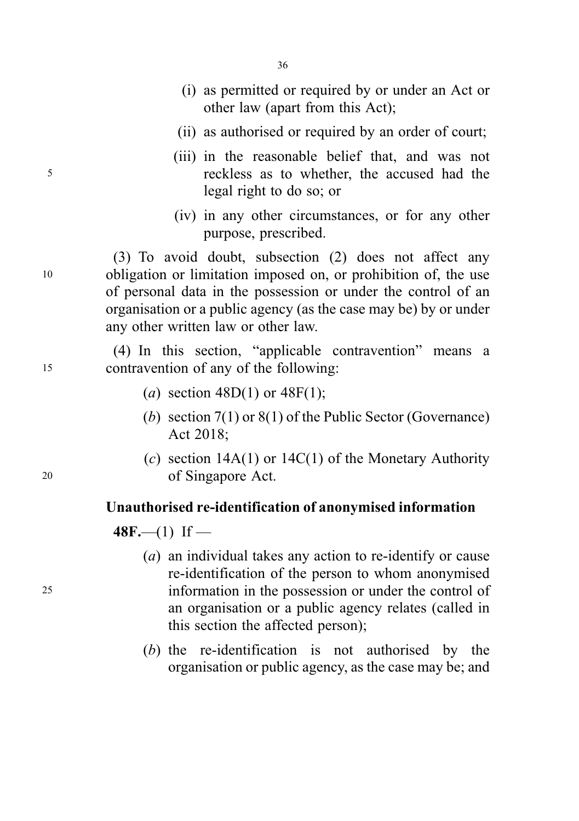- (i) as permitted or required by or under an Act or other law (apart from this Act);
- (ii) as authorised or required by an order of court;
- (iii) in the reasonable belief that, and was not <sup>5</sup> reckless as to whether, the accused had the legal right to do so; or
	- (iv) in any other circumstances, or for any other purpose, prescribed.

(3) To avoid doubt, subsection (2) does not affect any <sup>10</sup> obligation or limitation imposed on, or prohibition of, the use of personal data in the possession or under the control of an organisation or a public agency (as the case may be) by or under any other written law or other law.

(4) In this section, "applicable contravention" means a <sup>15</sup> contravention of any of the following:

- (a) section  $48D(1)$  or  $48F(1)$ ;
- (b) section 7(1) or 8(1) of the Public Sector (Governance) Act 2018;
- (c) section  $14A(1)$  or  $14C(1)$  of the Monetary Authority <sup>20</sup> of Singapore Act.

#### Unauthorised re-identification of anonymised information

 $48F$ —(1) If —

- (a) an individual takes any action to re-identify or cause re-identification of the person to whom anonymised <sup>25</sup> information in the possession or under the control of an organisation or a public agency relates (called in this section the affected person);
	- (b) the re-identification is not authorised by the organisation or public agency, as the case may be; and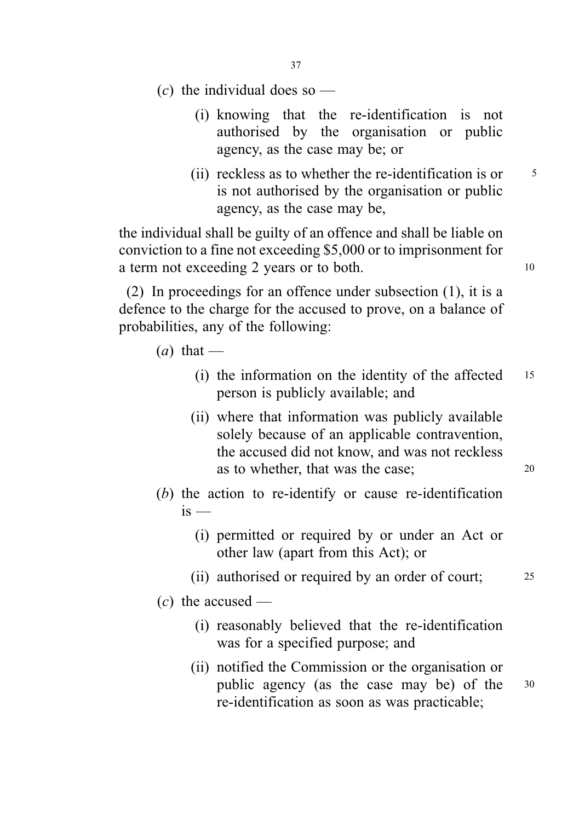- 37
- (c) the individual does so  $-$ 
	- (i) knowing that the re-identification is not authorised by the organisation or public agency, as the case may be; or
	- (ii) reckless as to whether the re-identification is or  $5<sub>5</sub>$ is not authorised by the organisation or public agency, as the case may be,

the individual shall be guilty of an offence and shall be liable on conviction to a fine not exceeding \$5,000 or to imprisonment for a term not exceeding 2 years or to both.

(2) In proceedings for an offence under subsection (1), it is a defence to the charge for the accused to prove, on a balance of probabilities, any of the following:

- $(a)$  that
	- (i) the information on the identity of the affected <sup>15</sup> person is publicly available; and
	- (ii) where that information was publicly available solely because of an applicable contravention, the accused did not know, and was not reckless as to whether, that was the case;  $20$
- (b) the action to re-identify or cause re-identification  $i<sub>s</sub>$  —
	- (i) permitted or required by or under an Act or other law (apart from this Act); or
	- (ii) authorised or required by an order of court; <sup>25</sup>
- $(c)$  the accused
	- (i) reasonably believed that the re-identification was for a specified purpose; and
	- (ii) notified the Commission or the organisation or public agency (as the case may be) of the <sup>30</sup> re-identification as soon as was practicable;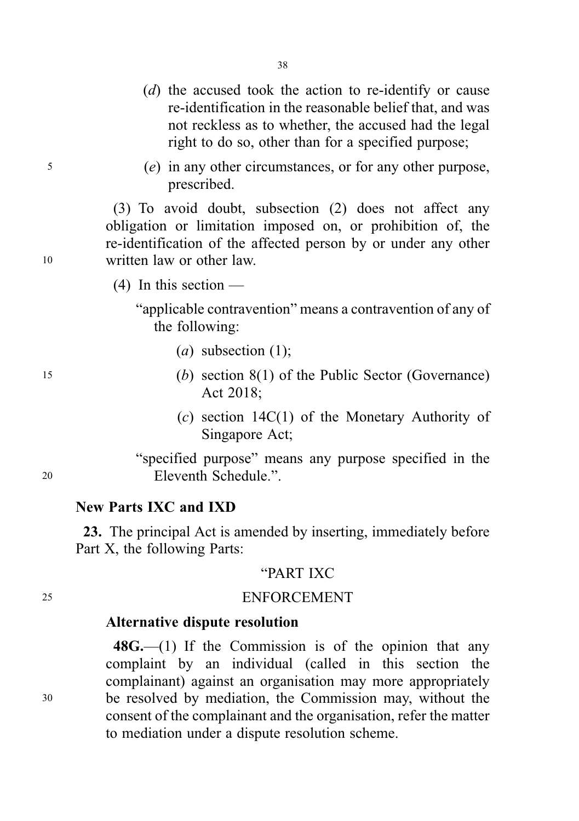- (d) the accused took the action to re-identify or cause re-identification in the reasonable belief that, and was not reckless as to whether, the accused had the legal right to do so, other than for a specified purpose;
- <sup>5</sup> (e) in any other circumstances, or for any other purpose, prescribed.

(3) To avoid doubt, subsection (2) does not affect any obligation or limitation imposed on, or prohibition of, the re-identification of the affected person by or under any other <sup>10</sup> written law or other law.

(4) In this section —

"applicable contravention" means a contravention of any of the following:

- (a) subsection  $(1)$ ;
- <sup>15</sup> (b) section 8(1) of the Public Sector (Governance) Act 2018;
	- (c) section 14C(1) of the Monetary Authority of Singapore Act;

"specified purpose" means any purpose specified in the <sup>20</sup> Eleventh Schedule.".

# New Parts IXC and IXD

23. The principal Act is amended by inserting, immediately before Part X, the following Parts:

## "PART IXC

## <sup>25</sup> ENFORCEMENT

# Alternative dispute resolution

48G.—(1) If the Commission is of the opinion that any complaint by an individual (called in this section the complainant) against an organisation may more appropriately <sup>30</sup> be resolved by mediation, the Commission may, without the consent of the complainant and the organisation, refer the matter to mediation under a dispute resolution scheme.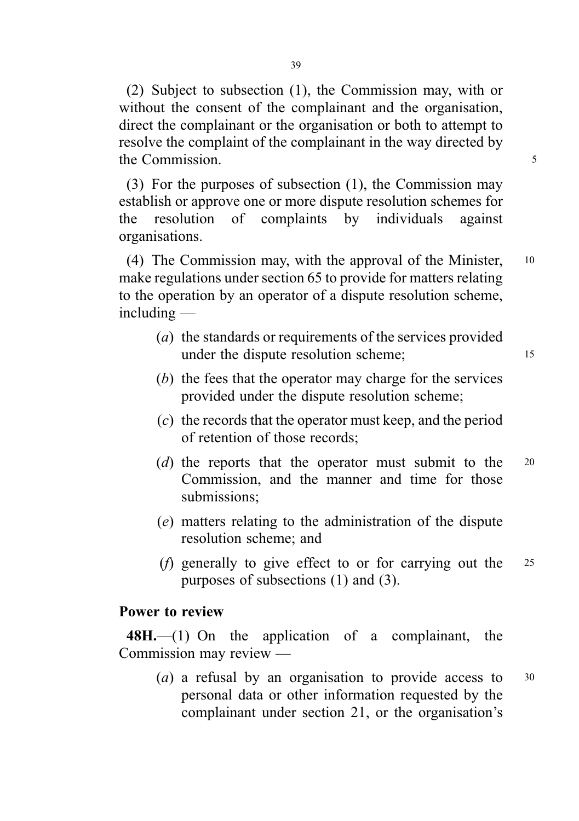(2) Subject to subsection (1), the Commission may, with or without the consent of the complainant and the organisation, direct the complainant or the organisation or both to attempt to resolve the complaint of the complainant in the way directed by the Commission. 5

(3) For the purposes of subsection (1), the Commission may establish or approve one or more dispute resolution schemes for the resolution of complaints by individuals against organisations.

(4) The Commission may, with the approval of the Minister, <sup>10</sup> make regulations under section 65 to provide for matters relating to the operation by an operator of a dispute resolution scheme, including —

- (a) the standards or requirements of the services provided under the dispute resolution scheme; 15
- (b) the fees that the operator may charge for the services provided under the dispute resolution scheme;
- (c) the records that the operator must keep, and the period of retention of those records;
- (d) the reports that the operator must submit to the 20 Commission, and the manner and time for those submissions;
- (e) matters relating to the administration of the dispute resolution scheme; and
- (f) generally to give effect to or for carrying out the <sup>25</sup> purposes of subsections (1) and (3).

## Power to review

48H.—(1) On the application of a complainant, the Commission may review —

(a) a refusal by an organisation to provide access to  $30$ personal data or other information requested by the complainant under section 21, or the organisation's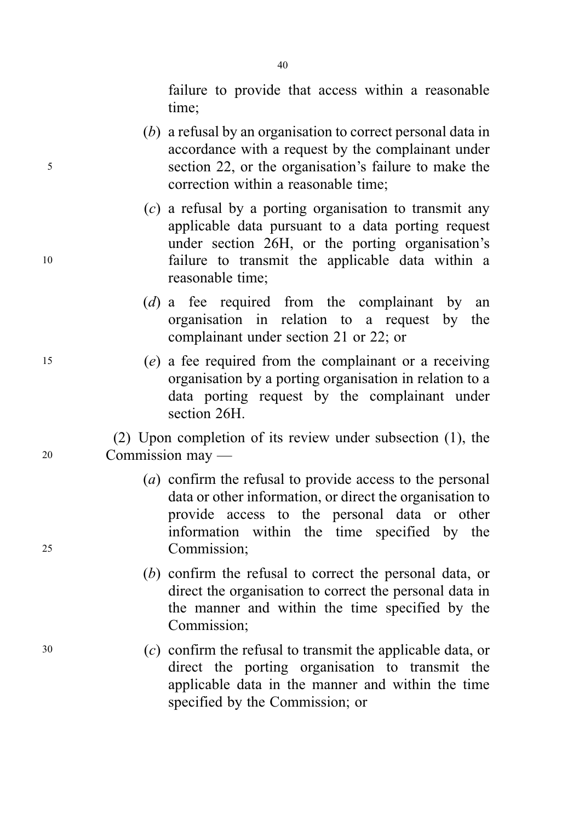failure to provide that access within a reasonable time;

- (b) a refusal by an organisation to correct personal data in accordance with a request by the complainant under <sup>5</sup> section 22, or the organisation's failure to make the correction within a reasonable time;
- (c) a refusal by a porting organisation to transmit any applicable data pursuant to a data porting request under section 26H, or the porting organisation's <sup>10</sup> failure to transmit the applicable data within a reasonable time;
	- (d) a fee required from the complainant by an organisation in relation to a request by the complainant under section 21 or 22; or
- <sup>15</sup> (e) a fee required from the complainant or a receiving organisation by a porting organisation in relation to a data porting request by the complainant under section 26H.

(2) Upon completion of its review under subsection (1), the <sup>20</sup> Commission may —

- (a) confirm the refusal to provide access to the personal data or other information, or direct the organisation to provide access to the personal data or other information within the time specified by the <sup>25</sup> Commission;
	- (b) confirm the refusal to correct the personal data, or direct the organisation to correct the personal data in the manner and within the time specified by the Commission;
- <sup>30</sup> (c) confirm the refusal to transmit the applicable data, or direct the porting organisation to transmit the applicable data in the manner and within the time specified by the Commission; or

40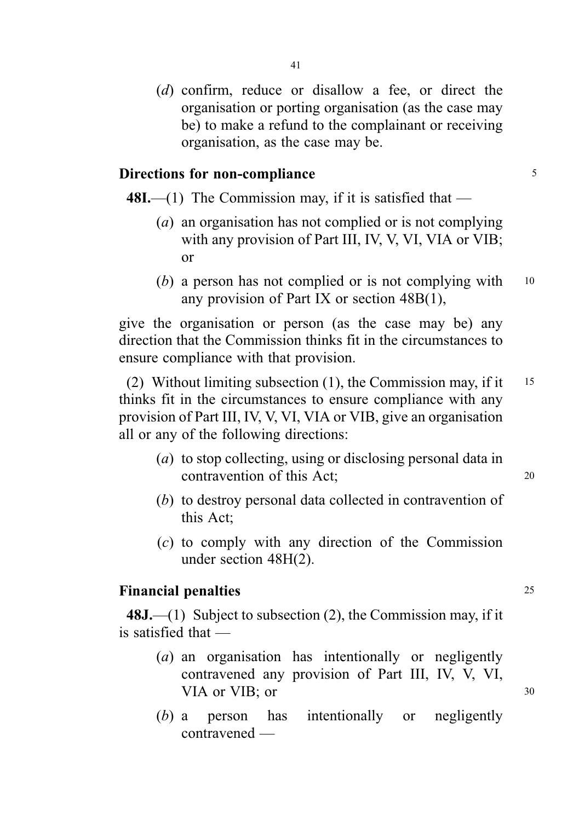(d) confirm, reduce or disallow a fee, or direct the organisation or porting organisation (as the case may be) to make a refund to the complainant or receiving organisation, as the case may be.

## Directions for non-compliance 5

48I.—(1) The Commission may, if it is satisfied that —

- (a) an organisation has not complied or is not complying with any provision of Part III, IV, V, VI, VIA or VIB; or
- (b) a person has not complied or is not complying with  $10$ any provision of Part IX or section 48B(1),

give the organisation or person (as the case may be) any direction that the Commission thinks fit in the circumstances to ensure compliance with that provision.

(2) Without limiting subsection (1), the Commission may, if it <sup>15</sup> thinks fit in the circumstances to ensure compliance with any provision of Part III, IV, V, VI, VIA or VIB, give an organisation all or any of the following directions:

- (a) to stop collecting, using or disclosing personal data in contravention of this Act: 20
- (b) to destroy personal data collected in contravention of this Act;
- (c) to comply with any direction of the Commission under section 48H(2).

## Financial penalties 25

48J.—(1) Subject to subsection  $(2)$ , the Commission may, if it is satisfied that —

- (a) an organisation has intentionally or negligently contravened any provision of Part III, IV, V, VI, VIA or VIB; or 30
- (b) a person has intentionally or negligently contravened —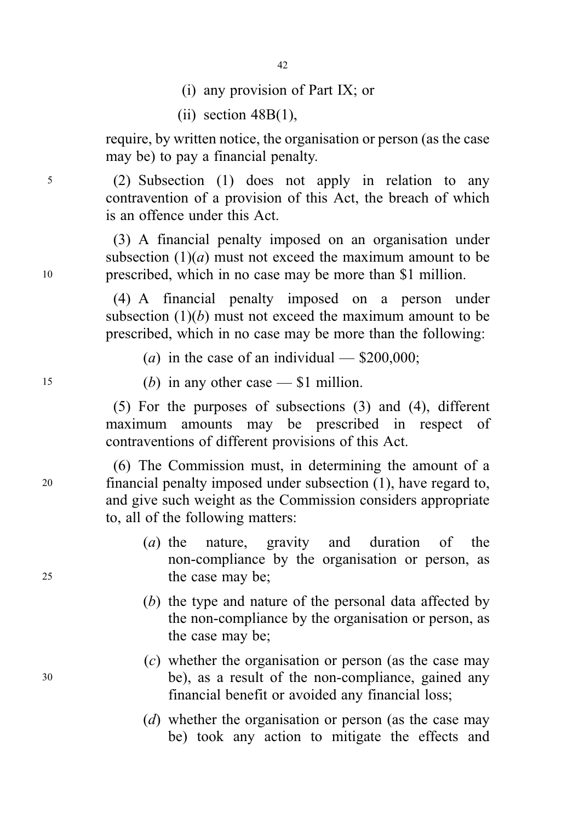- 42
- (i) any provision of Part IX; or
- $(iii)$  section  $48B(1)$ ,

require, by written notice, the organisation or person (as the case may be) to pay a financial penalty.

<sup>5</sup> (2) Subsection (1) does not apply in relation to any contravention of a provision of this Act, the breach of which is an offence under this Act.

(3) A financial penalty imposed on an organisation under subsection  $(1)(a)$  must not exceed the maximum amount to be <sup>10</sup> prescribed, which in no case may be more than \$1 million.

> (4) A financial penalty imposed on a person under subsection  $(1)(b)$  must not exceed the maximum amount to be prescribed, which in no case may be more than the following:

(a) in the case of an individual —  $$200,000$ ;

15 (b) in any other case  $- $1$  million.

(5) For the purposes of subsections (3) and (4), different maximum amounts may be prescribed in respect of contraventions of different provisions of this Act.

(6) The Commission must, in determining the amount of a <sup>20</sup> financial penalty imposed under subsection (1), have regard to, and give such weight as the Commission considers appropriate to, all of the following matters:

- (a) the nature, gravity and duration of the non-compliance by the organisation or person, as 25 the case may be;
	- (b) the type and nature of the personal data affected by the non-compliance by the organisation or person, as the case may be;
- (c) whether the organisation or person (as the case may <sup>30</sup> be), as a result of the non-compliance, gained any financial benefit or avoided any financial loss;
	- (d) whether the organisation or person (as the case may be) took any action to mitigate the effects and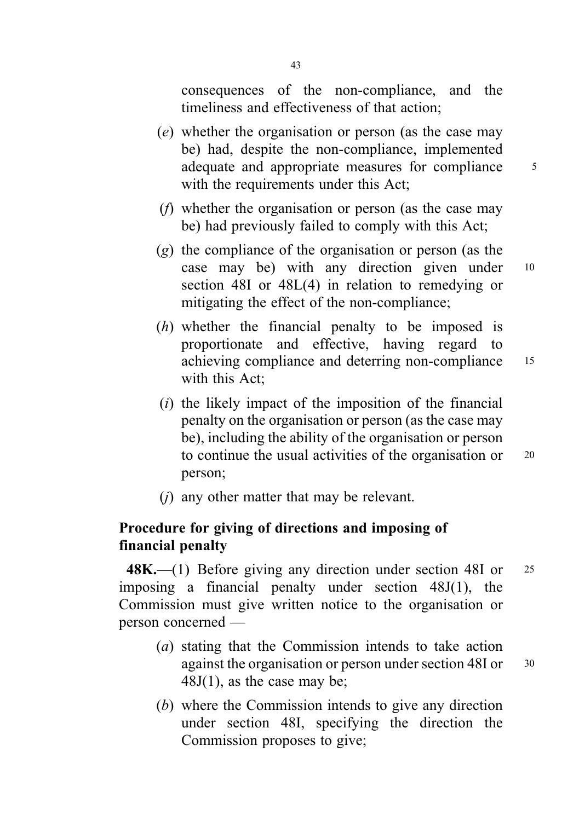consequences of the non-compliance, and the timeliness and effectiveness of that action;

- (e) whether the organisation or person (as the case may be) had, despite the non-compliance, implemented adequate and appropriate measures for compliance 5 with the requirements under this Act;
- (f) whether the organisation or person (as the case may be) had previously failed to comply with this Act;
- (g) the compliance of the organisation or person (as the case may be) with any direction given under <sup>10</sup> section 48I or 48L(4) in relation to remedying or mitigating the effect of the non-compliance;
- (h) whether the financial penalty to be imposed is proportionate and effective, having regard to achieving compliance and deterring non-compliance <sup>15</sup> with this Act;
- $(i)$  the likely impact of the imposition of the financial penalty on the organisation or person (as the case may be), including the ability of the organisation or person to continue the usual activities of the organisation or 20 person;
- (j) any other matter that may be relevant.

# Procedure for giving of directions and imposing of financial penalty

48K.—(1) Before giving any direction under section 48I or 25 imposing a financial penalty under section 48J(1), the Commission must give written notice to the organisation or person concerned —

- (a) stating that the Commission intends to take action against the organisation or person under section 48I or  $30$  $48J(1)$ , as the case may be;
- (b) where the Commission intends to give any direction under section 48I, specifying the direction the Commission proposes to give;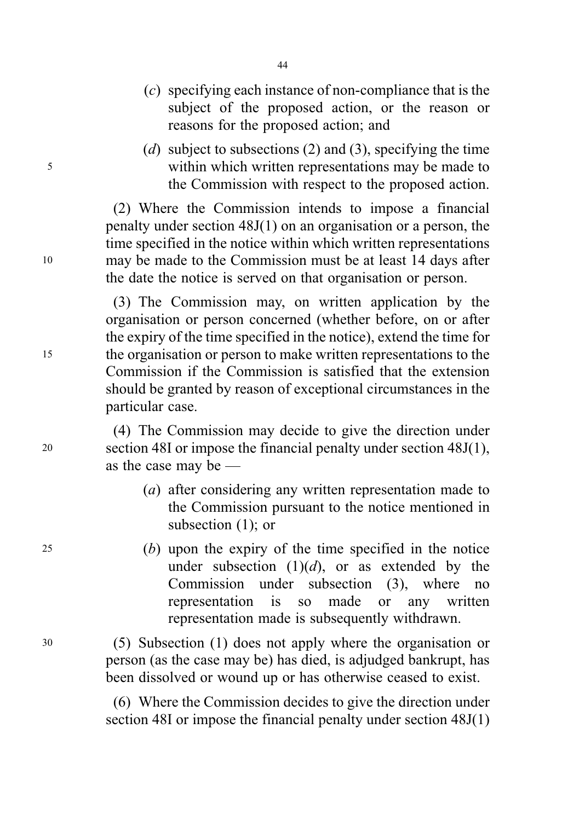- (c) specifying each instance of non-compliance that is the subject of the proposed action, or the reason or reasons for the proposed action; and
- (d) subject to subsections (2) and (3), specifying the time <sup>5</sup> within which written representations may be made to the Commission with respect to the proposed action.

(2) Where the Commission intends to impose a financial penalty under section 48J(1) on an organisation or a person, the time specified in the notice within which written representations <sup>10</sup> may be made to the Commission must be at least 14 days after the date the notice is served on that organisation or person.

(3) The Commission may, on written application by the organisation or person concerned (whether before, on or after the expiry of the time specified in the notice), extend the time for <sup>15</sup> the organisation or person to make written representations to the Commission if the Commission is satisfied that the extension should be granted by reason of exceptional circumstances in the particular case.

(4) The Commission may decide to give the direction under <sup>20</sup> section 48I or impose the financial penalty under section 48J(1), as the case may be —

- (a) after considering any written representation made to the Commission pursuant to the notice mentioned in subsection (1); or
- <sup>25</sup> (b) upon the expiry of the time specified in the notice under subsection  $(1)(d)$ , or as extended by the Commission under subsection (3), where no representation is so made or any written representation made is subsequently withdrawn.

<sup>30</sup> (5) Subsection (1) does not apply where the organisation or person (as the case may be) has died, is adjudged bankrupt, has been dissolved or wound up or has otherwise ceased to exist.

> (6) Where the Commission decides to give the direction under section 48I or impose the financial penalty under section 48J(1)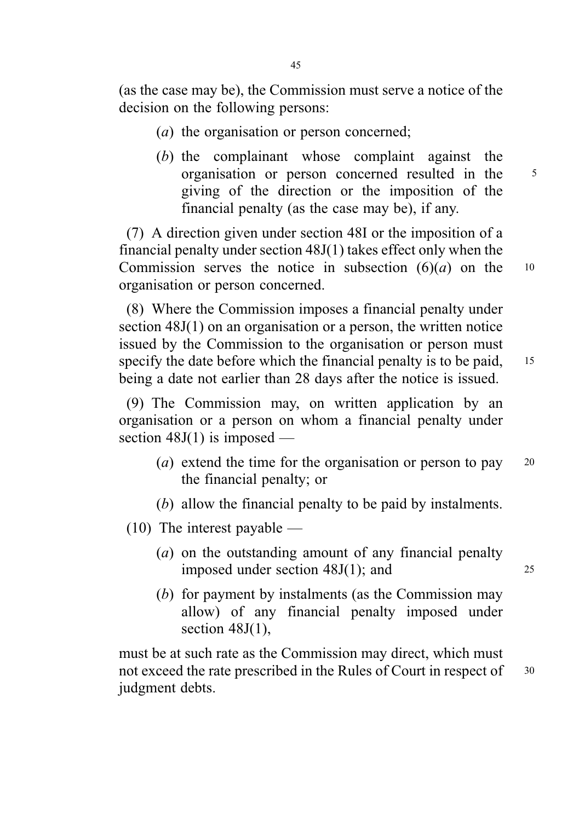(as the case may be), the Commission must serve a notice of the decision on the following persons:

- (a) the organisation or person concerned;
- (b) the complainant whose complaint against the organisation or person concerned resulted in the <sup>5</sup> giving of the direction or the imposition of the financial penalty (as the case may be), if any.

(7) A direction given under section 48I or the imposition of a financial penalty under section 48J(1) takes effect only when the Commission serves the notice in subsection  $(6)(a)$  on the 10 organisation or person concerned.

(8) Where the Commission imposes a financial penalty under section 48J(1) on an organisation or a person, the written notice issued by the Commission to the organisation or person must specify the date before which the financial penalty is to be paid, <sup>15</sup> being a date not earlier than 28 days after the notice is issued.

(9) The Commission may, on written application by an organisation or a person on whom a financial penalty under section  $48J(1)$  is imposed —

- (*a*) extend the time for the organisation or person to pay  $20$ the financial penalty; or
- (b) allow the financial penalty to be paid by instalments.
- (10) The interest payable
	- (a) on the outstanding amount of any financial penalty imposed under section 48J(1); and 25
	- (b) for payment by instalments (as the Commission may allow) of any financial penalty imposed under section  $48J(1)$ ,

must be at such rate as the Commission may direct, which must not exceed the rate prescribed in the Rules of Court in respect of 30 judgment debts.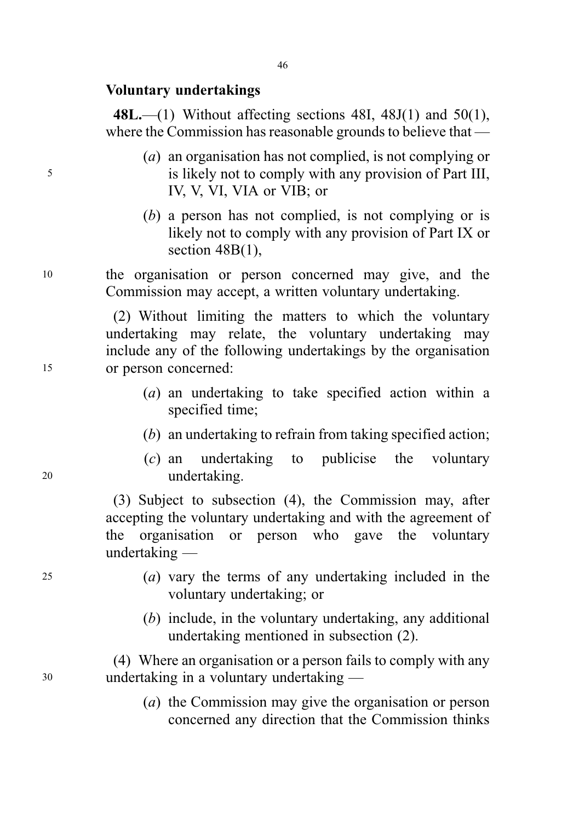### Voluntary undertakings

48L.—(1) Without affecting sections 48I, 48J(1) and  $50(1)$ , where the Commission has reasonable grounds to believe that —

- (a) an organisation has not complied, is not complying or <sup>5</sup> is likely not to comply with any provision of Part III, IV, V, VI, VIA or VIB; or
	- (b) a person has not complied, is not complying or is likely not to comply with any provision of Part IX or section 48B(1),

<sup>10</sup> the organisation or person concerned may give, and the Commission may accept, a written voluntary undertaking.

(2) Without limiting the matters to which the voluntary undertaking may relate, the voluntary undertaking may include any of the following undertakings by the organisation <sup>15</sup> or person concerned:

- (a) an undertaking to take specified action within a specified time;
- (b) an undertaking to refrain from taking specified action;
- (c) an undertaking to publicise the voluntary <sup>20</sup> undertaking.

(3) Subject to subsection (4), the Commission may, after accepting the voluntary undertaking and with the agreement of the organisation or person who gave the voluntary undertaking —

- <sup>25</sup> (a) vary the terms of any undertaking included in the voluntary undertaking; or
	- (b) include, in the voluntary undertaking, any additional undertaking mentioned in subsection (2).

(4) Where an organisation or a person fails to comply with any <sup>30</sup> undertaking in a voluntary undertaking —

> (a) the Commission may give the organisation or person concerned any direction that the Commission thinks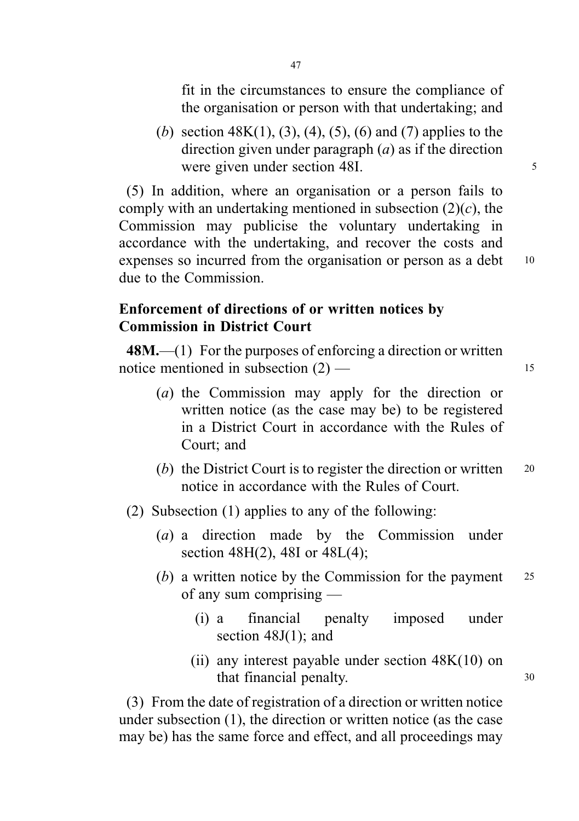fit in the circumstances to ensure the compliance of the organisation or person with that undertaking; and

(b) section  $48K(1)$ , (3), (4), (5), (6) and (7) applies to the direction given under paragraph  $(a)$  as if the direction were given under section 48I.

(5) In addition, where an organisation or a person fails to comply with an undertaking mentioned in subsection  $(2)(c)$ , the Commission may publicise the voluntary undertaking in accordance with the undertaking, and recover the costs and expenses so incurred from the organisation or person as a debt 10 due to the Commission.

# Enforcement of directions of or written notices by Commission in District Court

48M.—(1) For the purposes of enforcing a direction or written notice mentioned in subsection  $(2)$  — 15

- (a) the Commission may apply for the direction or written notice (as the case may be) to be registered in a District Court in accordance with the Rules of Court; and
- (b) the District Court is to register the direction or written  $20$ notice in accordance with the Rules of Court.
- (2) Subsection (1) applies to any of the following:
	- (a) a direction made by the Commission under section 48H(2), 48I or 48L(4);
	- (b) a written notice by the Commission for the payment  $25$ of any sum comprising —
		- (i) a financial penalty imposed under section 48J(1); and
		- (ii) any interest payable under section  $48K(10)$  on that financial penalty. 30

(3) From the date of registration of a direction or written notice under subsection (1), the direction or written notice (as the case may be) has the same force and effect, and all proceedings may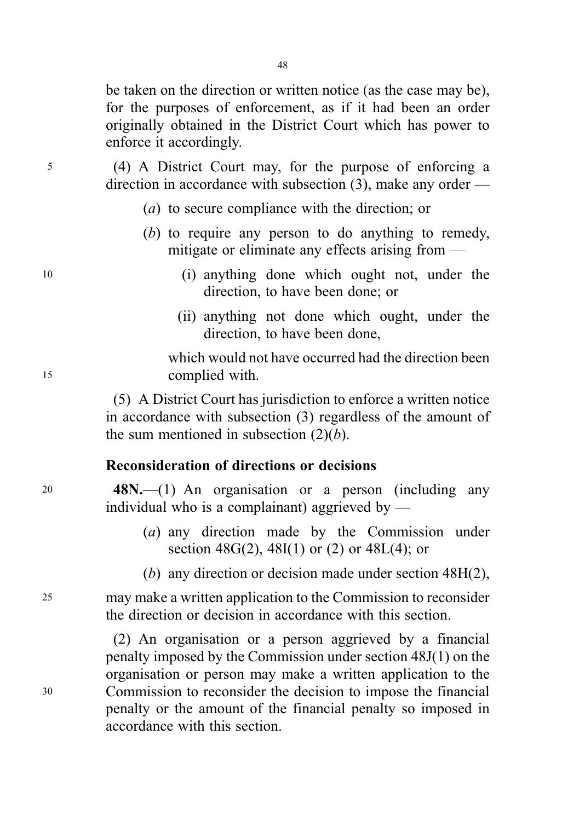be taken on the direction or written notice (as the case may be), for the purposes of enforcement, as if it had been an order originally obtained in the District Court which has power to enforce it accordingly.

<sup>5</sup> (4) A District Court may, for the purpose of enforcing a direction in accordance with subsection (3), make any order —

- (a) to secure compliance with the direction; or
- (b) to require any person to do anything to remedy, mitigate or eliminate any effects arising from —
- <sup>10</sup> (i) anything done which ought not, under the direction, to have been done; or
	- (ii) anything not done which ought, under the direction, to have been done,

which would not have occurred had the direction been <sup>15</sup> complied with.

> (5) A District Court has jurisdiction to enforce a written notice in accordance with subsection (3) regardless of the amount of the sum mentioned in subsection  $(2)(b)$ .

## Reconsideration of directions or decisions

<sup>20</sup> 48N.—(1) An organisation or a person (including any individual who is a complainant) aggrieved by —

- (a) any direction made by the Commission under section  $48G(2)$ ,  $48I(1)$  or (2) or  $48L(4)$ ; or
- (b) any direction or decision made under section 48H(2),

<sup>25</sup> may make a written application to the Commission to reconsider the direction or decision in accordance with this section.

(2) An organisation or a person aggrieved by a financial penalty imposed by the Commission under section 48J(1) on the organisation or person may make a written application to the <sup>30</sup> Commission to reconsider the decision to impose the financial penalty or the amount of the financial penalty so imposed in accordance with this section.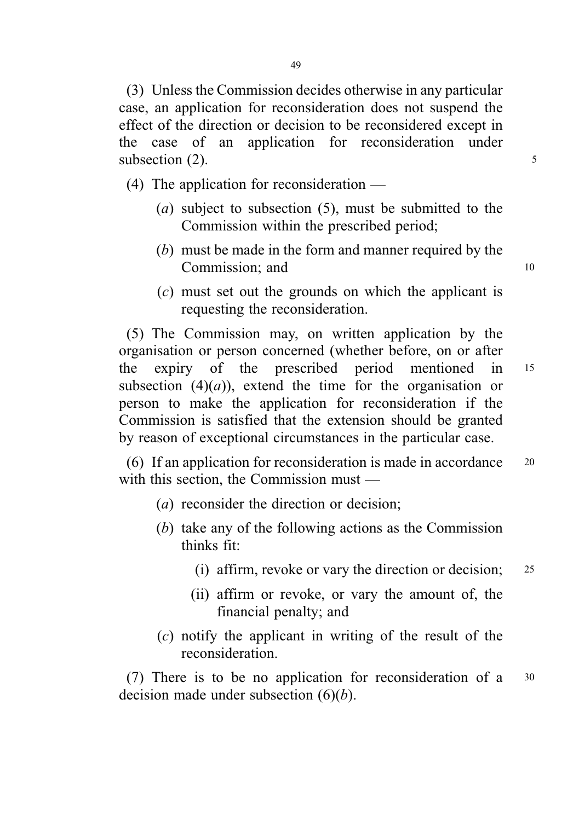(3) Unless the Commission decides otherwise in any particular case, an application for reconsideration does not suspend the effect of the direction or decision to be reconsidered except in the case of an application for reconsideration under subsection  $(2)$ .  $\frac{5}{2}$ 

(4) The application for reconsideration —

- (a) subject to subsection  $(5)$ , must be submitted to the Commission within the prescribed period;
- (b) must be made in the form and manner required by the Commission: and 10
- (c) must set out the grounds on which the applicant is requesting the reconsideration.

(5) The Commission may, on written application by the organisation or person concerned (whether before, on or after the expiry of the prescribed period mentioned in <sup>15</sup> subsection  $(4)(a)$ , extend the time for the organisation or person to make the application for reconsideration if the Commission is satisfied that the extension should be granted by reason of exceptional circumstances in the particular case.

(6) If an application for reconsideration is made in accordance <sup>20</sup> with this section, the Commission must —

- (a) reconsider the direction or decision;
- (b) take any of the following actions as the Commission thinks fit:
	- (i) affirm, revoke or vary the direction or decision; <sup>25</sup>
	- (ii) affirm or revoke, or vary the amount of, the financial penalty; and
- (c) notify the applicant in writing of the result of the reconsideration.

(7) There is to be no application for reconsideration of a <sup>30</sup> decision made under subsection  $(6)(b)$ .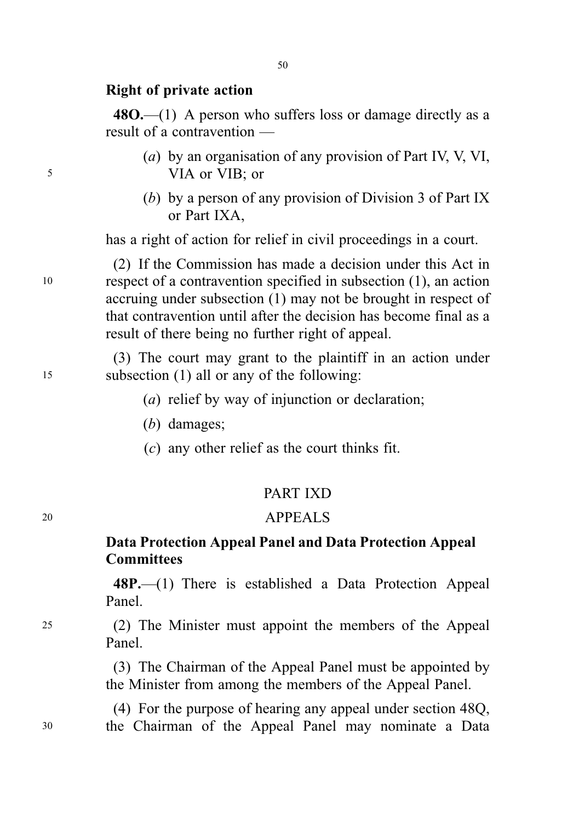## Right of private action

 $480$ —(1) A person who suffers loss or damage directly as a result of a contravention —

- (a) by an organisation of any provision of Part IV, V, VI, <sup>5</sup> VIA or VIB; or
	- (b) by a person of any provision of Division 3 of Part IX or Part IXA,

has a right of action for relief in civil proceedings in a court.

(2) If the Commission has made a decision under this Act in <sup>10</sup> respect of a contravention specified in subsection (1), an action accruing under subsection (1) may not be brought in respect of that contravention until after the decision has become final as a result of there being no further right of appeal.

(3) The court may grant to the plaintiff in an action under <sup>15</sup> subsection (1) all or any of the following:

- (a) relief by way of injunction or declaration;
- (b) damages;
- (c) any other relief as the court thinks fit.

## PART IXD

## <sup>20</sup> APPEALS

# Data Protection Appeal Panel and Data Protection Appeal **Committees**

48P.—(1) There is established a Data Protection Appeal Panel.

<sup>25</sup> (2) The Minister must appoint the members of the Appeal Panel.

> (3) The Chairman of the Appeal Panel must be appointed by the Minister from among the members of the Appeal Panel.

(4) For the purpose of hearing any appeal under section 48Q, <sup>30</sup> the Chairman of the Appeal Panel may nominate a Data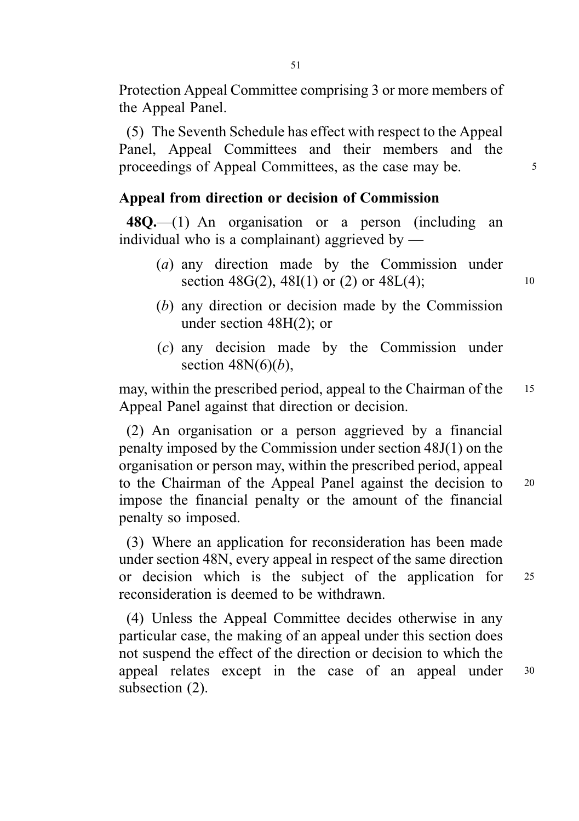Protection Appeal Committee comprising 3 or more members of the Appeal Panel.

(5) The Seventh Schedule has effect with respect to the Appeal Panel, Appeal Committees and their members and the proceedings of Appeal Committees, as the case may be. 5

# Appeal from direction or decision of Commission

 $48Q$ ,  $-(1)$  An organisation or a person (including an individual who is a complainant) aggrieved by  $-$ 

- (a) any direction made by the Commission under section  $48G(2)$ ,  $48I(1)$  or  $(2)$  or  $48L(4)$ ; 10
- (b) any direction or decision made by the Commission under section 48H(2); or
- (c) any decision made by the Commission under section  $48N(6)(b)$ ,

may, within the prescribed period, appeal to the Chairman of the 15 Appeal Panel against that direction or decision.

(2) An organisation or a person aggrieved by a financial penalty imposed by the Commission under section 48J(1) on the organisation or person may, within the prescribed period, appeal to the Chairman of the Appeal Panel against the decision to <sup>20</sup> impose the financial penalty or the amount of the financial penalty so imposed.

(3) Where an application for reconsideration has been made under section 48N, every appeal in respect of the same direction or decision which is the subject of the application for <sup>25</sup> reconsideration is deemed to be withdrawn.

(4) Unless the Appeal Committee decides otherwise in any particular case, the making of an appeal under this section does not suspend the effect of the direction or decision to which the appeal relates except in the case of an appeal under <sup>30</sup> subsection (2).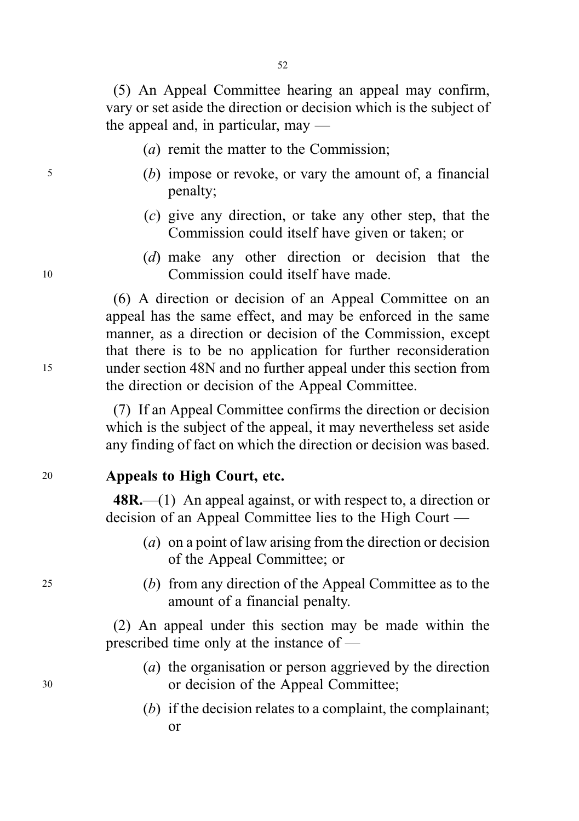(5) An Appeal Committee hearing an appeal may confirm, vary or set aside the direction or decision which is the subject of the appeal and, in particular, may —

- (a) remit the matter to the Commission;
- <sup>5</sup> (b) impose or revoke, or vary the amount of, a financial penalty;
	- (c) give any direction, or take any other step, that the Commission could itself have given or taken; or
- (d) make any other direction or decision that the <sup>10</sup> Commission could itself have made.

(6) A direction or decision of an Appeal Committee on an appeal has the same effect, and may be enforced in the same manner, as a direction or decision of the Commission, except that there is to be no application for further reconsideration <sup>15</sup> under section 48N and no further appeal under this section from the direction or decision of the Appeal Committee.

> (7) If an Appeal Committee confirms the direction or decision which is the subject of the appeal, it may nevertheless set aside any finding of fact on which the direction or decision was based.

## <sup>20</sup> Appeals to High Court, etc.

 $48R$ .—(1) An appeal against, or with respect to, a direction or decision of an Appeal Committee lies to the High Court —

- (a) on a point of law arising from the direction or decision of the Appeal Committee; or
- <sup>25</sup> (b) from any direction of the Appeal Committee as to the amount of a financial penalty.

(2) An appeal under this section may be made within the prescribed time only at the instance of —

- (a) the organisation or person aggrieved by the direction <sup>30</sup> or decision of the Appeal Committee;
	- (b) if the decision relates to a complaint, the complainant; or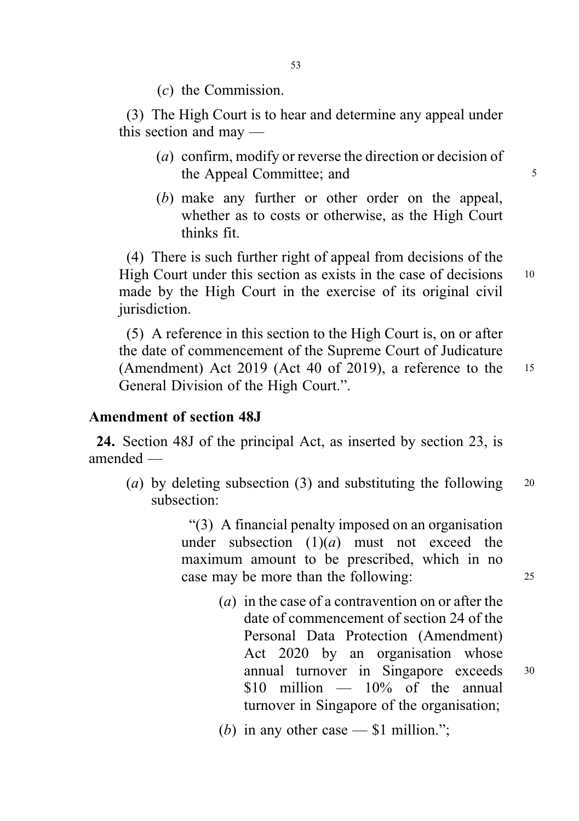(c) the Commission.

(3) The High Court is to hear and determine any appeal under this section and may —

- (a) confirm, modify or reverse the direction or decision of the Appeal Committee; and 5
- (b) make any further or other order on the appeal, whether as to costs or otherwise, as the High Court thinks fit.

(4) There is such further right of appeal from decisions of the High Court under this section as exists in the case of decisions 10 made by the High Court in the exercise of its original civil jurisdiction.

(5) A reference in this section to the High Court is, on or after the date of commencement of the Supreme Court of Judicature (Amendment) Act 2019 (Act 40 of 2019), a reference to the <sup>15</sup> General Division of the High Court.".

## Amendment of section 48J

24. Section 48J of the principal Act, as inserted by section 23, is amended —

(a) by deleting subsection (3) and substituting the following  $20$ subsection:

> "(3) A financial penalty imposed on an organisation under subsection  $(1)(a)$  must not exceed the maximum amount to be prescribed, which in no case may be more than the following: 25

> > (a) in the case of a contravention on or after the date of commencement of section 24 of the Personal Data Protection (Amendment) Act 2020 by an organisation whose annual turnover in Singapore exceeds <sup>30</sup> \$10 million — 10% of the annual turnover in Singapore of the organisation;

(b) in any other case  $-$  \$1 million.";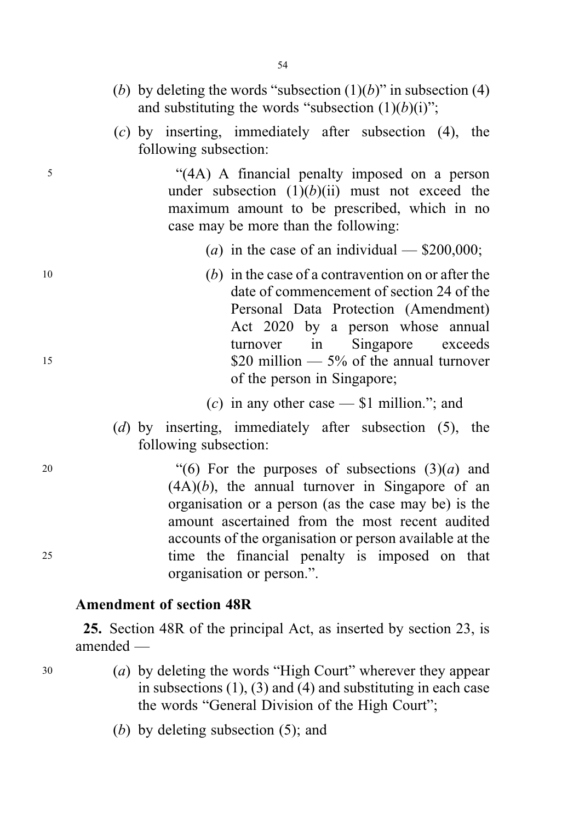- (b) by deleting the words "subsection  $(1)(b)$ " in subsection (4) and substituting the words "subsection  $(1)(b)(i)$ ";
- (c) by inserting, immediately after subsection (4), the following subsection:

<sup>5</sup> "(4A) A financial penalty imposed on a person under subsection  $(1)(b)(ii)$  must not exceed the maximum amount to be prescribed, which in no case may be more than the following:

- (a) in the case of an individual  $$200,000$ ;
- <sup>10</sup> (b) in the case of a contravention on or after the date of commencement of section 24 of the Personal Data Protection (Amendment) Act 2020 by a person whose annual turnover in Singapore exceeds  $$20 \text{ million} \text{--} 5\% \text{ of the annual turnover}$ of the person in Singapore;
	- (c) in any other case  $-$  \$1 million."; and
	- (d) by inserting, immediately after subsection (5), the following subsection:

20 "(6) For the purposes of subsections  $(3)(a)$  and  $(4A)(b)$ , the annual turnover in Singapore of an organisation or a person (as the case may be) is the amount ascertained from the most recent audited accounts of the organisation or person available at the <sup>25</sup> time the financial penalty is imposed on that organisation or person.".

# Amendment of section 48R

25. Section 48R of the principal Act, as inserted by section 23, is amended —

<sup>30</sup> (a) by deleting the words "High Court" wherever they appear in subsections  $(1)$ ,  $(3)$  and  $(4)$  and substituting in each case the words "General Division of the High Court";

(b) by deleting subsection (5); and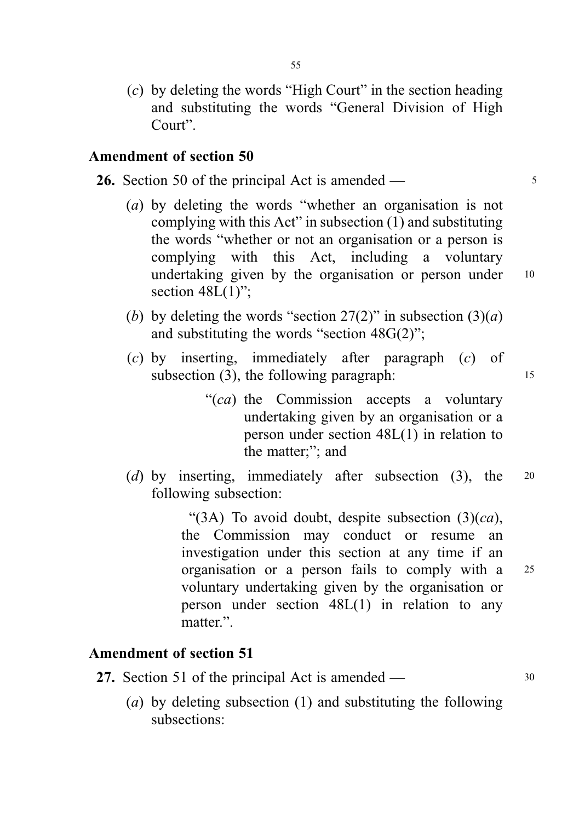(c) by deleting the words "High Court" in the section heading and substituting the words "General Division of High Court".

## Amendment of section 50

- 26. Section 50 of the principal Act is amended 5
	- (a) by deleting the words "whether an organisation is not complying with this Act" in subsection (1) and substituting the words "whether or not an organisation or a person is complying with this Act, including a voluntary undertaking given by the organisation or person under 10 section  $48L(1)$ ":
	- (b) by deleting the words "section  $27(2)$ " in subsection  $(3)(a)$ and substituting the words "section 48G(2)";
	- (c) by inserting, immediately after paragraph (c) of subsection (3), the following paragraph: 15
		- "(ca) the Commission accepts a voluntary undertaking given by an organisation or a person under section 48L(1) in relation to the matter;"; and
	- (d) by inserting, immediately after subsection (3), the 20 following subsection:

"(3A) To avoid doubt, despite subsection  $(3)(ca)$ , the Commission may conduct or resume an investigation under this section at any time if an organisation or a person fails to comply with a <sup>25</sup> voluntary undertaking given by the organisation or person under section 48L(1) in relation to any matter."

## Amendment of section 51

- 27. Section 51 of the principal Act is amended 30
	- (a) by deleting subsection (1) and substituting the following subsections: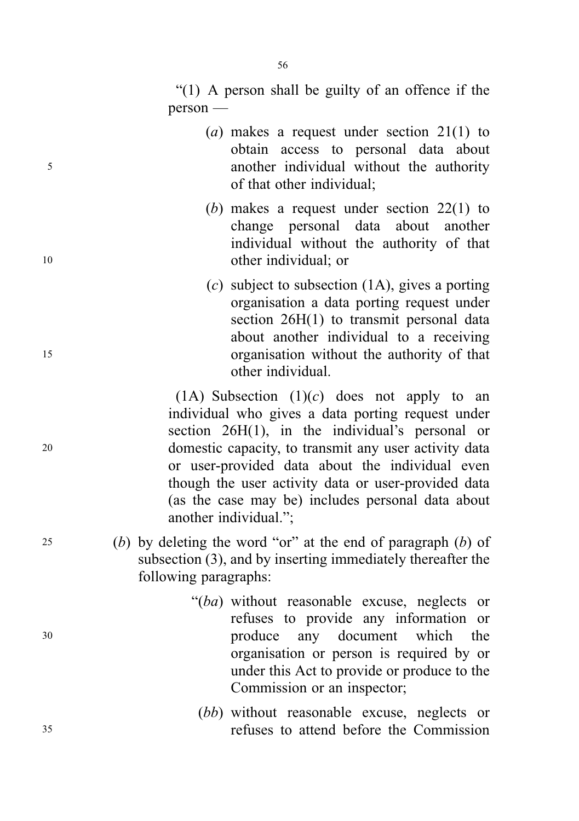- (a) makes a request under section  $21(1)$  to obtain access to personal data about <sup>5</sup> another individual without the authority of that other individual;
- (b) makes a request under section 22(1) to change personal data about another individual without the authority of that <sup>10</sup> other individual; or
- (c) subject to subsection  $(1A)$ , gives a porting organisation a data porting request under section 26H(1) to transmit personal data about another individual to a receiving <sup>15</sup> organisation without the authority of that other individual.

(1A) Subsection  $(1)(c)$  does not apply to an individual who gives a data porting request under section 26H(1), in the individual's personal or <sup>20</sup> domestic capacity, to transmit any user activity data or user-provided data about the individual even though the user activity data or user-provided data (as the case may be) includes personal data about another individual.";

- 25 (b) by deleting the word "or" at the end of paragraph  $(b)$  of subsection (3), and by inserting immediately thereafter the following paragraphs:
- "(ba) without reasonable excuse, neglects or refuses to provide any information or <sup>30</sup> produce any document which the organisation or person is required by or under this Act to provide or produce to the Commission or an inspector;
- (*bb*) without reasonable excuse, neglects or <sup>35</sup> refuses to attend before the Commission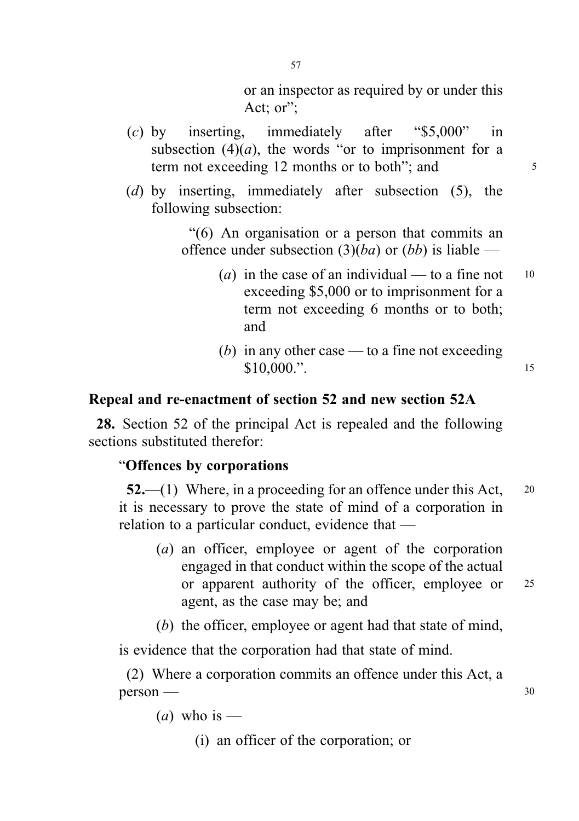or an inspector as required by or under this Act; or":

- (c) by inserting, immediately after "\$5,000" in subsection  $(4)(a)$ , the words "or to imprisonment for a term not exceeding 12 months or to both"; and  $5^{\circ}$
- (d) by inserting, immediately after subsection (5), the following subsection:

"(6) An organisation or a person that commits an offence under subsection  $(3)(ba)$  or  $(bb)$  is liable —

- (a) in the case of an individual to a fine not  $10$ exceeding \$5,000 or to imprisonment for a term not exceeding 6 months or to both; and
- (b) in any other case to a fine not exceeding \$10,000.". <sup>15</sup>

## Repeal and re-enactment of section 52 and new section 52A

28. Section 52 of the principal Act is repealed and the following sections substituted therefor:

## "Offences by corporations

 $52$ ,  $\rightarrow$  (1) Where, in a proceeding for an offence under this Act, 20 it is necessary to prove the state of mind of a corporation in relation to a particular conduct, evidence that —

- (a) an officer, employee or agent of the corporation engaged in that conduct within the scope of the actual or apparent authority of the officer, employee or <sup>25</sup> agent, as the case may be; and
- (b) the officer, employee or agent had that state of mind,

is evidence that the corporation had that state of mind.

(2) Where a corporation commits an offence under this Act, a  $person \rightarrow$  30

(*a*) who is —

(i) an officer of the corporation; or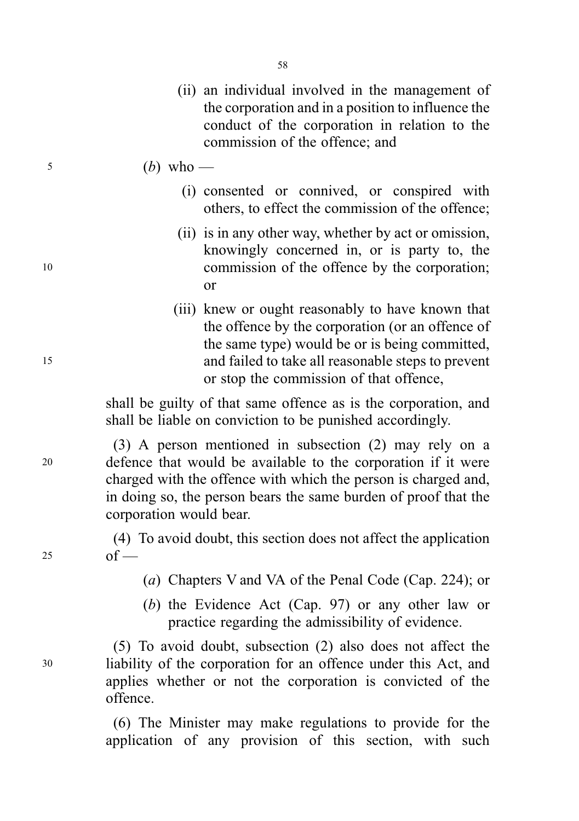- (ii) an individual involved in the management of the corporation and in a position to influence the conduct of the corporation in relation to the commission of the offence; and
- $\frac{5}{2}$  (b) who
	- (i) consented or connived, or conspired with others, to effect the commission of the offence;
- (ii) is in any other way, whether by act or omission, knowingly concerned in, or is party to, the <sup>10</sup> commission of the offence by the corporation; or
- (iii) knew or ought reasonably to have known that the offence by the corporation (or an offence of the same type) would be or is being committed, <sup>15</sup> and failed to take all reasonable steps to prevent or stop the commission of that offence,

shall be guilty of that same offence as is the corporation, and shall be liable on conviction to be punished accordingly.

(3) A person mentioned in subsection (2) may rely on a <sup>20</sup> defence that would be available to the corporation if it were charged with the offence with which the person is charged and, in doing so, the person bears the same burden of proof that the corporation would bear.

(4) To avoid doubt, this section does not affect the application  $25$  of —

- (a) Chapters V and VA of the Penal Code (Cap. 224); or
- (b) the Evidence Act (Cap. 97) or any other law or practice regarding the admissibility of evidence.

(5) To avoid doubt, subsection (2) also does not affect the <sup>30</sup> liability of the corporation for an offence under this Act, and applies whether or not the corporation is convicted of the offence.

> (6) The Minister may make regulations to provide for the application of any provision of this section, with such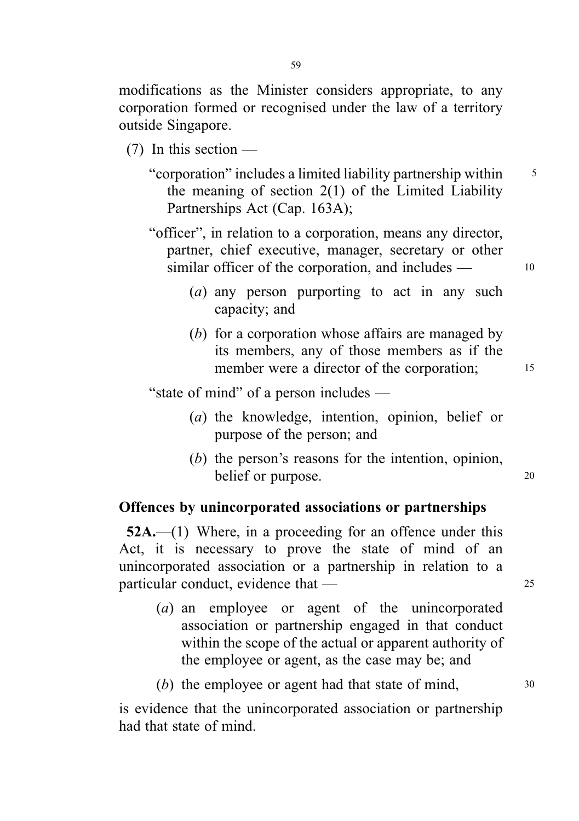modifications as the Minister considers appropriate, to any corporation formed or recognised under the law of a territory outside Singapore.

- (7) In this section
	- "corporation" includes a limited liability partnership within <sup>5</sup> the meaning of section 2(1) of the Limited Liability Partnerships Act (Cap. 163A);
	- "officer", in relation to a corporation, means any director, partner, chief executive, manager, secretary or other similar officer of the corporation, and includes  $\frac{10}{10}$ 
		- (a) any person purporting to act in any such capacity; and
		- (b) for a corporation whose affairs are managed by its members, any of those members as if the member were a director of the corporation: 15

"state of mind" of a person includes —

- (a) the knowledge, intention, opinion, belief or purpose of the person; and
- (b) the person's reasons for the intention, opinion, belief or purpose. 20

## Offences by unincorporated associations or partnerships

52A.—(1) Where, in a proceeding for an offence under this Act, it is necessary to prove the state of mind of an unincorporated association or a partnership in relation to a particular conduct, evidence that — 25

- (a) an employee or agent of the unincorporated association or partnership engaged in that conduct within the scope of the actual or apparent authority of the employee or agent, as the case may be; and
- (b) the employee or agent had that state of mind,  $30$

is evidence that the unincorporated association or partnership had that state of mind.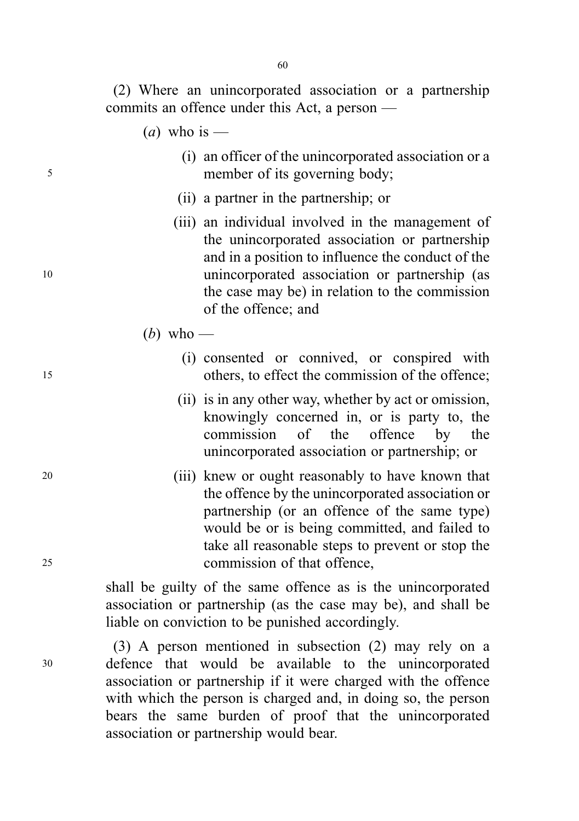(2) Where an unincorporated association or a partnership commits an offence under this Act, a person —

- (*a*) who is —
- (i) an officer of the unincorporated association or a <sup>5</sup> member of its governing body;
	- (ii) a partner in the partnership; or
- (iii) an individual involved in the management of the unincorporated association or partnership and in a position to influence the conduct of the <sup>10</sup> unincorporated association or partnership (as the case may be) in relation to the commission of the offence; and
	- (*b*) who —
- (i) consented or connived, or conspired with <sup>15</sup> others, to effect the commission of the offence;
	- (ii) is in any other way, whether by act or omission, knowingly concerned in, or is party to, the commission of the offence by the unincorporated association or partnership; or
- <sup>20</sup> (iii) knew or ought reasonably to have known that the offence by the unincorporated association or partnership (or an offence of the same type) would be or is being committed, and failed to take all reasonable steps to prevent or stop the <sup>25</sup> commission of that offence,

shall be guilty of the same offence as is the unincorporated association or partnership (as the case may be), and shall be liable on conviction to be punished accordingly.

(3) A person mentioned in subsection (2) may rely on a <sup>30</sup> defence that would be available to the unincorporated association or partnership if it were charged with the offence with which the person is charged and, in doing so, the person bears the same burden of proof that the unincorporated association or partnership would bear.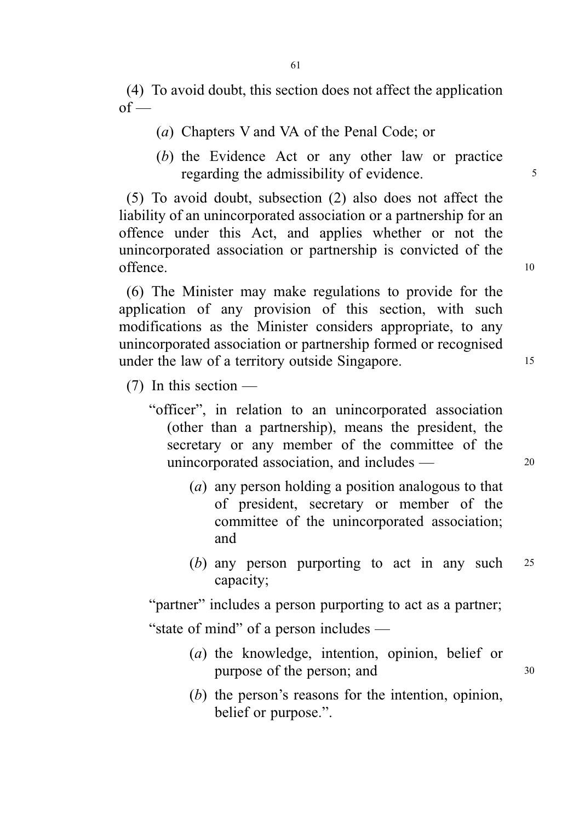(4) To avoid doubt, this section does not affect the application  $of -$ 

- (a) Chapters V and VA of the Penal Code; or
- (b) the Evidence Act or any other law or practice regarding the admissibility of evidence.

(5) To avoid doubt, subsection (2) also does not affect the liability of an unincorporated association or a partnership for an offence under this Act, and applies whether or not the unincorporated association or partnership is convicted of the offence. 10

(6) The Minister may make regulations to provide for the application of any provision of this section, with such modifications as the Minister considers appropriate, to any unincorporated association or partnership formed or recognised under the law of a territory outside Singapore.

(7) In this section —

- "officer", in relation to an unincorporated association (other than a partnership), means the president, the secretary or any member of the committee of the unincorporated association, and includes — 20
	- (a) any person holding a position analogous to that of president, secretary or member of the committee of the unincorporated association; and
	- (b) any person purporting to act in any such <sup>25</sup> capacity;

"partner" includes a person purporting to act as a partner; "state of mind" of a person includes —

- (a) the knowledge, intention, opinion, belief or purpose of the person; and  $30$
- (b) the person's reasons for the intention, opinion, belief or purpose.".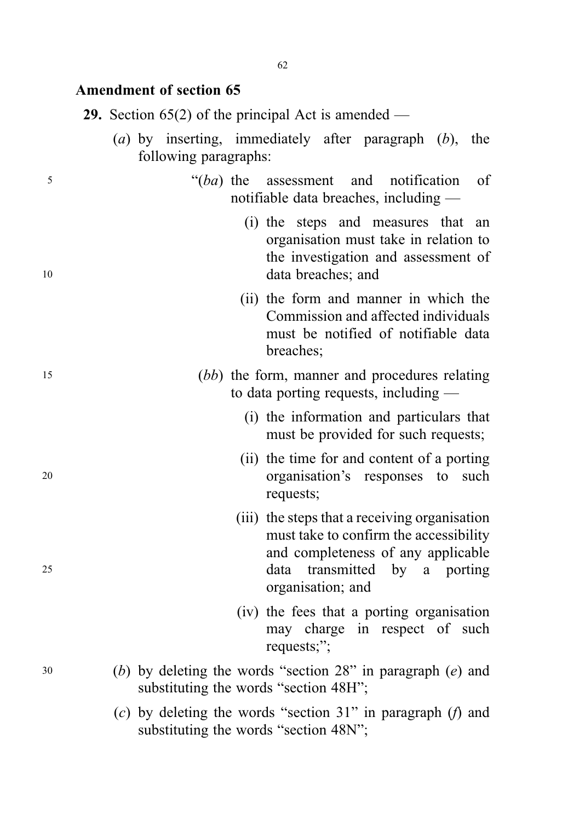## Amendment of section 65

|  |  |  |  |  |  | <b>29.</b> Section 65(2) of the principal Act is amended — |  |
|--|--|--|--|--|--|------------------------------------------------------------|--|
|--|--|--|--|--|--|------------------------------------------------------------|--|

- (a) by inserting, immediately after paragraph  $(b)$ , the following paragraphs:
- <sup>5</sup> "(ba) the assessment and notification of notifiable data breaches, including —
- (i) the steps and measures that an organisation must take in relation to the investigation and assessment of 10 data breaches; and
	- (ii) the form and manner in which the Commission and affected individuals must be notified of notifiable data breaches;
- <sup>15</sup> (bb) the form, manner and procedures relating to data porting requests, including —
	- (i) the information and particulars that must be provided for such requests;
- (ii) the time for and content of a porting <sup>20</sup> organisation's responses to such requests;
- (iii) the steps that a receiving organisation must take to confirm the accessibility and completeness of any applicable <sup>25</sup> data transmitted by a porting organisation; and
	- (iv) the fees that a porting organisation may charge in respect of such requests;";
- <sup>30</sup> (b) by deleting the words "section 28" in paragraph (e) and substituting the words "section 48H";
	- (c) by deleting the words "section 31" in paragraph  $(f)$  and substituting the words "section 48N";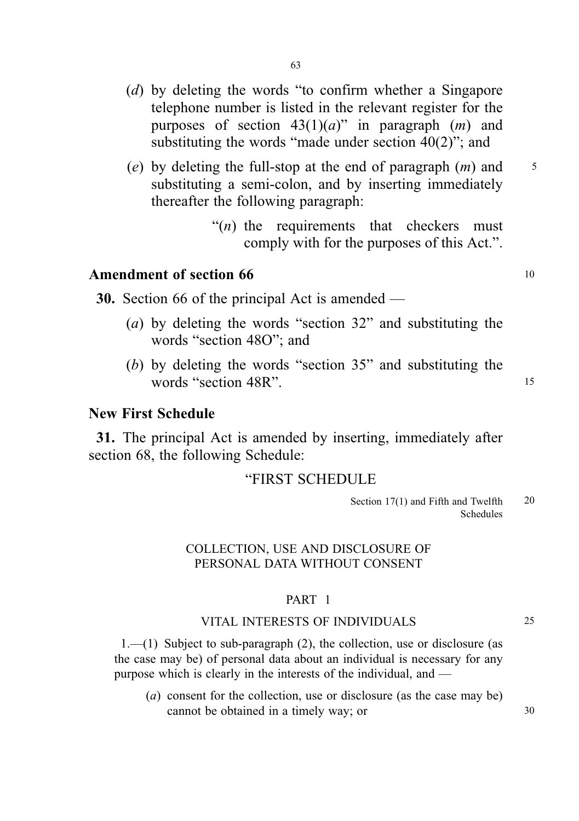- (d) by deleting the words "to confirm whether a Singapore telephone number is listed in the relevant register for the purposes of section  $43(1)(a)$ " in paragraph  $(m)$  and substituting the words "made under section 40(2)"; and
- (e) by deleting the full-stop at the end of paragraph  $(m)$  and  $\frac{5}{5}$ substituting a semi-colon, and by inserting immediately thereafter the following paragraph:
	- " $(n)$  the requirements that checkers must comply with for the purposes of this Act.".

## Amendment of section 66 <sup>10</sup>

30. Section 66 of the principal Act is amended —

- (a) by deleting the words "section 32" and substituting the words "section 48O"; and
- (b) by deleting the words "section 35" and substituting the words "section 48R".

## New First Schedule

31. The principal Act is amended by inserting, immediately after section 68, the following Schedule:

## "FIRST SCHEDULE

## COLLECTION, USE AND DISCLOSURE OF PERSONAL DATA WITHOUT CONSENT

#### PART 1

#### VITAL INTERESTS OF INDIVIDUALS 25

1.—(1) Subject to sub-paragraph (2), the collection, use or disclosure (as the case may be) of personal data about an individual is necessary for any purpose which is clearly in the interests of the individual, and —

(a) consent for the collection, use or disclosure (as the case may be) cannot be obtained in a timely way; or  $30$ 

Section 17(1) and Fifth and Twelfth 20 Schedules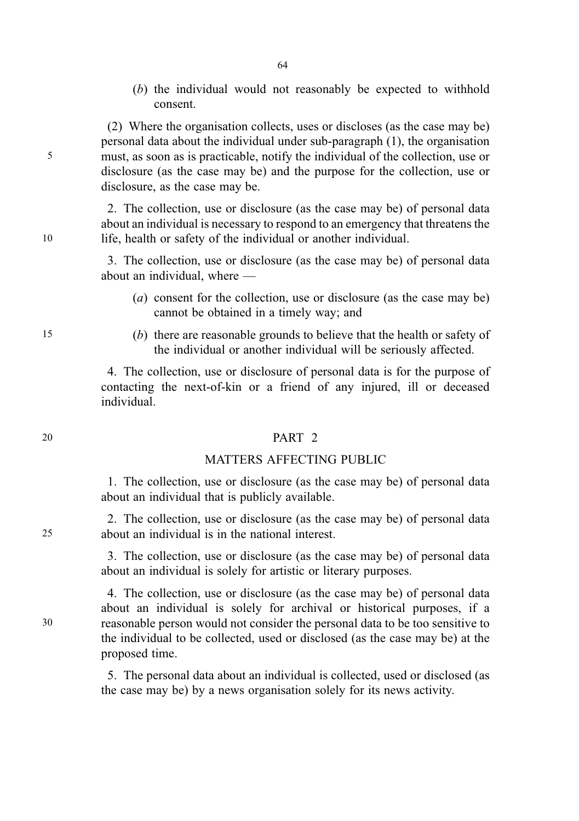(b) the individual would not reasonably be expected to withhold consent.

(2) Where the organisation collects, uses or discloses (as the case may be) personal data about the individual under sub-paragraph (1), the organisation 5 must, as soon as is practicable, notify the individual of the collection, use or disclosure (as the case may be) and the purpose for the collection, use or disclosure, as the case may be.

2. The collection, use or disclosure (as the case may be) of personal data about an individual is necessary to respond to an emergency that threatens the 10 life, health or safety of the individual or another individual.

> 3. The collection, use or disclosure (as the case may be) of personal data about an individual, where —

- (a) consent for the collection, use or disclosure (as the case may be) cannot be obtained in a timely way; and
- 15 (b) there are reasonable grounds to believe that the health or safety of the individual or another individual will be seriously affected.

4. The collection, use or disclosure of personal data is for the purpose of contacting the next-of-kin or a friend of any injured, ill or deceased individual.

#### 20 PART 2

## MATTERS AFFECTING PUBLIC

1. The collection, use or disclosure (as the case may be) of personal data about an individual that is publicly available.

2. The collection, use or disclosure (as the case may be) of personal data 25 about an individual is in the national interest.

> 3. The collection, use or disclosure (as the case may be) of personal data about an individual is solely for artistic or literary purposes.

4. The collection, use or disclosure (as the case may be) of personal data about an individual is solely for archival or historical purposes, if a 30 reasonable person would not consider the personal data to be too sensitive to the individual to be collected, used or disclosed (as the case may be) at the proposed time.

> 5. The personal data about an individual is collected, used or disclosed (as the case may be) by a news organisation solely for its news activity.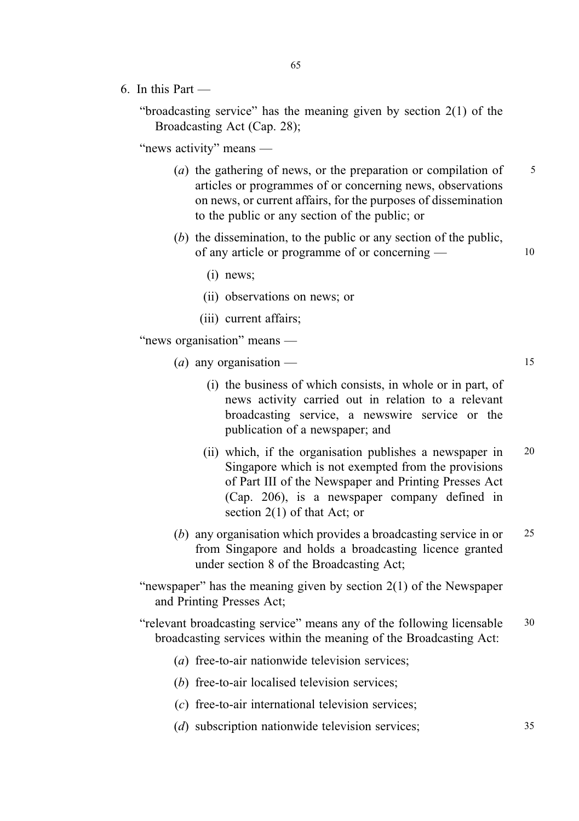- 
- 6. In this Part —

"broadcasting service" has the meaning given by section 2(1) of the Broadcasting Act (Cap. 28);

65

"news activity" means —

- (a) the gathering of news, or the preparation or compilation of  $5<sup>5</sup>$ articles or programmes of or concerning news, observations on news, or current affairs, for the purposes of dissemination to the public or any section of the public; or
- (b) the dissemination, to the public or any section of the public, of any article or programme of or concerning — 10
	- (i) news;
	- (ii) observations on news; or
	- (iii) current affairs;

"news organisation" means —

(*a*) any organisation — 15

- (i) the business of which consists, in whole or in part, of news activity carried out in relation to a relevant broadcasting service, a newswire service or the publication of a newspaper; and
- (ii) which, if the organisation publishes a newspaper in 20 Singapore which is not exempted from the provisions of Part III of the Newspaper and Printing Presses Act (Cap. 206), is a newspaper company defined in section 2(1) of that Act; or
- (b) any organisation which provides a broadcasting service in or 25 from Singapore and holds a broadcasting licence granted under section 8 of the Broadcasting Act;
- "newspaper" has the meaning given by section 2(1) of the Newspaper and Printing Presses Act;
- "relevant broadcasting service" means any of the following licensable 30 broadcasting services within the meaning of the Broadcasting Act:
	- (a) free-to-air nationwide television services;
	- (b) free-to-air localised television services;
	- (c) free-to-air international television services;
	- (*d*) subscription nationwide television services; 35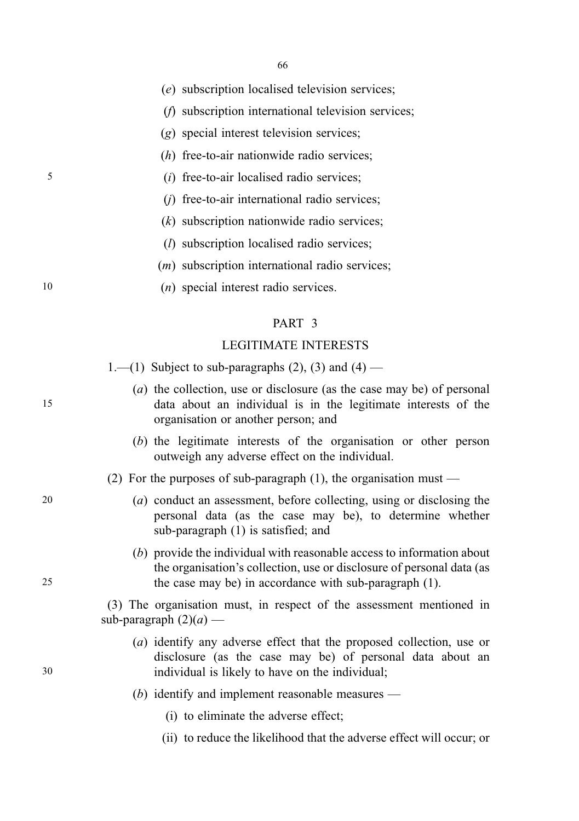(e) subscription localised television services;

- (f) subscription international television services;
- (g) special interest television services;
- (h) free-to-air nationwide radio services;
- 5 (i) free-to-air localised radio services;
	- (j) free-to-air international radio services;
	- (k) subscription nationwide radio services;
	- (l) subscription localised radio services;
	- (m) subscription international radio services;

10 (n) special interest radio services.

#### PART 3

#### LEGITIMATE INTERESTS

1.—(1) Subject to sub-paragraphs  $(2)$ ,  $(3)$  and  $(4)$  —

- (a) the collection, use or disclosure (as the case may be) of personal 15 data about an individual is in the legitimate interests of the organisation or another person; and
	- (b) the legitimate interests of the organisation or other person outweigh any adverse effect on the individual.
	- (2) For the purposes of sub-paragraph  $(1)$ , the organisation must —
- 20 (a) conduct an assessment, before collecting, using or disclosing the personal data (as the case may be), to determine whether sub-paragraph (1) is satisfied; and
- (b) provide the individual with reasonable access to information about the organisation's collection, use or disclosure of personal data (as 25 the case may be) in accordance with sub-paragraph (1).

(3) The organisation must, in respect of the assessment mentioned in sub-paragraph  $(2)(a)$  —

- (a) identify any adverse effect that the proposed collection, use or disclosure (as the case may be) of personal data about an 30 individual is likely to have on the individual;
	- (b) identify and implement reasonable measures
		- (i) to eliminate the adverse effect;
		- (ii) to reduce the likelihood that the adverse effect will occur; or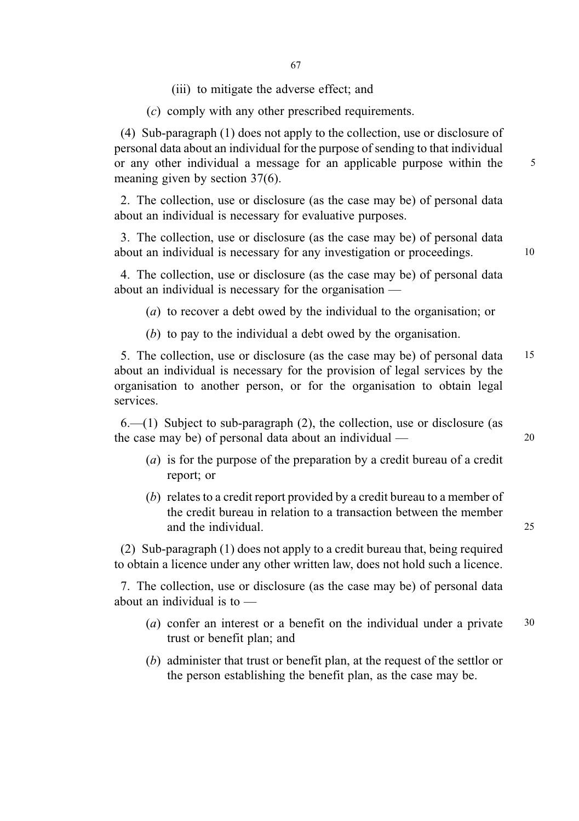(iii) to mitigate the adverse effect; and

(c) comply with any other prescribed requirements.

(4) Sub-paragraph (1) does not apply to the collection, use or disclosure of personal data about an individual for the purpose of sending to that individual or any other individual a message for an applicable purpose within the 5 meaning given by section 37(6).

2. The collection, use or disclosure (as the case may be) of personal data about an individual is necessary for evaluative purposes.

3. The collection, use or disclosure (as the case may be) of personal data about an individual is necessary for any investigation or proceedings. 10

4. The collection, use or disclosure (as the case may be) of personal data about an individual is necessary for the organisation —

(a) to recover a debt owed by the individual to the organisation; or

(b) to pay to the individual a debt owed by the organisation.

5. The collection, use or disclosure (as the case may be) of personal data 15 about an individual is necessary for the provision of legal services by the organisation to another person, or for the organisation to obtain legal services.

 $6-(1)$  Subject to sub-paragraph (2), the collection, use or disclosure (as the case may be) of personal data about an individual — 20

- (a) is for the purpose of the preparation by a credit bureau of a credit report; or
- (b) relates to a credit report provided by a credit bureau to a member of the credit bureau in relation to a transaction between the member and the individual and 25

(2) Sub-paragraph (1) does not apply to a credit bureau that, being required to obtain a licence under any other written law, does not hold such a licence.

7. The collection, use or disclosure (as the case may be) of personal data about an individual is to —

- (a) confer an interest or a benefit on the individual under a private 30 trust or benefit plan; and
- (b) administer that trust or benefit plan, at the request of the settlor or the person establishing the benefit plan, as the case may be.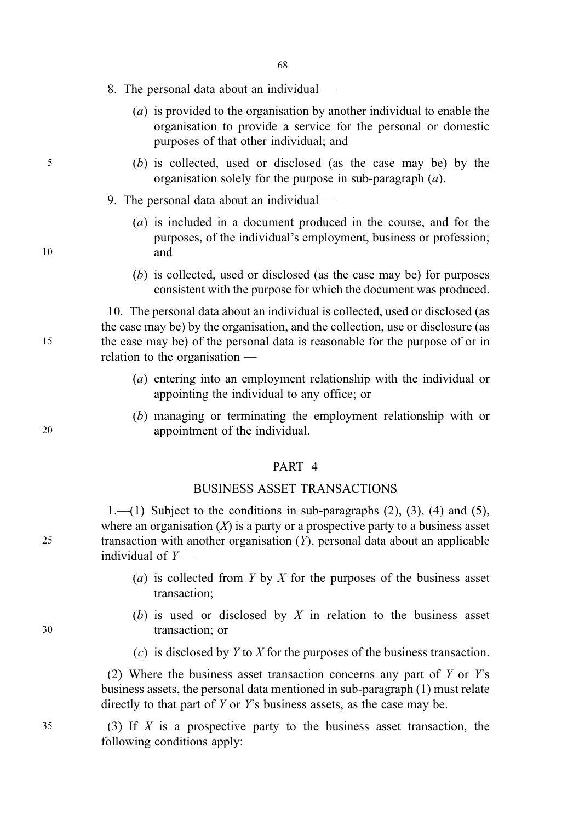- 8. The personal data about an individual
	- (a) is provided to the organisation by another individual to enable the organisation to provide a service for the personal or domestic purposes of that other individual; and
- 5 (b) is collected, used or disclosed (as the case may be) by the organisation solely for the purpose in sub-paragraph (a).
	- 9. The personal data about an individual —
- (a) is included in a document produced in the course, and for the purposes, of the individual's employment, business or profession; 10 and
	- (b) is collected, used or disclosed (as the case may be) for purposes consistent with the purpose for which the document was produced.

10. The personal data about an individual is collected, used or disclosed (as the case may be) by the organisation, and the collection, use or disclosure (as 15 the case may be) of the personal data is reasonable for the purpose of or in relation to the organisation —

- (a) entering into an employment relationship with the individual or appointing the individual to any office; or
- (b) managing or terminating the employment relationship with or 20 appointment of the individual.

#### PART 4

### BUSINESS ASSET TRANSACTIONS

 $1,-(1)$  Subject to the conditions in sub-paragraphs  $(2)$ ,  $(3)$ ,  $(4)$  and  $(5)$ , where an organisation  $(X)$  is a party or a prospective party to a business asset 25 transaction with another organisation  $(Y)$ , personal data about an applicable individual of  $Y$  —

- (a) is collected from Y by X for the purposes of the business asset transaction;
- (b) is used or disclosed by  $X$  in relation to the business asset 30 transaction; or
	- (c) is disclosed by  $Y$  to  $X$  for the purposes of the business transaction.

(2) Where the business asset transaction concerns any part of  $Y$  or  $Y$ 's business assets, the personal data mentioned in sub-paragraph (1) must relate directly to that part of Y or Y's business assets, as the case may be.

 $35$  (3) If X is a prospective party to the business asset transaction, the following conditions apply: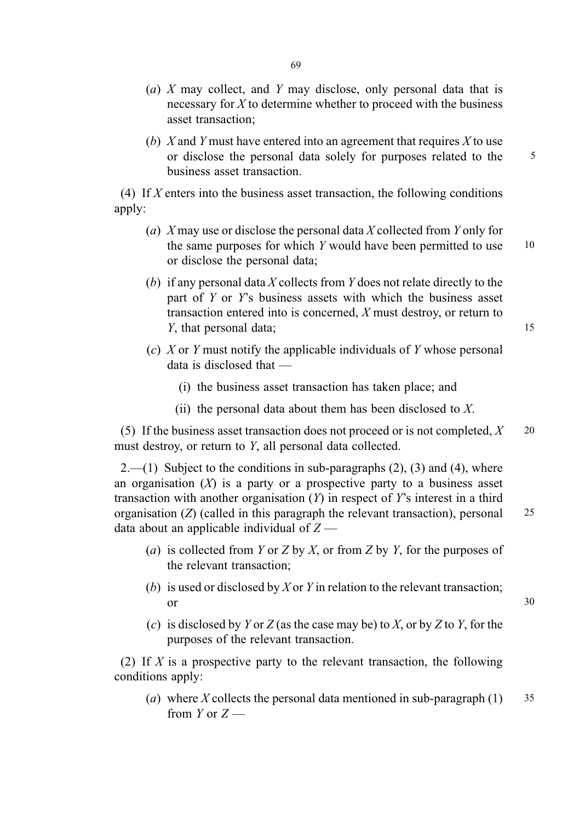- (a)  $X$  may collect, and  $Y$  may disclose, only personal data that is necessary for  $X$  to determine whether to proceed with the business asset transaction;
- (b) X and Y must have entered into an agreement that requires X to use or disclose the personal data solely for purposes related to the 5 business asset transaction.

(4) If  $X$  enters into the business asset transaction, the following conditions apply:

- (a) X may use or disclose the personal data X collected from Y only for the same purposes for which  $Y$  would have been permitted to use  $10$ or disclose the personal data;
- (b) if any personal data X collects from Y does not relate directly to the part of  $Y$  or  $Y$ 's business assets with which the business asset transaction entered into is concerned, X must destroy, or return to Y, that personal data; 15
- (c) X or Y must notify the applicable individuals of Y whose personal data is disclosed that —
	- (i) the business asset transaction has taken place; and
	- (ii) the personal data about them has been disclosed to  $X$ .

(5) If the business asset transaction does not proceed or is not completed,  $X = 20$ must destroy, or return to Y, all personal data collected.

 $2.-(1)$  Subject to the conditions in sub-paragraphs  $(2)$ ,  $(3)$  and  $(4)$ , where an organisation  $(X)$  is a party or a prospective party to a business asset transaction with another organisation  $(Y)$  in respect of  $Y$ 's interest in a third organisation  $(Z)$  (called in this paragraph the relevant transaction), personal 25 data about an applicable individual of  $Z$  —

- (a) is collected from Y or Z by X, or from Z by Y, for the purposes of the relevant transaction;
- (b) is used or disclosed by X or Y in relation to the relevant transaction; or  $30$
- (c) is disclosed by Y or Z (as the case may be) to X, or by Z to Y, for the purposes of the relevant transaction.

(2) If X is a prospective party to the relevant transaction, the following conditions apply:

(a) where X collects the personal data mentioned in sub-paragraph  $(1)$  35 from  $Y$  or  $Z$  —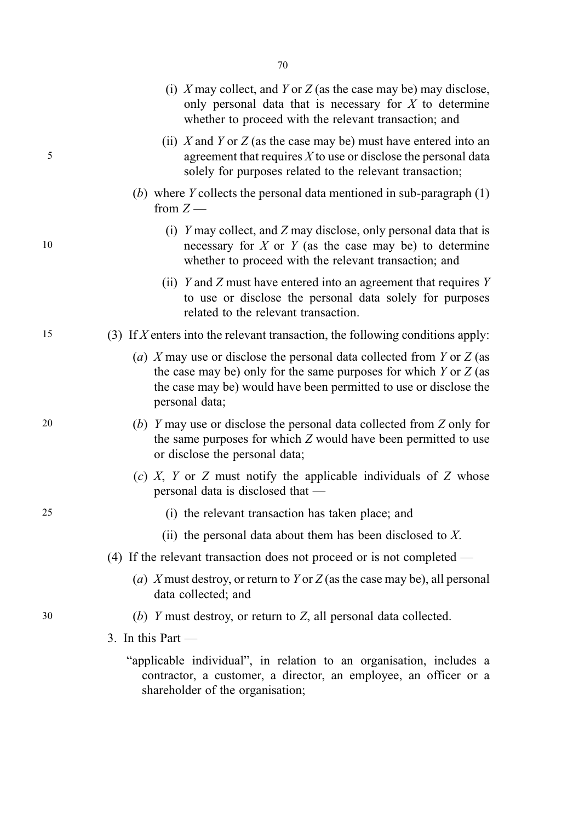|    | (i) X may collect, and Y or Z (as the case may be) may disclose,<br>only personal data that is necessary for $X$ to determine<br>whether to proceed with the relevant transaction; and                                               |
|----|--------------------------------------------------------------------------------------------------------------------------------------------------------------------------------------------------------------------------------------|
| 5  | (ii) X and Y or Z (as the case may be) must have entered into an<br>agreement that requires $X$ to use or disclose the personal data<br>solely for purposes related to the relevant transaction;                                     |
|    | (b) where Y collects the personal data mentioned in sub-paragraph $(1)$<br>from $Z$ —                                                                                                                                                |
| 10 | (i) Y may collect, and Z may disclose, only personal data that is<br>necessary for $X$ or $Y$ (as the case may be) to determine<br>whether to proceed with the relevant transaction; and                                             |
|    | (ii) Y and Z must have entered into an agreement that requires Y<br>to use or disclose the personal data solely for purposes<br>related to the relevant transaction.                                                                 |
| 15 | (3) If X enters into the relevant transaction, the following conditions apply:                                                                                                                                                       |
|    | (a) X may use or disclose the personal data collected from Y or Z (as<br>the case may be) only for the same purposes for which $Y$ or $Z$ (as<br>the case may be) would have been permitted to use or disclose the<br>personal data; |
| 20 | (b) Y may use or disclose the personal data collected from Z only for<br>the same purposes for which Z would have been permitted to use<br>or disclose the personal data;                                                            |
|    | (c) X, Y or Z must notify the applicable individuals of Z whose<br>personal data is disclosed that —                                                                                                                                 |
| 25 | (i) the relevant transaction has taken place; and                                                                                                                                                                                    |
|    | (ii) the personal data about them has been disclosed to $X$ .                                                                                                                                                                        |
|    | (4) If the relevant transaction does not proceed or is not completed —                                                                                                                                                               |
|    | (a) X must destroy, or return to Y or Z (as the case may be), all personal<br>data collected; and                                                                                                                                    |
| 30 | (b) Y must destroy, or return to Z, all personal data collected.                                                                                                                                                                     |
|    | 3. In this Part $-$                                                                                                                                                                                                                  |
|    | "applicable individual", in relation to an organisation, includes a<br>contractor, a customer, a director, an employee, an officer or a<br>shareholder of the organisation;                                                          |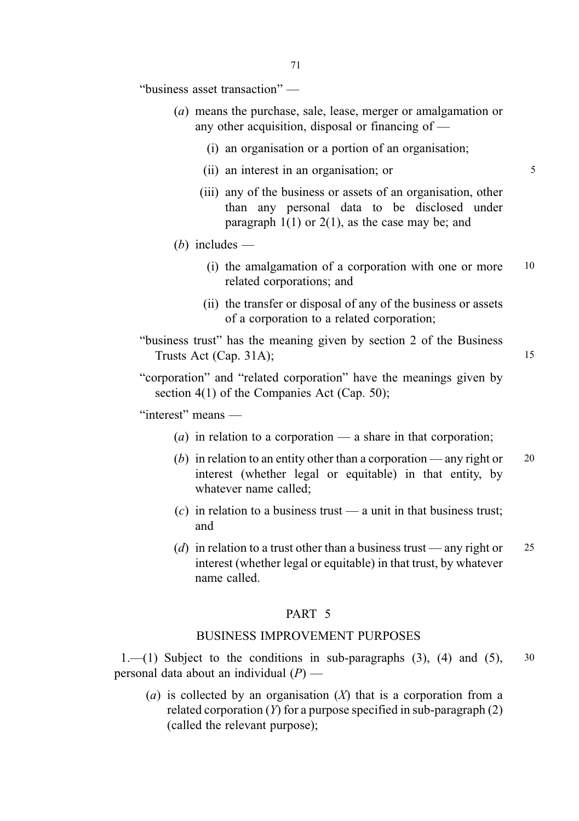"business asset transaction" —

- (a) means the purchase, sale, lease, merger or amalgamation or any other acquisition, disposal or financing of —
	- (i) an organisation or a portion of an organisation;
	- (ii) an interest in an organisation; or 5
	- (iii) any of the business or assets of an organisation, other than any personal data to be disclosed under paragraph  $1(1)$  or  $2(1)$ , as the case may be; and

#### (*b*) includes —

- (i) the amalgamation of a corporation with one or more 10 related corporations; and
- (ii) the transfer or disposal of any of the business or assets of a corporation to a related corporation;
- "business trust" has the meaning given by section 2 of the Business Trusts Act (Cap. 31A); 15

"corporation" and "related corporation" have the meanings given by section 4(1) of the Companies Act (Cap. 50);

"interest" means —

- (a) in relation to a corporation a share in that corporation;
- (b) in relation to an entity other than a corporation any right or  $20$ interest (whether legal or equitable) in that entity, by whatever name called;
- (c) in relation to a business trust  $\frac{d}{dx}$  a unit in that business trust: and
- (d) in relation to a trust other than a business trust any right or  $25$ interest (whether legal or equitable) in that trust, by whatever name called.

#### PART<sub>5</sub>

#### BUSINESS IMPROVEMENT PURPOSES

 $1.$ —(1) Subject to the conditions in sub-paragraphs (3), (4) and (5),  $30$ personal data about an individual  $(P)$  —

(a) is collected by an organisation  $(X)$  that is a corporation from a related corporation  $(Y)$  for a purpose specified in sub-paragraph  $(2)$ (called the relevant purpose);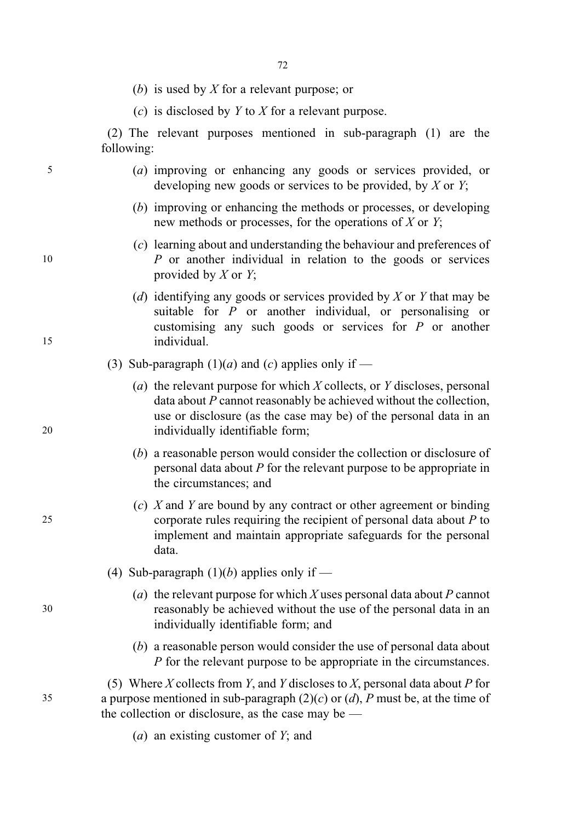- (b) is used by X for a relevant purpose; or
- (c) is disclosed by  $Y$  to  $X$  for a relevant purpose.

(2) The relevant purposes mentioned in sub-paragraph (1) are the following:

- 5 (a) improving or enhancing any goods or services provided, or developing new goods or services to be provided, by  $X$  or  $Y$ ;
	- (b) improving or enhancing the methods or processes, or developing new methods or processes, for the operations of  $X$  or  $Y$ ;
- (c) learning about and understanding the behaviour and preferences of 10 P or another individual in relation to the goods or services provided by  $X$  or  $Y$ ;
- (d) identifying any goods or services provided by  $X$  or  $Y$  that may be suitable for  $P$  or another individual, or personalising or customising any such goods or services for P or another 15 individual.
	- (3) Sub-paragraph  $(1)(a)$  and  $(c)$  applies only if —
- (a) the relevant purpose for which  $X$  collects, or  $Y$  discloses, personal data about P cannot reasonably be achieved without the collection, use or disclosure (as the case may be) of the personal data in an 20 individually identifiable form;
	- (b) a reasonable person would consider the collection or disclosure of personal data about P for the relevant purpose to be appropriate in the circumstances; and
- $(c)$  X and Y are bound by any contract or other agreement or binding 25 corporate rules requiring the recipient of personal data about P to implement and maintain appropriate safeguards for the personal data.
	- (4) Sub-paragraph  $(1)(b)$  applies only if —
- (a) the relevant purpose for which X uses personal data about P cannot 30 reasonably be achieved without the use of the personal data in an individually identifiable form; and
	- (b) a reasonable person would consider the use of personal data about P for the relevant purpose to be appropriate in the circumstances.
- (5) Where X collects from Y, and Y discloses to X, personal data about P for 35 a purpose mentioned in sub-paragraph  $(2)(c)$  or  $(d)$ , P must be, at the time of the collection or disclosure, as the case may be  $-$ 
	- (*a*) an existing customer of  $Y$ ; and

- 
-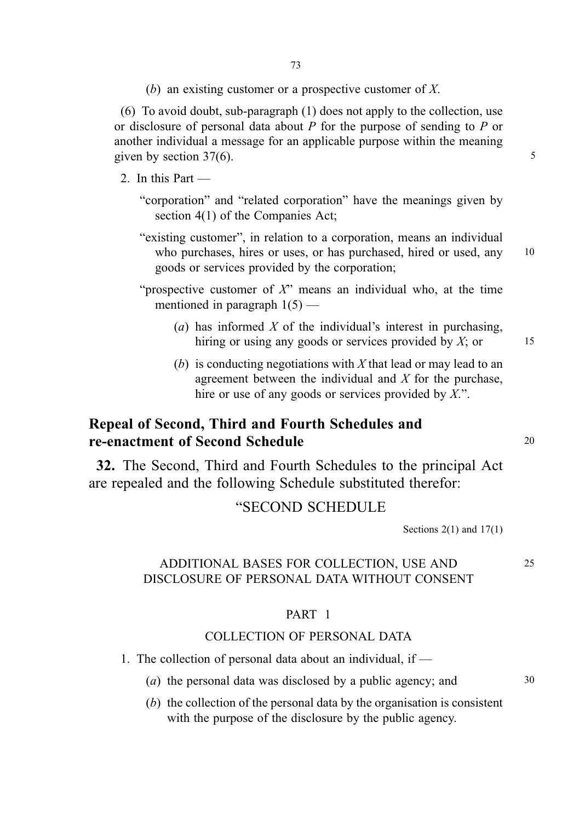(b) an existing customer or a prospective customer of X.

(6) To avoid doubt, sub-paragraph (1) does not apply to the collection, use or disclosure of personal data about P for the purpose of sending to P or another individual a message for an applicable purpose within the meaning given by section  $37(6)$ . 5

- 2. In this Part
	- "corporation" and "related corporation" have the meanings given by section 4(1) of the Companies Act;
	- "existing customer", in relation to a corporation, means an individual who purchases, hires or uses, or has purchased, hired or used, any 10 goods or services provided by the corporation;

- "prospective customer of  $X$ " means an individual who, at the time mentioned in paragraph  $1(5)$  —
	- (a) has informed X of the individual's interest in purchasing, hiring or using any goods or services provided by  $X$ ; or 15
	- (b) is conducting negotiations with X that lead or may lead to an agreement between the individual and  $X$  for the purchase, hire or use of any goods or services provided by  $X$ .".

## Repeal of Second, Third and Fourth Schedules and re-enactment of Second Schedule 20 and 20

32. The Second, Third and Fourth Schedules to the principal Act are repealed and the following Schedule substituted therefor:

## "SECOND SCHEDULE

Sections  $2(1)$  and  $17(1)$ 

#### ADDITIONAL BASES FOR COLLECTION, USE AND 25 DISCLOSURE OF PERSONAL DATA WITHOUT CONSENT

#### PART 1

### COLLECTION OF PERSONAL DATA

- 1. The collection of personal data about an individual, if
	- (a) the personal data was disclosed by a public agency; and 30
	- (b) the collection of the personal data by the organisation is consistent with the purpose of the disclosure by the public agency.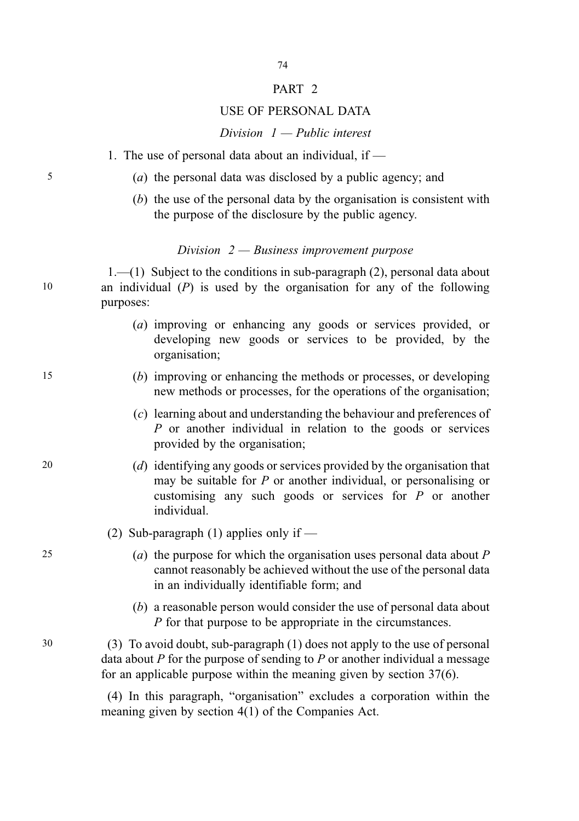#### PART<sub>2</sub>

74

#### USE OF PERSONAL DATA

#### Division  $1 -$  Public interest

- 1. The use of personal data about an individual, if —
- 5 (a) the personal data was disclosed by a public agency; and
	- (b) the use of the personal data by the organisation is consistent with the purpose of the disclosure by the public agency.

#### Division  $2 - B$ usiness improvement purpose

1.—(1) Subject to the conditions in sub-paragraph (2), personal data about 10 an individual (P) is used by the organisation for any of the following purposes:

- (a) improving or enhancing any goods or services provided, or developing new goods or services to be provided, by the organisation;
- 15 (b) improving or enhancing the methods or processes, or developing new methods or processes, for the operations of the organisation;
	- (c) learning about and understanding the behaviour and preferences of P or another individual in relation to the goods or services provided by the organisation;
- 20 (d) identifying any goods or services provided by the organisation that may be suitable for P or another individual, or personalising or customising any such goods or services for P or another individual.
	- (2) Sub-paragraph (1) applies only if  $-$
- 25 (a) the purpose for which the organisation uses personal data about  $P$ cannot reasonably be achieved without the use of the personal data in an individually identifiable form; and
	- (b) a reasonable person would consider the use of personal data about P for that purpose to be appropriate in the circumstances.
- 30 (3) To avoid doubt, sub-paragraph (1) does not apply to the use of personal data about  $P$  for the purpose of sending to  $P$  or another individual a message for an applicable purpose within the meaning given by section 37(6).

(4) In this paragraph, "organisation" excludes a corporation within the meaning given by section 4(1) of the Companies Act.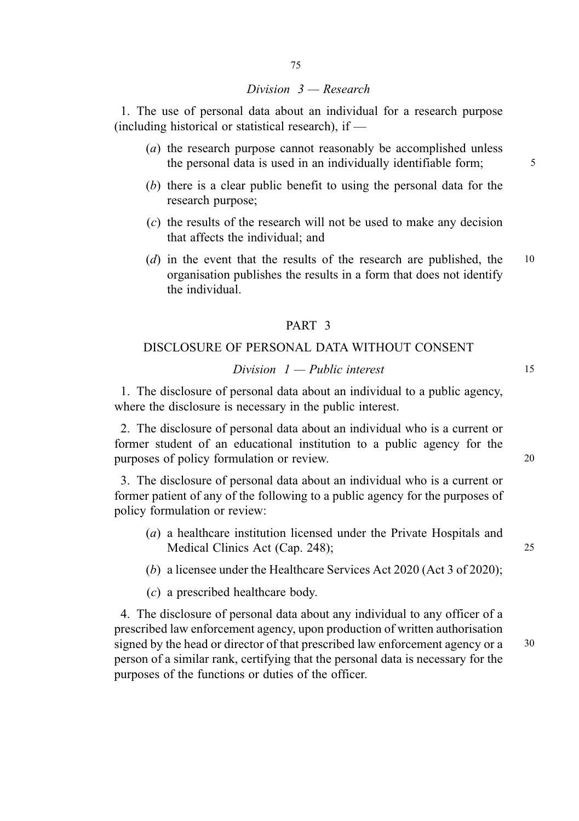#### Division 3 — Research

1. The use of personal data about an individual for a research purpose (including historical or statistical research), if  $-$ 

- (a) the research purpose cannot reasonably be accomplished unless the personal data is used in an individually identifiable form;  $\frac{5}{100}$
- (b) there is a clear public benefit to using the personal data for the research purpose;
- (c) the results of the research will not be used to make any decision that affects the individual; and
- (d) in the event that the results of the research are published, the 10 organisation publishes the results in a form that does not identify the individual.

#### PART 3

#### DISCLOSURE OF PERSONAL DATA WITHOUT CONSENT

### $Division \t1 - Public \t interest$  15

1. The disclosure of personal data about an individual to a public agency, where the disclosure is necessary in the public interest.

2. The disclosure of personal data about an individual who is a current or former student of an educational institution to a public agency for the purposes of policy formulation or review. 20

3. The disclosure of personal data about an individual who is a current or former patient of any of the following to a public agency for the purposes of policy formulation or review:

- (a) a healthcare institution licensed under the Private Hospitals and Medical Clinics Act (Cap. 248); 25
- (b) a licensee under the Healthcare Services Act 2020 (Act 3 of 2020);
- (c) a prescribed healthcare body.

4. The disclosure of personal data about any individual to any officer of a prescribed law enforcement agency, upon production of written authorisation signed by the head or director of that prescribed law enforcement agency or a 30 person of a similar rank, certifying that the personal data is necessary for the purposes of the functions or duties of the officer.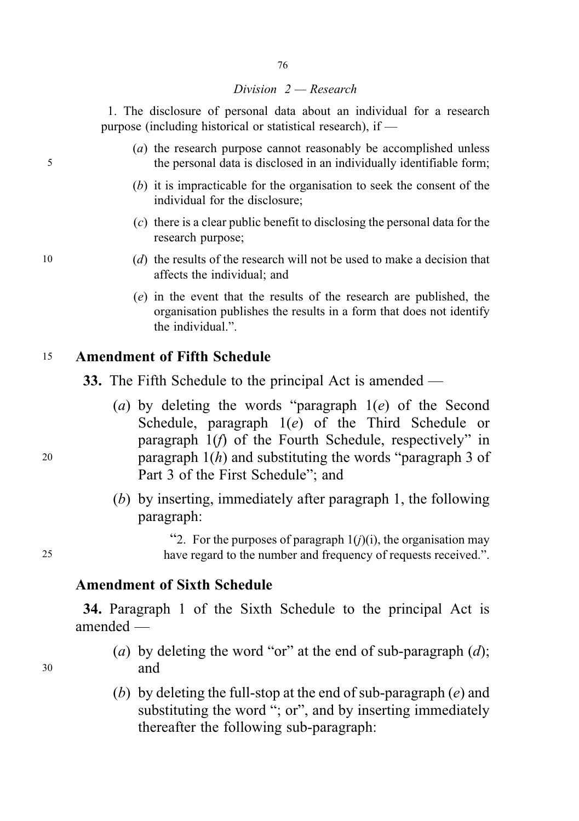#### Division 2 — Research

76

1. The disclosure of personal data about an individual for a research purpose (including historical or statistical research), if —

- (a) the research purpose cannot reasonably be accomplished unless 5 the personal data is disclosed in an individually identifiable form;
	- (b) it is impracticable for the organisation to seek the consent of the individual for the disclosure;
	- (c) there is a clear public benefit to disclosing the personal data for the research purpose;
- 10  $(d)$  the results of the research will not be used to make a decision that affects the individual; and
	- (e) in the event that the results of the research are published, the organisation publishes the results in a form that does not identify the individual.".

## <sup>15</sup> Amendment of Fifth Schedule

- 33. The Fifth Schedule to the principal Act is amended —
- (a) by deleting the words "paragraph  $1(e)$  of the Second Schedule, paragraph 1(e) of the Third Schedule or paragraph 1(f) of the Fourth Schedule, respectively" in 20 paragraph  $1(h)$  and substituting the words "paragraph 3 of Part 3 of the First Schedule"; and
	- (b) by inserting, immediately after paragraph 1, the following paragraph:

"2. For the purposes of paragraph  $1(j)(i)$ , the organisation may 25 have regard to the number and frequency of requests received.".

## Amendment of Sixth Schedule

34. Paragraph 1 of the Sixth Schedule to the principal Act is amended —

- (a) by deleting the word "or" at the end of sub-paragraph  $(d)$ ; <sup>30</sup> and
	- (b) by deleting the full-stop at the end of sub-paragraph  $(e)$  and substituting the word "; or", and by inserting immediately thereafter the following sub-paragraph: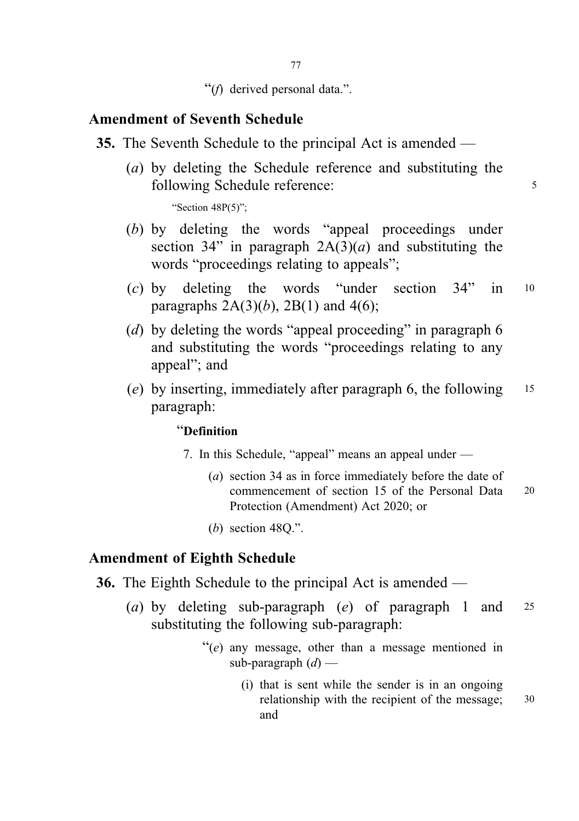"(f) derived personal data.".

## Amendment of Seventh Schedule

- 35. The Seventh Schedule to the principal Act is amended
	- (a) by deleting the Schedule reference and substituting the following Schedule reference: 5

"Section 48P(5)":

- (b) by deleting the words "appeal proceedings under section 34" in paragraph  $2A(3)(a)$  and substituting the words "proceedings relating to appeals";
- (c) by deleting the words "under section 34" in <sup>10</sup> paragraphs  $2A(3)(b)$ ,  $2B(1)$  and  $4(6)$ ;
- (d) by deleting the words "appeal proceeding" in paragraph  $6$ and substituting the words "proceedings relating to any appeal"; and
- (e) by inserting, immediately after paragraph 6, the following <sup>15</sup> paragraph:

### "Definition

- 7. In this Schedule, "appeal" means an appeal under
	- (a) section 34 as in force immediately before the date of commencement of section 15 of the Personal Data 20 Protection (Amendment) Act 2020; or
	- (b) section 48Q.".

### Amendment of Eighth Schedule

- 36. The Eighth Schedule to the principal Act is amended
	- (a) by deleting sub-paragraph (e) of paragraph 1 and <sup>25</sup> substituting the following sub-paragraph:
		- $"$ (e) any message, other than a message mentioned in sub-paragraph  $(d)$  —
			- (i) that is sent while the sender is in an ongoing relationship with the recipient of the message; 30 and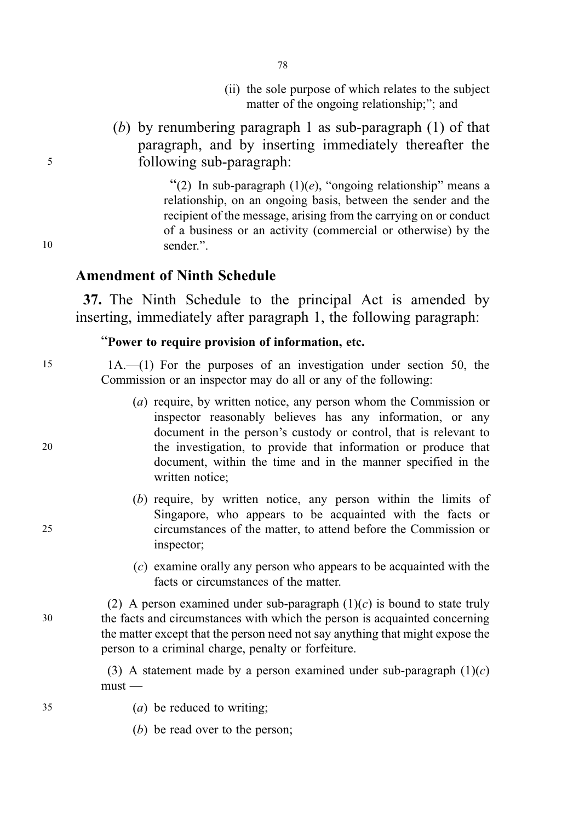- (ii) the sole purpose of which relates to the subject matter of the ongoing relationship;"; and
- (b) by renumbering paragraph 1 as sub-paragraph (1) of that paragraph, and by inserting immediately thereafter the <sup>5</sup> following sub-paragraph:

78

"(2) In sub-paragraph  $(1)(e)$ , "ongoing relationship" means a relationship, on an ongoing basis, between the sender and the recipient of the message, arising from the carrying on or conduct of a business or an activity (commercial or otherwise) by the 10 sender."

## Amendment of Ninth Schedule

37. The Ninth Schedule to the principal Act is amended by inserting, immediately after paragraph 1, the following paragraph:

## "Power to require provision of information, etc.

15 1A.—(1) For the purposes of an investigation under section 50, the Commission or an inspector may do all or any of the following:

- (a) require, by written notice, any person whom the Commission or inspector reasonably believes has any information, or any document in the person's custody or control, that is relevant to 20 the investigation, to provide that information or produce that document, within the time and in the manner specified in the written notice;
- (b) require, by written notice, any person within the limits of Singapore, who appears to be acquainted with the facts or 25 circumstances of the matter, to attend before the Commission or inspector;
	- (c) examine orally any person who appears to be acquainted with the facts or circumstances of the matter.

(2) A person examined under sub-paragraph  $(1)(c)$  is bound to state truly 30 the facts and circumstances with which the person is acquainted concerning the matter except that the person need not say anything that might expose the person to a criminal charge, penalty or forfeiture.

> (3) A statement made by a person examined under sub-paragraph  $(1)(c)$  $must -$

- 35 (a) be reduced to writing;
	- (b) be read over to the person;

- 
-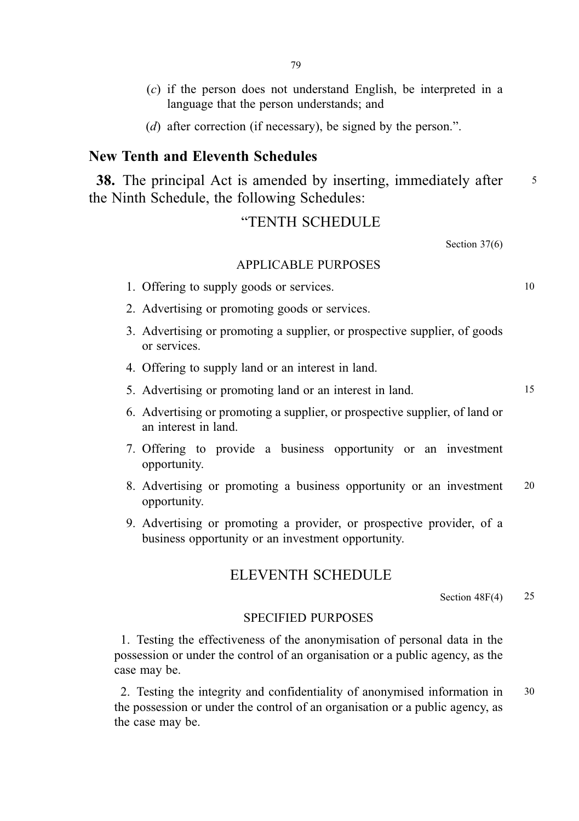- (c) if the person does not understand English, be interpreted in a language that the person understands; and
- (d) after correction (if necessary), be signed by the person.".

## New Tenth and Eleventh Schedules

38. The principal Act is amended by inserting, immediately after 5 the Ninth Schedule, the following Schedules:

### "TENTH SCHEDULE

Section 37(6)

#### APPLICABLE PURPOSES

- 1. Offering to supply goods or services. 10
- 2. Advertising or promoting goods or services.
- 3. Advertising or promoting a supplier, or prospective supplier, of goods or services.
- 4. Offering to supply land or an interest in land.
- 5. Advertising or promoting land or an interest in land. 15
- 6. Advertising or promoting a supplier, or prospective supplier, of land or an interest in land.
- 7. Offering to provide a business opportunity or an investment opportunity.
- 8. Advertising or promoting a business opportunity or an investment 20 opportunity.
- 9. Advertising or promoting a provider, or prospective provider, of a business opportunity or an investment opportunity.

### ELEVENTH SCHEDULE

Section  $48F(4)$  25

### SPECIFIED PURPOSES

1. Testing the effectiveness of the anonymisation of personal data in the possession or under the control of an organisation or a public agency, as the case may be.

2. Testing the integrity and confidentiality of anonymised information in 30 the possession or under the control of an organisation or a public agency, as the case may be.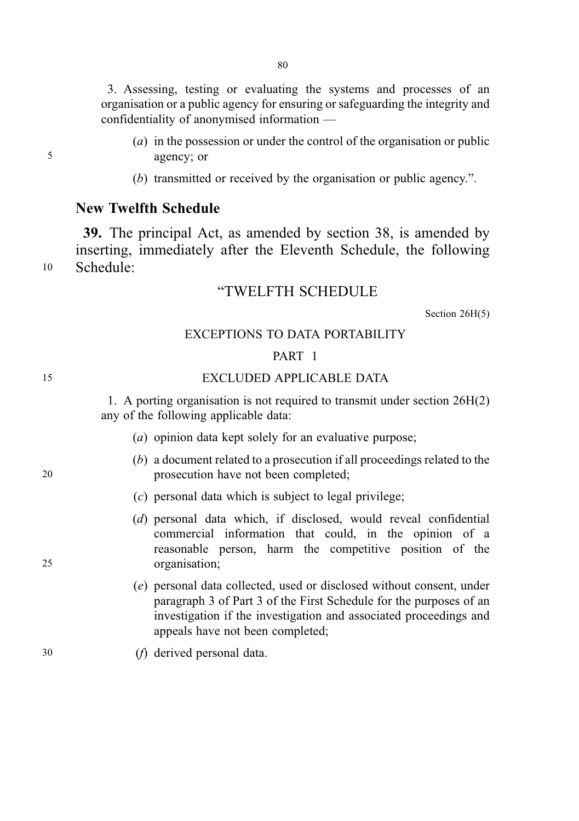3. Assessing, testing or evaluating the systems and processes of an organisation or a public agency for ensuring or safeguarding the integrity and confidentiality of anonymised information —

- (a) in the possession or under the control of the organisation or public 5 agency; or
	- (b) transmitted or received by the organisation or public agency.".

## New Twelfth Schedule

39. The principal Act, as amended by section 38, is amended by inserting, immediately after the Eleventh Schedule, the following <sup>10</sup> Schedule:

### "TWELFTH SCHEDULE

Section 26H(5)

#### EXCEPTIONS TO DATA PORTABILITY

#### PART 1

15 EXCLUDED APPLICABLE DATA

1. A porting organisation is not required to transmit under section 26H(2) any of the following applicable data:

- (a) opinion data kept solely for an evaluative purpose;
- (b) a document related to a prosecution if all proceedings related to the 20 prosecution have not been completed;
	- (c) personal data which is subject to legal privilege;
- (d) personal data which, if disclosed, would reveal confidential commercial information that could, in the opinion of a reasonable person, harm the competitive position of the 25 organisation;
	- (e) personal data collected, used or disclosed without consent, under paragraph 3 of Part 3 of the First Schedule for the purposes of an investigation if the investigation and associated proceedings and appeals have not been completed;
- 30 (f) derived personal data.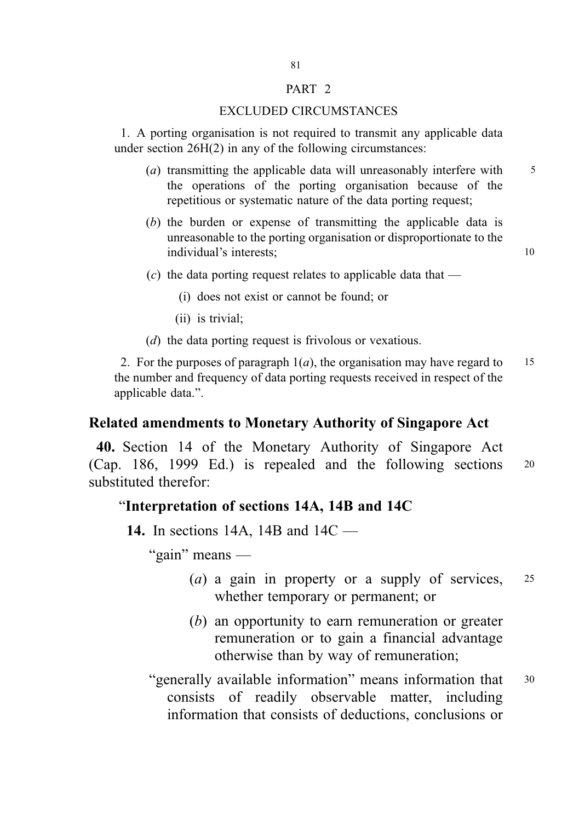#### PART 2

#### EXCLUDED CIRCUMSTANCES

1. A porting organisation is not required to transmit any applicable data under section 26H(2) in any of the following circumstances:

- (a) transmitting the applicable data will unreasonably interfere with  $\frac{5}{10}$ the operations of the porting organisation because of the repetitious or systematic nature of the data porting request;
- (b) the burden or expense of transmitting the applicable data is unreasonable to the porting organisation or disproportionate to the individual's interests: 10

(c) the data porting request relates to applicable data that  $-$ 

(i) does not exist or cannot be found; or

(ii) is trivial;

(d) the data porting request is frivolous or vexatious.

2. For the purposes of paragraph  $1(a)$ , the organisation may have regard to 15 the number and frequency of data porting requests received in respect of the applicable data.".

### Related amendments to Monetary Authority of Singapore Act

40. Section 14 of the Monetary Authority of Singapore Act (Cap. 186, 1999 Ed.) is repealed and the following sections <sup>20</sup> substituted therefor:

#### "Interpretation of sections 14A, 14B and 14C

14. In sections 14A, 14B and 14C —

"gain" means —

- (a) a gain in property or a supply of services, <sup>25</sup> whether temporary or permanent; or
- (b) an opportunity to earn remuneration or greater remuneration or to gain a financial advantage otherwise than by way of remuneration;
- "generally available information" means information that <sup>30</sup> consists of readily observable matter, including information that consists of deductions, conclusions or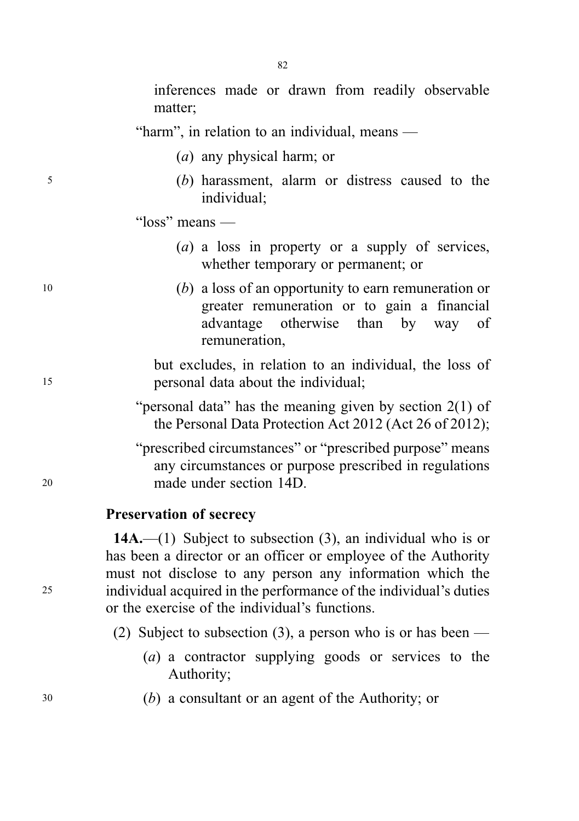inferences made or drawn from readily observable matter;

"harm", in relation to an individual, means —

- (a) any physical harm; or
- <sup>5</sup> (b) harassment, alarm or distress caused to the individual;
	- "loss" means
		- (a) a loss in property or a supply of services, whether temporary or permanent; or
- <sup>10</sup> (b) a loss of an opportunity to earn remuneration or greater remuneration or to gain a financial advantage otherwise than by way of remuneration,

but excludes, in relation to an individual, the loss of <sup>15</sup> personal data about the individual;

- "personal data" has the meaning given by section 2(1) of the Personal Data Protection Act 2012 (Act 26 of 2012);
- "prescribed circumstances" or "prescribed purpose" means any circumstances or purpose prescribed in regulations <sup>20</sup> made under section 14D.

### Preservation of secrecy

14A.—(1) Subject to subsection  $(3)$ , an individual who is or has been a director or an officer or employee of the Authority must not disclose to any person any information which the <sup>25</sup> individual acquired in the performance of the individual's duties or the exercise of the individual's functions.

- (2) Subject to subsection (3), a person who is or has been
	- (a) a contractor supplying goods or services to the Authority;
- <sup>30</sup> (b) a consultant or an agent of the Authority; or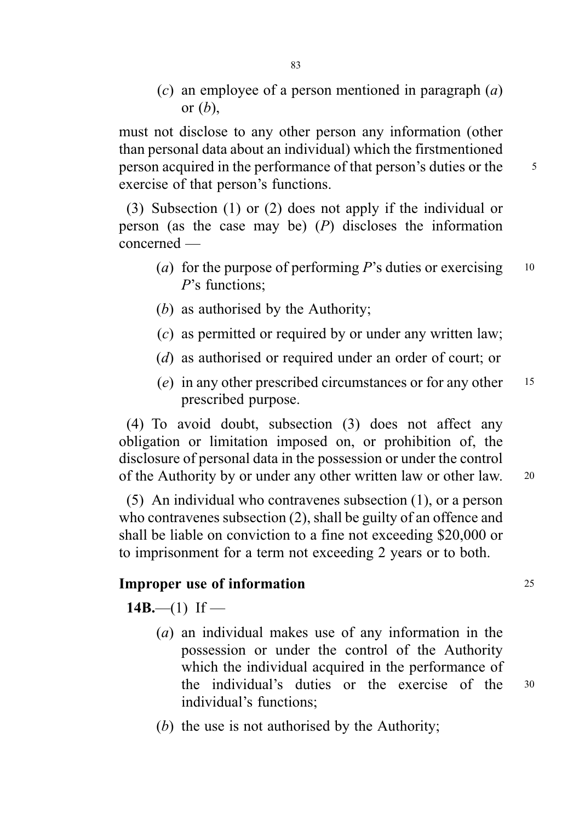(c) an employee of a person mentioned in paragraph  $(a)$ or  $(b)$ ,

must not disclose to any other person any information (other than personal data about an individual) which the firstmentioned person acquired in the performance of that person's duties or the <sup>5</sup> exercise of that person's functions.

(3) Subsection (1) or (2) does not apply if the individual or person (as the case may be)  $(P)$  discloses the information concerned —

- (a) for the purpose of performing  $P$ 's duties or exercising  $10$ P's functions;
- (b) as authorised by the Authority;
- (c) as permitted or required by or under any written law;
- (d) as authorised or required under an order of court; or
- (e) in any other prescribed circumstances or for any other  $15$ prescribed purpose.

(4) To avoid doubt, subsection (3) does not affect any obligation or limitation imposed on, or prohibition of, the disclosure of personal data in the possession or under the control of the Authority by or under any other written law or other law. <sup>20</sup>

(5) An individual who contravenes subsection (1), or a person who contravenes subsection (2), shall be guilty of an offence and shall be liable on conviction to a fine not exceeding \$20,000 or to imprisonment for a term not exceeding 2 years or to both.

## **Improper use of information** 25

14B.—(1) If —

- (a) an individual makes use of any information in the possession or under the control of the Authority which the individual acquired in the performance of the individual's duties or the exercise of the <sup>30</sup> individual's functions;
- (b) the use is not authorised by the Authority;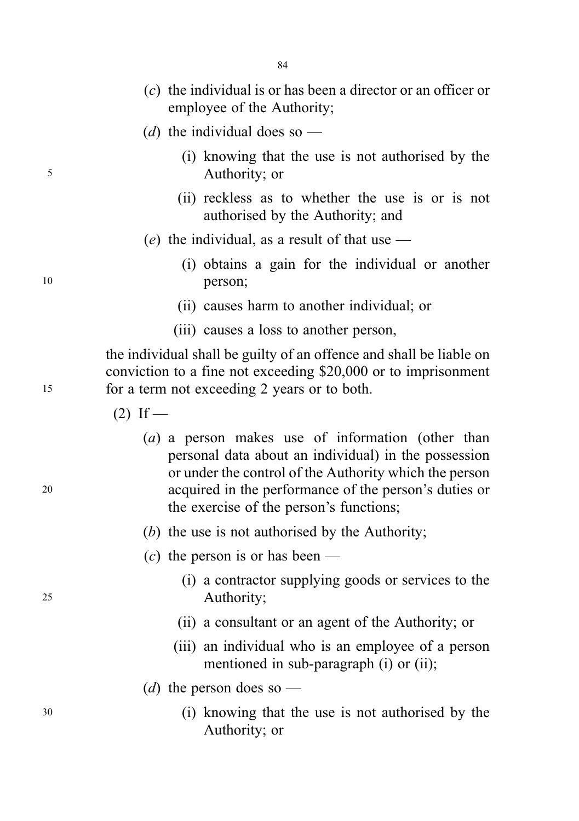- (c) the individual is or has been a director or an officer or employee of the Authority;
- (d) the individual does so —
- (i) knowing that the use is not authorised by the <sup>5</sup> Authority; or
	- (ii) reckless as to whether the use is or is not authorised by the Authority; and
	- (e) the individual, as a result of that use  $-$
- (i) obtains a gain for the individual or another <sup>10</sup> person;
	- (ii) causes harm to another individual; or
	- (iii) causes a loss to another person,

the individual shall be guilty of an offence and shall be liable on conviction to a fine not exceeding \$20,000 or to imprisonment <sup>15</sup> for a term not exceeding 2 years or to both.

 $(2)$  If —

- (a) a person makes use of information (other than personal data about an individual) in the possession or under the control of the Authority which the person <sup>20</sup> acquired in the performance of the person's duties or the exercise of the person's functions;
	- (b) the use is not authorised by the Authority;
	- (c) the person is or has been —
- (i) a contractor supplying goods or services to the <sup>25</sup> Authority;
	- (ii) a consultant or an agent of the Authority; or
	- (iii) an individual who is an employee of a person mentioned in sub-paragraph (i) or (ii);
	- (*d*) the person does so —
- <sup>30</sup> (i) knowing that the use is not authorised by the Authority; or

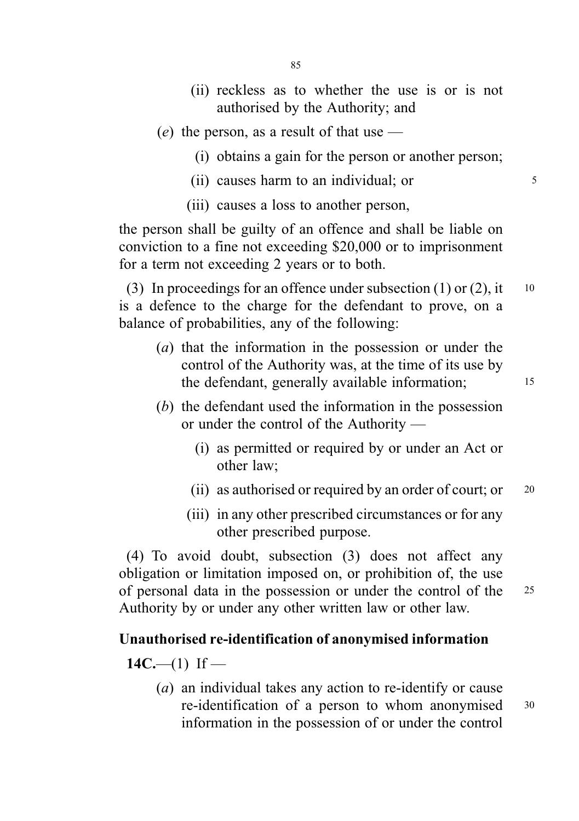- (ii) reckless as to whether the use is or is not authorised by the Authority; and
- (e) the person, as a result of that use  $-$ 
	- (i) obtains a gain for the person or another person;
	- (ii) causes harm to an individual; or  $5<sup>5</sup>$
	- (iii) causes a loss to another person,

the person shall be guilty of an offence and shall be liable on conviction to a fine not exceeding \$20,000 or to imprisonment for a term not exceeding 2 years or to both.

(3) In proceedings for an offence under subsection (1) or (2), it  $10$ is a defence to the charge for the defendant to prove, on a balance of probabilities, any of the following:

- (a) that the information in the possession or under the control of the Authority was, at the time of its use by the defendant, generally available information; 15
- (b) the defendant used the information in the possession or under the control of the Authority —
	- (i) as permitted or required by or under an Act or other law;
	- (ii) as authorised or required by an order of court; or  $20$
	- (iii) in any other prescribed circumstances or for any other prescribed purpose.

(4) To avoid doubt, subsection (3) does not affect any obligation or limitation imposed on, or prohibition of, the use of personal data in the possession or under the control of the <sup>25</sup> Authority by or under any other written law or other law.

## Unauthorised re-identification of anonymised information

 $14C$ —(1) If —

(a) an individual takes any action to re-identify or cause re-identification of a person to whom anonymised <sup>30</sup> information in the possession of or under the control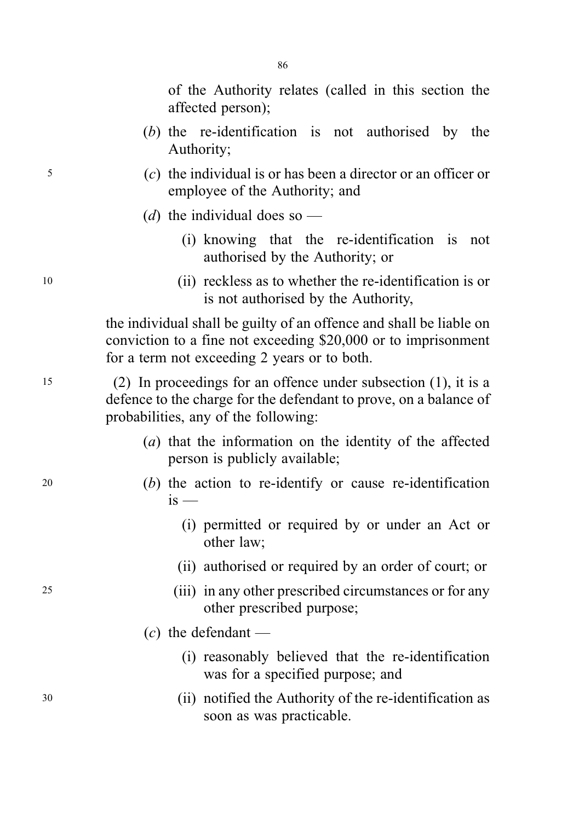of the Authority relates (called in this section the affected person);

- (b) the re-identification is not authorised by the Authority;
- <sup>5</sup> (c) the individual is or has been a director or an officer or employee of the Authority; and
	- (d) the individual does so
		- (i) knowing that the re-identification is not authorised by the Authority; or
- <sup>10</sup> (ii) reckless as to whether the re-identification is or is not authorised by the Authority,

the individual shall be guilty of an offence and shall be liable on conviction to a fine not exceeding \$20,000 or to imprisonment for a term not exceeding 2 years or to both.

<sup>15</sup> (2) In proceedings for an offence under subsection (1), it is a defence to the charge for the defendant to prove, on a balance of probabilities, any of the following:

- (a) that the information on the identity of the affected person is publicly available;
- <sup>20</sup> (b) the action to re-identify or cause re-identification  $i<sub>s</sub>$  —
	- (i) permitted or required by or under an Act or other law;
	- (ii) authorised or required by an order of court; or
- <sup>25</sup> (iii) in any other prescribed circumstances or for any other prescribed purpose;
	- $(c)$  the defendant
		- (i) reasonably believed that the re-identification was for a specified purpose; and
- <sup>30</sup> (ii) notified the Authority of the re-identification as soon as was practicable.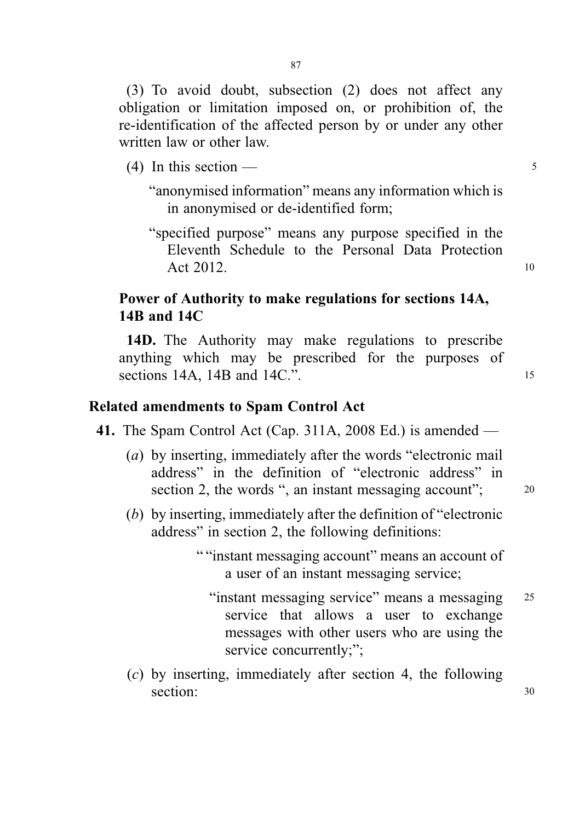(3) To avoid doubt, subsection (2) does not affect any obligation or limitation imposed on, or prohibition of, the re-identification of the affected person by or under any other written law or other law.

(4) In this section —  $\frac{5}{5}$ 

"anonymised information" means any information which is in anonymised or de-identified form;

"specified purpose" means any purpose specified in the Eleventh Schedule to the Personal Data Protection Act 2012. 10

# Power of Authority to make regulations for sections 14A, 14B and 14C

14D. The Authority may make regulations to prescribe anything which may be prescribed for the purposes of sections 14A, 14B and 14C.". 15

### Related amendments to Spam Control Act

- 41. The Spam Control Act (Cap. 311A, 2008 Ed.) is amended
	- (a) by inserting, immediately after the words "electronic mail address" in the definition of "electronic address" in section 2, the words ", an instant messaging account";  $\qquad 20$ 
		-
	- (b) by inserting, immediately after the definition of "electronic address" in section 2, the following definitions:

" "instant messaging account" means an account of a user of an instant messaging service;

- "instant messaging service" means a messaging 25 service that allows a user to exchange messages with other users who are using the service concurrently;";
- (c) by inserting, immediately after section 4, the following section: 30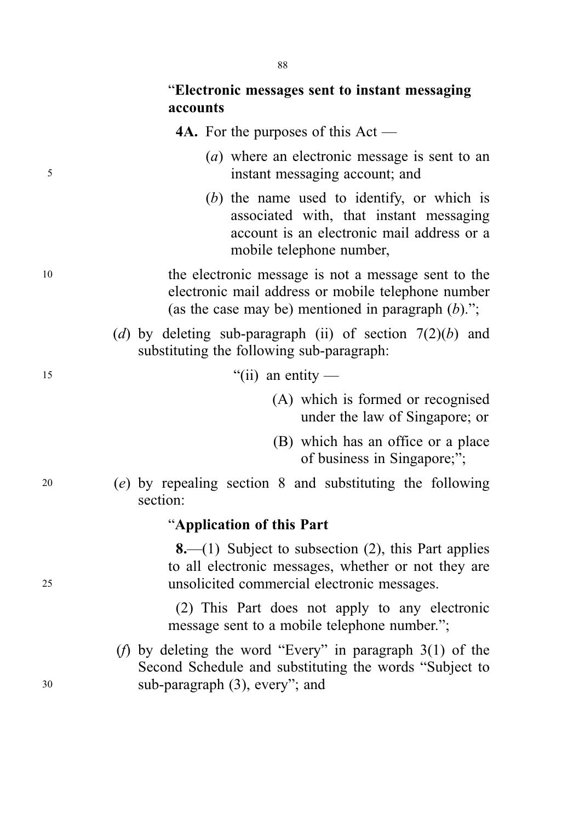4A. For the purposes of this Act —

- (a) where an electronic message is sent to an <sup>5</sup> instant messaging account; and
	- (b) the name used to identify, or which is associated with, that instant messaging account is an electronic mail address or a mobile telephone number,
- <sup>10</sup> the electronic message is not a message sent to the electronic mail address or mobile telephone number (as the case may be) mentioned in paragraph  $(b)$ .";
	- (d) by deleting sub-paragraph (ii) of section  $7(2)(b)$  and substituting the following sub-paragraph:
- 
- $15$  "(ii) an entity
	- (A) which is formed or recognised under the law of Singapore; or
	- (B) which has an office or a place of business in Singapore;";

<sup>20</sup> (e) by repealing section 8 and substituting the following section:

## "Application of this Part

**8.**—(1) Subject to subsection  $(2)$ , this Part applies to all electronic messages, whether or not they are <sup>25</sup> unsolicited commercial electronic messages.

> (2) This Part does not apply to any electronic message sent to a mobile telephone number.";

(f) by deleting the word "Every" in paragraph 3(1) of the Second Schedule and substituting the words "Subject to <sup>30</sup> sub-paragraph (3), every"; and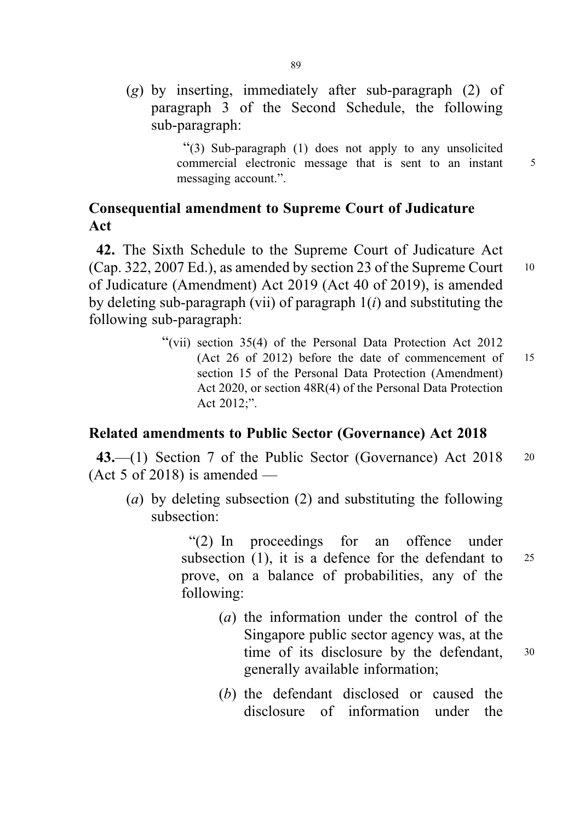(g) by inserting, immediately after sub-paragraph (2) of paragraph 3 of the Second Schedule, the following sub-paragraph:

> "(3) Sub-paragraph (1) does not apply to any unsolicited commercial electronic message that is sent to an instant 5 messaging account.".

# Consequential amendment to Supreme Court of Judicature Act

42. The Sixth Schedule to the Supreme Court of Judicature Act  $(Cap. 322, 2007 Ed.)$ , as amended by section 23 of the Supreme Court  $10$ of Judicature (Amendment) Act 2019 (Act 40 of 2019), is amended by deleting sub-paragraph (vii) of paragraph  $1(i)$  and substituting the following sub-paragraph:

> "(vii) section 35(4) of the Personal Data Protection Act 2012 (Act 26 of 2012) before the date of commencement of 15 section 15 of the Personal Data Protection (Amendment) Act 2020, or section 48R(4) of the Personal Data Protection Act 2012;".

## Related amendments to Public Sector (Governance) Act 2018

43.—(1) Section 7 of the Public Sector (Governance) Act 2018 20 (Act 5 of 2018) is amended —

(a) by deleting subsection (2) and substituting the following subsection:

> "(2) In proceedings for an offence under subsection  $(1)$ , it is a defence for the defendant to 25 prove, on a balance of probabilities, any of the following:

- (a) the information under the control of the Singapore public sector agency was, at the time of its disclosure by the defendant, 30 generally available information;
- (b) the defendant disclosed or caused the disclosure of information under the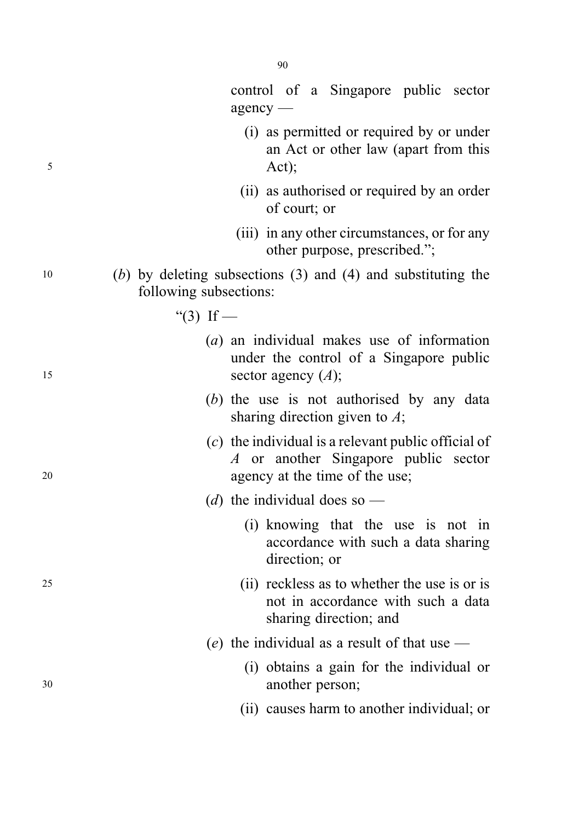| 5  | (i) as permitted or required by or under<br>an Act or other law (apart from this<br>Act);                                       |
|----|---------------------------------------------------------------------------------------------------------------------------------|
|    | (ii) as authorised or required by an order<br>of court; or                                                                      |
|    | (iii) in any other circumstances, or for any<br>other purpose, prescribed.";                                                    |
| 10 | $(b)$ by deleting subsections (3) and (4) and substituting the<br>following subsections:                                        |
|    | "(3) If —                                                                                                                       |
| 15 | $(a)$ an individual makes use of information<br>under the control of a Singapore public<br>sector agency $(A)$ ;                |
|    | (b) the use is not authorised by any data<br>sharing direction given to $\Lambda$ ;                                             |
| 20 | $(c)$ the individual is a relevant public official of<br>A or another Singapore public sector<br>agency at the time of the use; |
|    | (d) the individual does so —                                                                                                    |
|    | (i) knowing that the use is not in<br>accordance with such a data sharing<br>direction; or                                      |
| 25 | (ii) reckless as to whether the use is or is<br>not in accordance with such a data<br>sharing direction; and                    |

- (e) the individual as a result of that use  $-$
- (i) obtains a gain for the individual or <sup>30</sup> another person;
	- (ii) causes harm to another individual; or

agency —

control of a Singapore public sector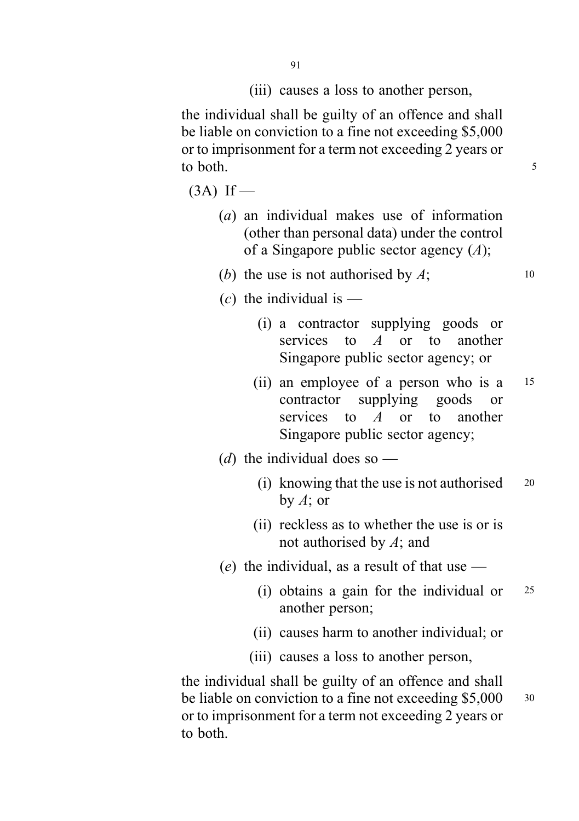(iii) causes a loss to another person,

the individual shall be guilty of an offence and shall be liable on conviction to a fine not exceeding \$5,000 or to imprisonment for a term not exceeding 2 years or to both.

 $(3A)$  If —

- (a) an individual makes use of information (other than personal data) under the control of a Singapore public sector agency  $(A)$ ;
- (b) the use is not authorised by  $A$ ;  $\qquad \qquad$  10
- (c) the individual is  $-$ 
	- (i) a contractor supplying goods or services to  $A$  or to another Singapore public sector agency; or
	- (ii) an employee of a person who is a <sup>15</sup> contractor supplying goods or services to A or to another Singapore public sector agency;
- (d) the individual does so  $-$ 
	- (i) knowing that the use is not authorised <sup>20</sup> by  $A$ ; or
	- (ii) reckless as to whether the use is or is not authorised by  $A$ ; and
- (e) the individual, as a result of that use  $-$ 
	- (i) obtains a gain for the individual or <sup>25</sup> another person;
	- (ii) causes harm to another individual; or
	- (iii) causes a loss to another person,

the individual shall be guilty of an offence and shall be liable on conviction to a fine not exceeding \$5,000 30 or to imprisonment for a term not exceeding 2 years or to both.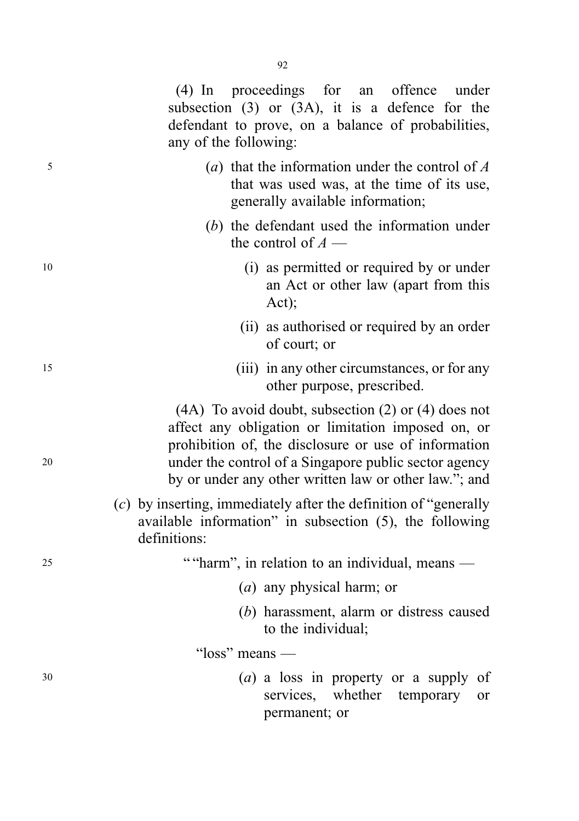(4) In proceedings for an offence under subsection (3) or (3A), it is a defence for the defendant to prove, on a balance of probabilities, any of the following:

- $(a)$  that the information under the control of A that was used was, at the time of its use, generally available information;
	- (b) the defendant used the information under the control of  $A$  —
- <sup>10</sup> (i) as permitted or required by or under an Act or other law (apart from this Act);
	- (ii) as authorised or required by an order of court; or
- <sup>15</sup> (iii) in any other circumstances, or for any other purpose, prescribed.

(4A) To avoid doubt, subsection (2) or (4) does not affect any obligation or limitation imposed on, or prohibition of, the disclosure or use of information <sup>20</sup> under the control of a Singapore public sector agency by or under any other written law or other law."; and

> $(c)$  by inserting, immediately after the definition of "generally" available information" in subsection (5), the following definitions:

<sup>25</sup> ""harm", in relation to an individual, means —

- (a) any physical harm; or
- (b) harassment, alarm or distress caused to the individual;

"loss" means —

<sup>30</sup> (a) a loss in property or a supply of services, whether temporary or permanent; or

92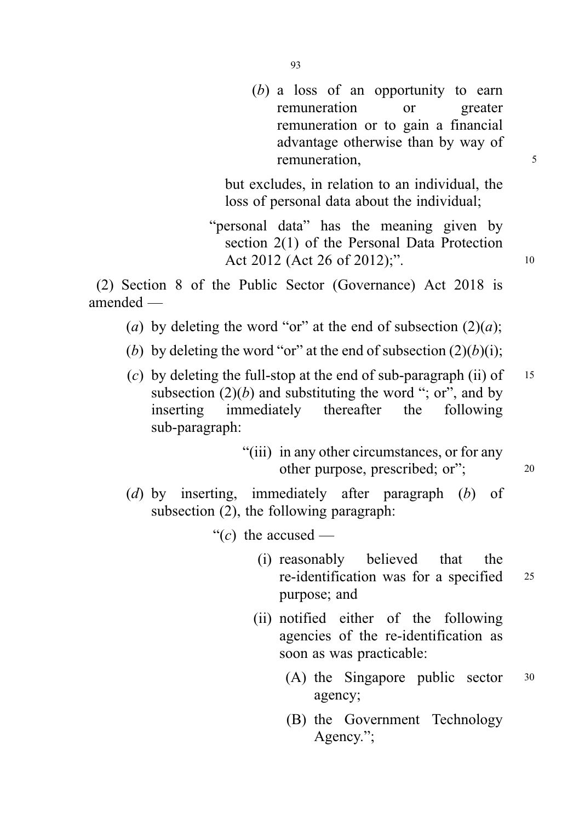(b) a loss of an opportunity to earn remuneration or greater remuneration or to gain a financial advantage otherwise than by way of remuneration, 5

but excludes, in relation to an individual, the loss of personal data about the individual;

"personal data" has the meaning given by section 2(1) of the Personal Data Protection Act 2012 (Act 26 of 2012);".

(2) Section 8 of the Public Sector (Governance) Act 2018 is amended —

- (a) by deleting the word "or" at the end of subsection  $(2)(a)$ ;
- (b) by deleting the word "or" at the end of subsection  $(2)(b)(i)$ ;
- (c) by deleting the full-stop at the end of sub-paragraph (ii) of  $15$ subsection  $(2)(b)$  and substituting the word "; or", and by inserting immediately thereafter the following sub-paragraph:
	- "(iii) in any other circumstances, or for any other purpose, prescribed; or"; <sup>20</sup>
- (d) by inserting, immediately after paragraph (b) of subsection (2), the following paragraph:

"(c) the accused —

- (i) reasonably believed that the re-identification was for a specified <sup>25</sup> purpose; and
- (ii) notified either of the following agencies of the re-identification as soon as was practicable:
	- (A) the Singapore public sector <sup>30</sup> agency;
	- (B) the Government Technology Agency.";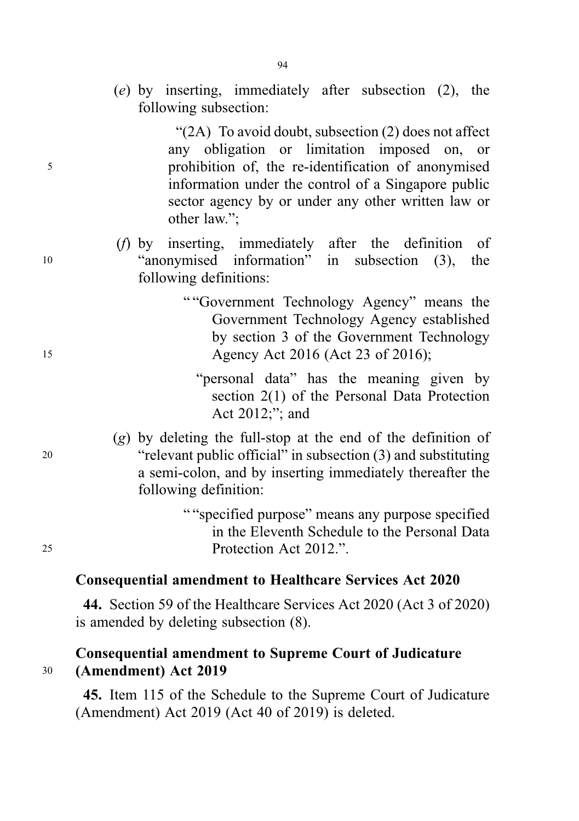(e) by inserting, immediately after subsection (2), the following subsection:

"(2A) To avoid doubt, subsection (2) does not affect any obligation or limitation imposed on, or <sup>5</sup> prohibition of, the re-identification of anonymised information under the control of a Singapore public sector agency by or under any other written law or other law.";

- (f) by inserting, immediately after the definition of <sup>10</sup> "anonymised information" in subsection (3), the following definitions:
- " "Government Technology Agency" means the Government Technology Agency established by section 3 of the Government Technology 15 Agency Act 2016 (Act 23 of 2016);
	- "personal data" has the meaning given by section 2(1) of the Personal Data Protection Act 2012;"; and
- (g) by deleting the full-stop at the end of the definition of <sup>20</sup> "relevant public official" in subsection (3) and substituting a semi-colon, and by inserting immediately thereafter the following definition:

" "specified purpose" means any purpose specified in the Eleventh Schedule to the Personal Data <sup>25</sup> Protection Act 2012.".

# Consequential amendment to Healthcare Services Act 2020

44. Section 59 of the Healthcare Services Act 2020 (Act 3 of 2020) is amended by deleting subsection (8).

# Consequential amendment to Supreme Court of Judicature <sup>30</sup> (Amendment) Act 2019

45. Item 115 of the Schedule to the Supreme Court of Judicature (Amendment) Act 2019 (Act 40 of 2019) is deleted.

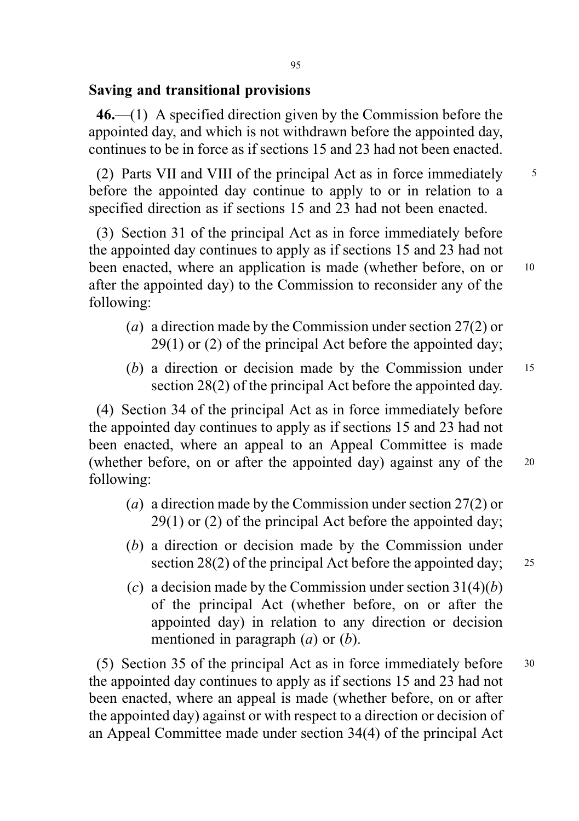## Saving and transitional provisions

46.—(1) A specified direction given by the Commission before the appointed day, and which is not withdrawn before the appointed day, continues to be in force as if sections 15 and 23 had not been enacted.

(2) Parts VII and VIII of the principal Act as in force immediately <sup>5</sup> before the appointed day continue to apply to or in relation to a specified direction as if sections 15 and 23 had not been enacted.

(3) Section 31 of the principal Act as in force immediately before the appointed day continues to apply as if sections 15 and 23 had not been enacted, where an application is made (whether before, on or 10 after the appointed day) to the Commission to reconsider any of the following:

- (a) a direction made by the Commission under section 27(2) or 29(1) or (2) of the principal Act before the appointed day;
- (b) a direction or decision made by the Commission under 15 section 28(2) of the principal Act before the appointed day.

(4) Section 34 of the principal Act as in force immediately before the appointed day continues to apply as if sections 15 and 23 had not been enacted, where an appeal to an Appeal Committee is made (whether before, on or after the appointed day) against any of the <sup>20</sup> following:

- (a) a direction made by the Commission under section 27(2) or 29(1) or (2) of the principal Act before the appointed day;
- (b) a direction or decision made by the Commission under section 28(2) of the principal Act before the appointed day; 25
- (c) a decision made by the Commission under section  $31(4)(b)$ of the principal Act (whether before, on or after the appointed day) in relation to any direction or decision mentioned in paragraph  $(a)$  or  $(b)$ .

(5) Section 35 of the principal Act as in force immediately before <sup>30</sup> the appointed day continues to apply as if sections 15 and 23 had not been enacted, where an appeal is made (whether before, on or after the appointed day) against or with respect to a direction or decision of an Appeal Committee made under section 34(4) of the principal Act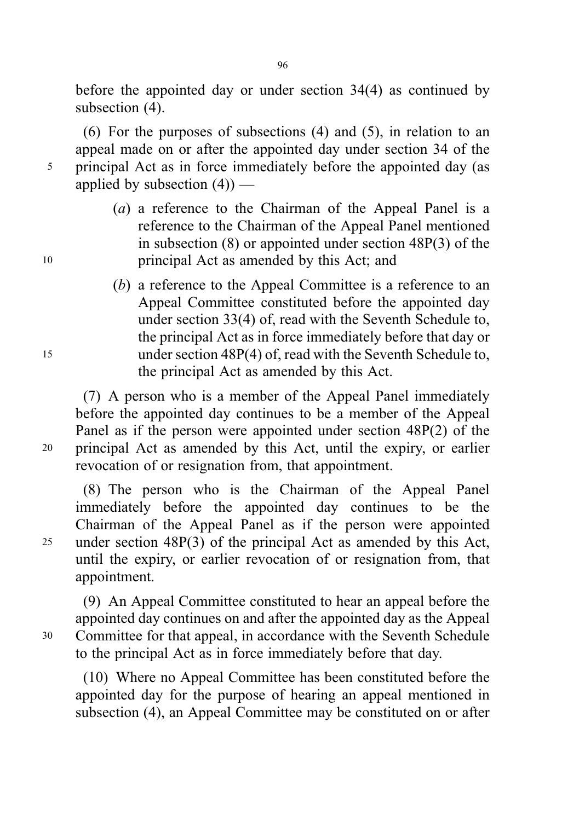before the appointed day or under section 34(4) as continued by subsection (4).

(6) For the purposes of subsections (4) and (5), in relation to an appeal made on or after the appointed day under section 34 of the <sup>5</sup> principal Act as in force immediately before the appointed day (as applied by subsection  $(4)$ ) —

- (a) a reference to the Chairman of the Appeal Panel is a reference to the Chairman of the Appeal Panel mentioned in subsection (8) or appointed under section 48P(3) of the <sup>10</sup> principal Act as amended by this Act; and
- (b) a reference to the Appeal Committee is a reference to an Appeal Committee constituted before the appointed day under section 33(4) of, read with the Seventh Schedule to, the principal Act as in force immediately before that day or <sup>15</sup> under section 48P(4) of, read with the Seventh Schedule to, the principal Act as amended by this Act.

(7) A person who is a member of the Appeal Panel immediately before the appointed day continues to be a member of the Appeal Panel as if the person were appointed under section 48P(2) of the <sup>20</sup> principal Act as amended by this Act, until the expiry, or earlier revocation of or resignation from, that appointment.

(8) The person who is the Chairman of the Appeal Panel immediately before the appointed day continues to be the Chairman of the Appeal Panel as if the person were appointed <sup>25</sup> under section 48P(3) of the principal Act as amended by this Act, until the expiry, or earlier revocation of or resignation from, that appointment.

(9) An Appeal Committee constituted to hear an appeal before the appointed day continues on and after the appointed day as the Appeal <sup>30</sup> Committee for that appeal, in accordance with the Seventh Schedule to the principal Act as in force immediately before that day.

(10) Where no Appeal Committee has been constituted before the appointed day for the purpose of hearing an appeal mentioned in subsection (4), an Appeal Committee may be constituted on or after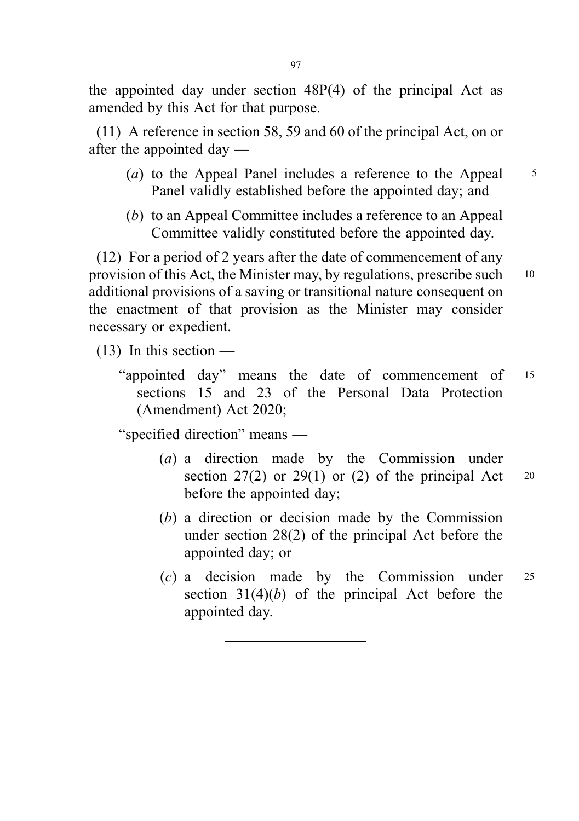the appointed day under section 48P(4) of the principal Act as amended by this Act for that purpose.

(11) A reference in section 58, 59 and 60 of the principal Act, on or after the appointed day —

- (a) to the Appeal Panel includes a reference to the Appeal  $\frac{5}{5}$ Panel validly established before the appointed day; and
- (b) to an Appeal Committee includes a reference to an Appeal Committee validly constituted before the appointed day.

(12) For a period of 2 years after the date of commencement of any provision of this Act, the Minister may, by regulations, prescribe such <sup>10</sup> additional provisions of a saving or transitional nature consequent on the enactment of that provision as the Minister may consider necessary or expedient.

 $(13)$  In this section —

"appointed day" means the date of commencement of <sup>15</sup> sections 15 and 23 of the Personal Data Protection (Amendment) Act 2020;

"specified direction" means —

- (a) a direction made by the Commission under section  $27(2)$  or  $29(1)$  or  $(2)$  of the principal Act 20 before the appointed day;
- (b) a direction or decision made by the Commission under section 28(2) of the principal Act before the appointed day; or
- (c) a decision made by the Commission under <sup>25</sup> section  $31(4)(b)$  of the principal Act before the appointed day.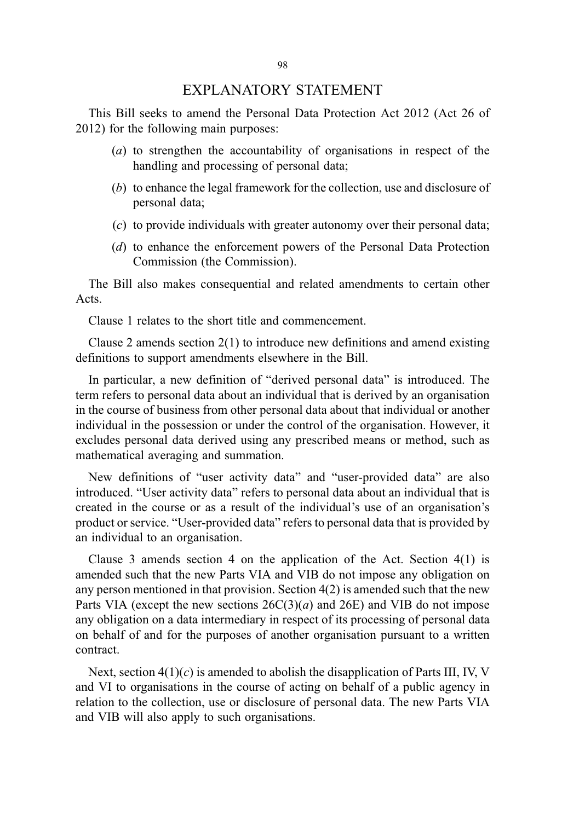### EXPLANATORY STATEMENT

This Bill seeks to amend the Personal Data Protection Act 2012 (Act 26 of 2012) for the following main purposes:

- (a) to strengthen the accountability of organisations in respect of the handling and processing of personal data;
- (b) to enhance the legal framework for the collection, use and disclosure of personal data;
- (c) to provide individuals with greater autonomy over their personal data;
- (d) to enhance the enforcement powers of the Personal Data Protection Commission (the Commission).

The Bill also makes consequential and related amendments to certain other Acts.

Clause 1 relates to the short title and commencement.

Clause 2 amends section 2(1) to introduce new definitions and amend existing definitions to support amendments elsewhere in the Bill.

In particular, a new definition of "derived personal data" is introduced. The term refers to personal data about an individual that is derived by an organisation in the course of business from other personal data about that individual or another individual in the possession or under the control of the organisation. However, it excludes personal data derived using any prescribed means or method, such as mathematical averaging and summation.

New definitions of "user activity data" and "user-provided data" are also introduced. "User activity data" refers to personal data about an individual that is created in the course or as a result of the individual's use of an organisation's product or service. "User-provided data" refers to personal data that is provided by an individual to an organisation.

Clause 3 amends section 4 on the application of the Act. Section 4(1) is amended such that the new Parts VIA and VIB do not impose any obligation on any person mentioned in that provision. Section 4(2) is amended such that the new Parts VIA (except the new sections  $26C(3)(a)$  and  $26E$ ) and VIB do not impose any obligation on a data intermediary in respect of its processing of personal data on behalf of and for the purposes of another organisation pursuant to a written contract.

Next, section  $4(1)(c)$  is amended to abolish the disapplication of Parts III, IV, V and VI to organisations in the course of acting on behalf of a public agency in relation to the collection, use or disclosure of personal data. The new Parts VIA and VIB will also apply to such organisations.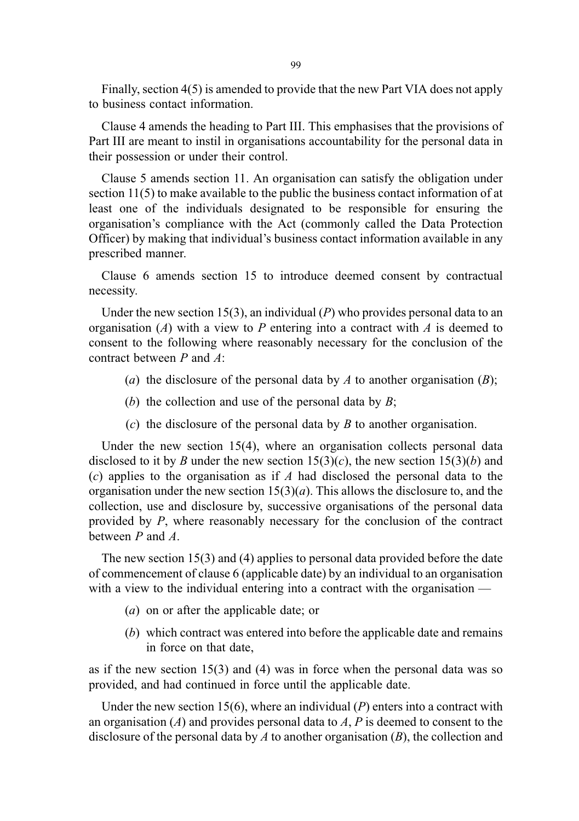99

Finally, section 4(5) is amended to provide that the new Part VIA does not apply to business contact information.

Clause 4 amends the heading to Part III. This emphasises that the provisions of Part III are meant to instil in organisations accountability for the personal data in their possession or under their control.

Clause 5 amends section 11. An organisation can satisfy the obligation under section 11(5) to make available to the public the business contact information of at least one of the individuals designated to be responsible for ensuring the organisation's compliance with the Act (commonly called the Data Protection Officer) by making that individual's business contact information available in any prescribed manner.

Clause 6 amends section 15 to introduce deemed consent by contractual necessity.

Under the new section 15(3), an individual  $(P)$  who provides personal data to an organisation  $(A)$  with a view to P entering into a contract with A is deemed to consent to the following where reasonably necessary for the conclusion of the contract between P and A:

- (a) the disclosure of the personal data by A to another organisation  $(B)$ ;
- (b) the collection and use of the personal data by  $B$ ;
- (c) the disclosure of the personal data by  $B$  to another organisation.

Under the new section 15(4), where an organisation collects personal data disclosed to it by B under the new section  $15(3)(c)$ , the new section  $15(3)(b)$  and  $(c)$  applies to the organisation as if A had disclosed the personal data to the organisation under the new section  $15(3)(a)$ . This allows the disclosure to, and the collection, use and disclosure by, successive organisations of the personal data provided by P, where reasonably necessary for the conclusion of the contract between P and A.

The new section 15(3) and (4) applies to personal data provided before the date of commencement of clause 6 (applicable date) by an individual to an organisation with a view to the individual entering into a contract with the organisation —

- (a) on or after the applicable date; or
- (b) which contract was entered into before the applicable date and remains in force on that date,

as if the new section 15(3) and (4) was in force when the personal data was so provided, and had continued in force until the applicable date.

Under the new section 15(6), where an individual  $(P)$  enters into a contract with an organisation  $(A)$  and provides personal data to  $A$ ,  $P$  is deemed to consent to the disclosure of the personal data by A to another organisation  $(B)$ , the collection and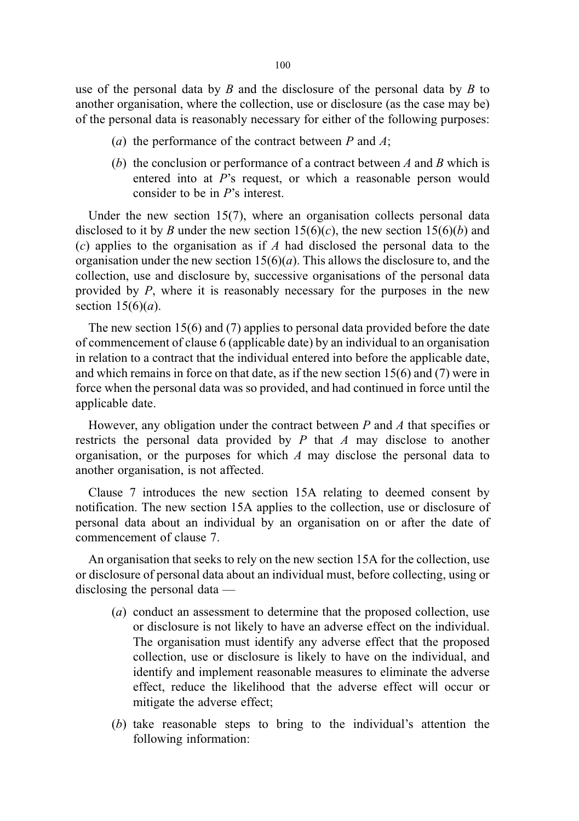use of the personal data by  $B$  and the disclosure of the personal data by  $B$  to another organisation, where the collection, use or disclosure (as the case may be) of the personal data is reasonably necessary for either of the following purposes:

- (a) the performance of the contract between  $P$  and  $A$ ;
- (b) the conclusion or performance of a contract between  $A$  and  $B$  which is entered into at P's request, or which a reasonable person would consider to be in P's interest.

Under the new section 15(7), where an organisation collects personal data disclosed to it by B under the new section  $15(6)(c)$ , the new section  $15(6)(b)$  and  $(c)$  applies to the organisation as if A had disclosed the personal data to the organisation under the new section  $15(6)(a)$ . This allows the disclosure to, and the collection, use and disclosure by, successive organisations of the personal data provided by  $P$ , where it is reasonably necessary for the purposes in the new section  $15(6)(a)$ .

The new section 15(6) and (7) applies to personal data provided before the date of commencement of clause 6 (applicable date) by an individual to an organisation in relation to a contract that the individual entered into before the applicable date, and which remains in force on that date, as if the new section 15(6) and (7) were in force when the personal data was so provided, and had continued in force until the applicable date.

However, any obligation under the contract between  $P$  and  $A$  that specifies or restricts the personal data provided by  $P$  that  $\Lambda$  may disclose to another organisation, or the purposes for which  $A$  may disclose the personal data to another organisation, is not affected.

Clause 7 introduces the new section 15A relating to deemed consent by notification. The new section 15A applies to the collection, use or disclosure of personal data about an individual by an organisation on or after the date of commencement of clause 7.

An organisation that seeks to rely on the new section 15A for the collection, use or disclosure of personal data about an individual must, before collecting, using or disclosing the personal data —

- (a) conduct an assessment to determine that the proposed collection, use or disclosure is not likely to have an adverse effect on the individual. The organisation must identify any adverse effect that the proposed collection, use or disclosure is likely to have on the individual, and identify and implement reasonable measures to eliminate the adverse effect, reduce the likelihood that the adverse effect will occur or mitigate the adverse effect;
- (b) take reasonable steps to bring to the individual's attention the following information: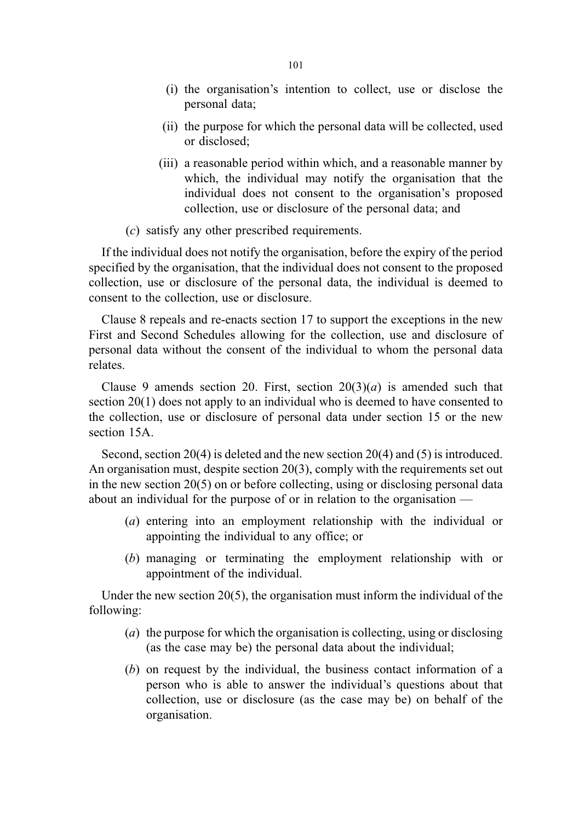- (i) the organisation's intention to collect, use or disclose the personal data;
- (ii) the purpose for which the personal data will be collected, used or disclosed;
- (iii) a reasonable period within which, and a reasonable manner by which, the individual may notify the organisation that the individual does not consent to the organisation's proposed collection, use or disclosure of the personal data; and
- (c) satisfy any other prescribed requirements.

If the individual does not notify the organisation, before the expiry of the period specified by the organisation, that the individual does not consent to the proposed collection, use or disclosure of the personal data, the individual is deemed to consent to the collection, use or disclosure.

Clause 8 repeals and re-enacts section 17 to support the exceptions in the new First and Second Schedules allowing for the collection, use and disclosure of personal data without the consent of the individual to whom the personal data relates.

Clause 9 amends section 20. First, section  $20(3)(a)$  is amended such that section 20(1) does not apply to an individual who is deemed to have consented to the collection, use or disclosure of personal data under section 15 or the new section 15A.

Second, section 20(4) is deleted and the new section 20(4) and (5) is introduced. An organisation must, despite section 20(3), comply with the requirements set out in the new section 20(5) on or before collecting, using or disclosing personal data about an individual for the purpose of or in relation to the organisation —

- (a) entering into an employment relationship with the individual or appointing the individual to any office; or
- (b) managing or terminating the employment relationship with or appointment of the individual.

Under the new section  $20(5)$ , the organisation must inform the individual of the following:

- (a) the purpose for which the organisation is collecting, using or disclosing (as the case may be) the personal data about the individual;
- (b) on request by the individual, the business contact information of a person who is able to answer the individual's questions about that collection, use or disclosure (as the case may be) on behalf of the organisation.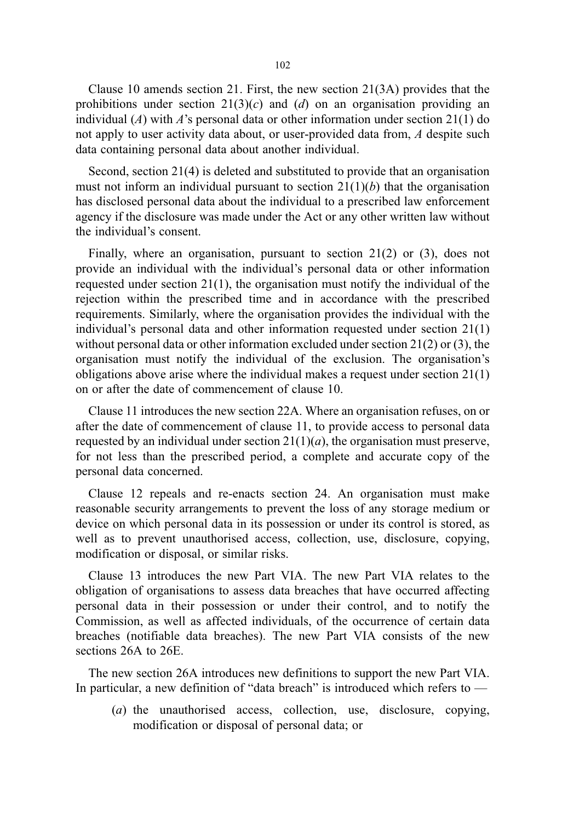Clause 10 amends section 21. First, the new section 21(3A) provides that the prohibitions under section  $21(3)(c)$  and (d) on an organisation providing an individual (A) with A's personal data or other information under section  $21(1)$  do not apply to user activity data about, or user-provided data from, A despite such data containing personal data about another individual.

Second, section 21(4) is deleted and substituted to provide that an organisation must not inform an individual pursuant to section  $21(1)(b)$  that the organisation has disclosed personal data about the individual to a prescribed law enforcement agency if the disclosure was made under the Act or any other written law without the individual's consent.

Finally, where an organisation, pursuant to section 21(2) or (3), does not provide an individual with the individual's personal data or other information requested under section 21(1), the organisation must notify the individual of the rejection within the prescribed time and in accordance with the prescribed requirements. Similarly, where the organisation provides the individual with the individual's personal data and other information requested under section 21(1) without personal data or other information excluded under section 21(2) or (3), the organisation must notify the individual of the exclusion. The organisation's obligations above arise where the individual makes a request under section 21(1) on or after the date of commencement of clause 10.

Clause 11 introduces the new section 22A. Where an organisation refuses, on or after the date of commencement of clause 11, to provide access to personal data requested by an individual under section  $21(1)(a)$ , the organisation must preserve, for not less than the prescribed period, a complete and accurate copy of the personal data concerned.

Clause 12 repeals and re-enacts section 24. An organisation must make reasonable security arrangements to prevent the loss of any storage medium or device on which personal data in its possession or under its control is stored, as well as to prevent unauthorised access, collection, use, disclosure, copying, modification or disposal, or similar risks.

Clause 13 introduces the new Part VIA. The new Part VIA relates to the obligation of organisations to assess data breaches that have occurred affecting personal data in their possession or under their control, and to notify the Commission, as well as affected individuals, of the occurrence of certain data breaches (notifiable data breaches). The new Part VIA consists of the new sections 26A to 26E.

The new section 26A introduces new definitions to support the new Part VIA. In particular, a new definition of "data breach" is introduced which refers to —

(a) the unauthorised access, collection, use, disclosure, copying, modification or disposal of personal data; or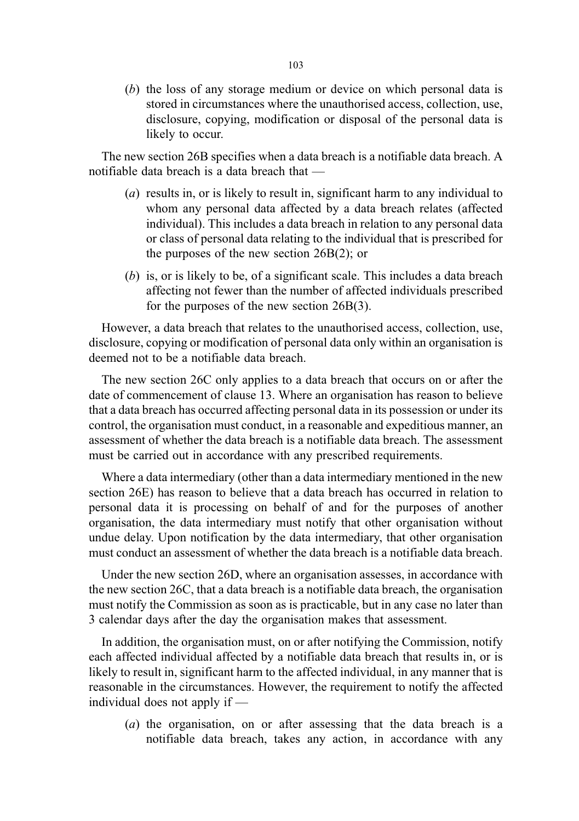(b) the loss of any storage medium or device on which personal data is stored in circumstances where the unauthorised access, collection, use, disclosure, copying, modification or disposal of the personal data is likely to occur.

The new section 26B specifies when a data breach is a notifiable data breach. A notifiable data breach is a data breach that —

- (a) results in, or is likely to result in, significant harm to any individual to whom any personal data affected by a data breach relates (affected individual). This includes a data breach in relation to any personal data or class of personal data relating to the individual that is prescribed for the purposes of the new section 26B(2); or
- (b) is, or is likely to be, of a significant scale. This includes a data breach affecting not fewer than the number of affected individuals prescribed for the purposes of the new section 26B(3).

However, a data breach that relates to the unauthorised access, collection, use, disclosure, copying or modification of personal data only within an organisation is deemed not to be a notifiable data breach.

The new section 26C only applies to a data breach that occurs on or after the date of commencement of clause 13. Where an organisation has reason to believe that a data breach has occurred affecting personal data in its possession or under its control, the organisation must conduct, in a reasonable and expeditious manner, an assessment of whether the data breach is a notifiable data breach. The assessment must be carried out in accordance with any prescribed requirements.

Where a data intermediary (other than a data intermediary mentioned in the new section 26E) has reason to believe that a data breach has occurred in relation to personal data it is processing on behalf of and for the purposes of another organisation, the data intermediary must notify that other organisation without undue delay. Upon notification by the data intermediary, that other organisation must conduct an assessment of whether the data breach is a notifiable data breach.

Under the new section 26D, where an organisation assesses, in accordance with the new section 26C, that a data breach is a notifiable data breach, the organisation must notify the Commission as soon as is practicable, but in any case no later than 3 calendar days after the day the organisation makes that assessment.

In addition, the organisation must, on or after notifying the Commission, notify each affected individual affected by a notifiable data breach that results in, or is likely to result in, significant harm to the affected individual, in any manner that is reasonable in the circumstances. However, the requirement to notify the affected individual does not apply if —

(a) the organisation, on or after assessing that the data breach is a notifiable data breach, takes any action, in accordance with any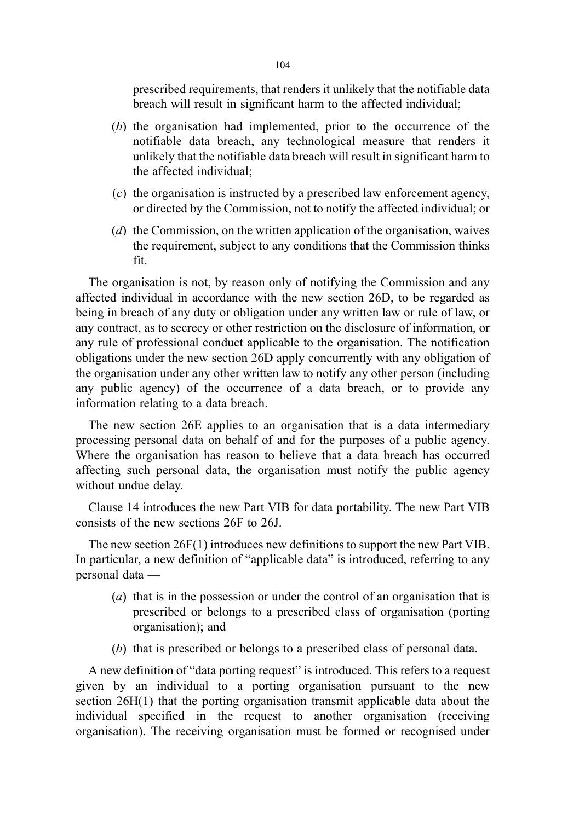prescribed requirements, that renders it unlikely that the notifiable data breach will result in significant harm to the affected individual;

- (b) the organisation had implemented, prior to the occurrence of the notifiable data breach, any technological measure that renders it unlikely that the notifiable data breach will result in significant harm to the affected individual;
- (c) the organisation is instructed by a prescribed law enforcement agency, or directed by the Commission, not to notify the affected individual; or
- (d) the Commission, on the written application of the organisation, waives the requirement, subject to any conditions that the Commission thinks fit.

The organisation is not, by reason only of notifying the Commission and any affected individual in accordance with the new section 26D, to be regarded as being in breach of any duty or obligation under any written law or rule of law, or any contract, as to secrecy or other restriction on the disclosure of information, or any rule of professional conduct applicable to the organisation. The notification obligations under the new section 26D apply concurrently with any obligation of the organisation under any other written law to notify any other person (including any public agency) of the occurrence of a data breach, or to provide any information relating to a data breach.

The new section 26E applies to an organisation that is a data intermediary processing personal data on behalf of and for the purposes of a public agency. Where the organisation has reason to believe that a data breach has occurred affecting such personal data, the organisation must notify the public agency without undue delay.

Clause 14 introduces the new Part VIB for data portability. The new Part VIB consists of the new sections 26F to 26J.

The new section 26F(1) introduces new definitions to support the new Part VIB. In particular, a new definition of "applicable data" is introduced, referring to any personal data —

- (a) that is in the possession or under the control of an organisation that is prescribed or belongs to a prescribed class of organisation (porting organisation); and
- (b) that is prescribed or belongs to a prescribed class of personal data.

A new definition of "data porting request" is introduced. This refers to a request given by an individual to a porting organisation pursuant to the new section 26H(1) that the porting organisation transmit applicable data about the individual specified in the request to another organisation (receiving organisation). The receiving organisation must be formed or recognised under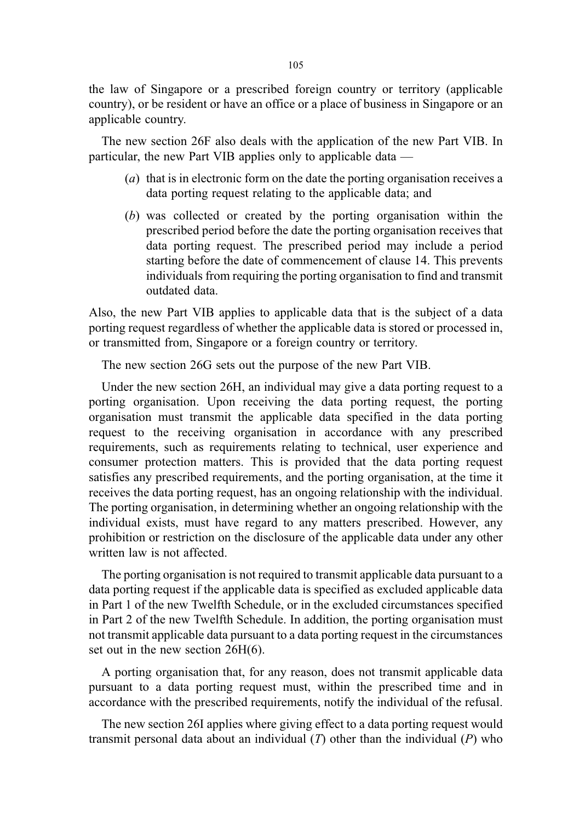the law of Singapore or a prescribed foreign country or territory (applicable country), or be resident or have an office or a place of business in Singapore or an applicable country.

The new section 26F also deals with the application of the new Part VIB. In particular, the new Part VIB applies only to applicable data —

- (a) that is in electronic form on the date the porting organisation receives a data porting request relating to the applicable data; and
- (b) was collected or created by the porting organisation within the prescribed period before the date the porting organisation receives that data porting request. The prescribed period may include a period starting before the date of commencement of clause 14. This prevents individuals from requiring the porting organisation to find and transmit outdated data.

Also, the new Part VIB applies to applicable data that is the subject of a data porting request regardless of whether the applicable data is stored or processed in, or transmitted from, Singapore or a foreign country or territory.

The new section 26G sets out the purpose of the new Part VIB.

Under the new section 26H, an individual may give a data porting request to a porting organisation. Upon receiving the data porting request, the porting organisation must transmit the applicable data specified in the data porting request to the receiving organisation in accordance with any prescribed requirements, such as requirements relating to technical, user experience and consumer protection matters. This is provided that the data porting request satisfies any prescribed requirements, and the porting organisation, at the time it receives the data porting request, has an ongoing relationship with the individual. The porting organisation, in determining whether an ongoing relationship with the individual exists, must have regard to any matters prescribed. However, any prohibition or restriction on the disclosure of the applicable data under any other written law is not affected.

The porting organisation is not required to transmit applicable data pursuant to a data porting request if the applicable data is specified as excluded applicable data in Part 1 of the new Twelfth Schedule, or in the excluded circumstances specified in Part 2 of the new Twelfth Schedule. In addition, the porting organisation must not transmit applicable data pursuant to a data porting request in the circumstances set out in the new section 26H(6).

A porting organisation that, for any reason, does not transmit applicable data pursuant to a data porting request must, within the prescribed time and in accordance with the prescribed requirements, notify the individual of the refusal.

The new section 26I applies where giving effect to a data porting request would transmit personal data about an individual  $(T)$  other than the individual  $(P)$  who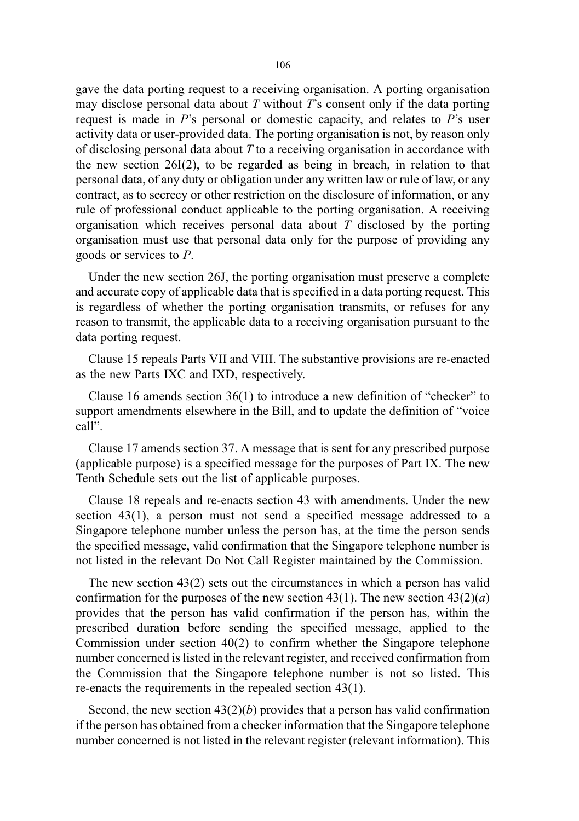gave the data porting request to a receiving organisation. A porting organisation may disclose personal data about  $T$  without  $T$ 's consent only if the data porting request is made in  $P$ 's personal or domestic capacity, and relates to  $P$ 's user activity data or user-provided data. The porting organisation is not, by reason only of disclosing personal data about  $T$  to a receiving organisation in accordance with the new section 26I(2), to be regarded as being in breach, in relation to that personal data, of any duty or obligation under any written law or rule of law, or any contract, as to secrecy or other restriction on the disclosure of information, or any rule of professional conduct applicable to the porting organisation. A receiving organisation which receives personal data about  $T$  disclosed by the porting organisation must use that personal data only for the purpose of providing any goods or services to P.

Under the new section 26J, the porting organisation must preserve a complete and accurate copy of applicable data that is specified in a data porting request. This is regardless of whether the porting organisation transmits, or refuses for any reason to transmit, the applicable data to a receiving organisation pursuant to the data porting request.

Clause 15 repeals Parts VII and VIII. The substantive provisions are re-enacted as the new Parts IXC and IXD, respectively.

Clause 16 amends section 36(1) to introduce a new definition of "checker" to support amendments elsewhere in the Bill, and to update the definition of "voice call".

Clause 17 amends section 37. A message that is sent for any prescribed purpose (applicable purpose) is a specified message for the purposes of Part IX. The new Tenth Schedule sets out the list of applicable purposes.

Clause 18 repeals and re-enacts section 43 with amendments. Under the new section 43(1), a person must not send a specified message addressed to a Singapore telephone number unless the person has, at the time the person sends the specified message, valid confirmation that the Singapore telephone number is not listed in the relevant Do Not Call Register maintained by the Commission.

The new section 43(2) sets out the circumstances in which a person has valid confirmation for the purposes of the new section 43(1). The new section  $43(2)(a)$ provides that the person has valid confirmation if the person has, within the prescribed duration before sending the specified message, applied to the Commission under section 40(2) to confirm whether the Singapore telephone number concerned is listed in the relevant register, and received confirmation from the Commission that the Singapore telephone number is not so listed. This re-enacts the requirements in the repealed section 43(1).

Second, the new section  $43(2)(b)$  provides that a person has valid confirmation if the person has obtained from a checker information that the Singapore telephone number concerned is not listed in the relevant register (relevant information). This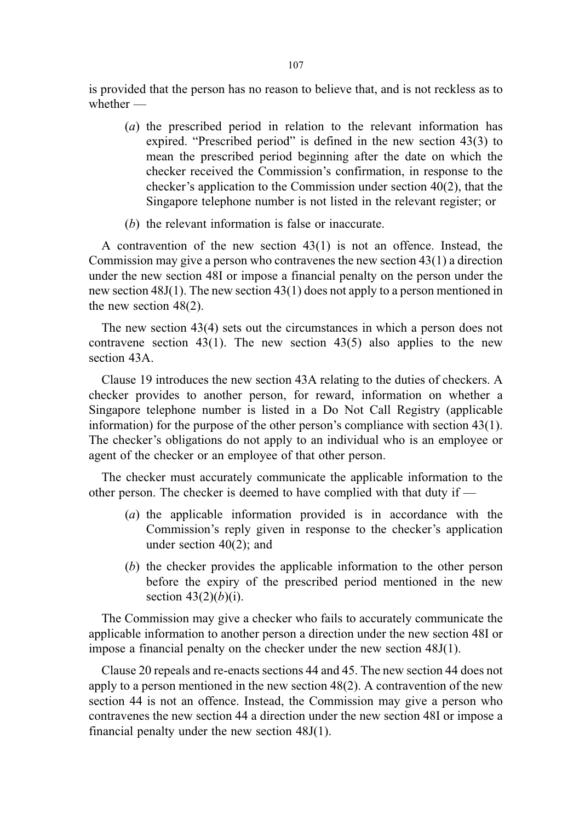is provided that the person has no reason to believe that, and is not reckless as to whether —

- (a) the prescribed period in relation to the relevant information has expired. "Prescribed period" is defined in the new section 43(3) to mean the prescribed period beginning after the date on which the checker received the Commission's confirmation, in response to the checker's application to the Commission under section 40(2), that the Singapore telephone number is not listed in the relevant register; or
- (b) the relevant information is false or inaccurate.

A contravention of the new section 43(1) is not an offence. Instead, the Commission may give a person who contravenes the new section 43(1) a direction under the new section 48I or impose a financial penalty on the person under the new section 48J(1). The new section 43(1) does not apply to a person mentioned in the new section 48(2).

The new section 43(4) sets out the circumstances in which a person does not contravene section 43(1). The new section 43(5) also applies to the new section 43A.

Clause 19 introduces the new section 43A relating to the duties of checkers. A checker provides to another person, for reward, information on whether a Singapore telephone number is listed in a Do Not Call Registry (applicable information) for the purpose of the other person's compliance with section 43(1). The checker's obligations do not apply to an individual who is an employee or agent of the checker or an employee of that other person.

The checker must accurately communicate the applicable information to the other person. The checker is deemed to have complied with that duty if —

- (a) the applicable information provided is in accordance with the Commission's reply given in response to the checker's application under section 40(2); and
- (b) the checker provides the applicable information to the other person before the expiry of the prescribed period mentioned in the new section  $43(2)(b)(i)$ .

The Commission may give a checker who fails to accurately communicate the applicable information to another person a direction under the new section 48I or impose a financial penalty on the checker under the new section 48J(1).

Clause 20 repeals and re-enacts sections 44 and 45. The new section 44 does not apply to a person mentioned in the new section 48(2). A contravention of the new section 44 is not an offence. Instead, the Commission may give a person who contravenes the new section 44 a direction under the new section 48I or impose a financial penalty under the new section 48J(1).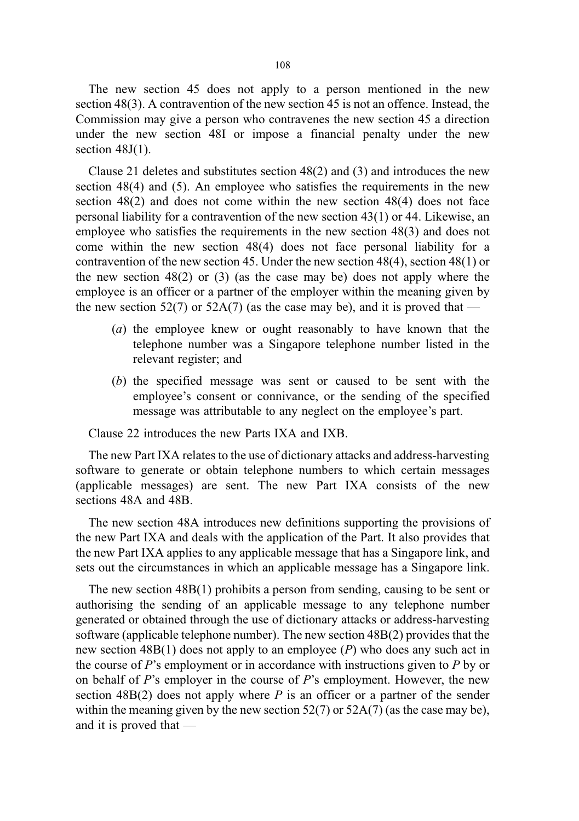The new section 45 does not apply to a person mentioned in the new section 48(3). A contravention of the new section 45 is not an offence. Instead, the Commission may give a person who contravenes the new section 45 a direction under the new section 48I or impose a financial penalty under the new section  $48J(1)$ .

Clause 21 deletes and substitutes section 48(2) and (3) and introduces the new section 48(4) and (5). An employee who satisfies the requirements in the new section 48(2) and does not come within the new section 48(4) does not face personal liability for a contravention of the new section 43(1) or 44. Likewise, an employee who satisfies the requirements in the new section 48(3) and does not come within the new section 48(4) does not face personal liability for a contravention of the new section 45. Under the new section 48(4), section 48(1) or the new section 48(2) or (3) (as the case may be) does not apply where the employee is an officer or a partner of the employer within the meaning given by the new section 52(7) or 52A(7) (as the case may be), and it is proved that —

- (a) the employee knew or ought reasonably to have known that the telephone number was a Singapore telephone number listed in the relevant register; and
- (b) the specified message was sent or caused to be sent with the employee's consent or connivance, or the sending of the specified message was attributable to any neglect on the employee's part.

Clause 22 introduces the new Parts IXA and IXB.

The new Part IXA relates to the use of dictionary attacks and address-harvesting software to generate or obtain telephone numbers to which certain messages (applicable messages) are sent. The new Part IXA consists of the new sections 48A and 48B.

The new section 48A introduces new definitions supporting the provisions of the new Part IXA and deals with the application of the Part. It also provides that the new Part IXA applies to any applicable message that has a Singapore link, and sets out the circumstances in which an applicable message has a Singapore link.

The new section 48B(1) prohibits a person from sending, causing to be sent or authorising the sending of an applicable message to any telephone number generated or obtained through the use of dictionary attacks or address-harvesting software (applicable telephone number). The new section 48B(2) provides that the new section  $48B(1)$  does not apply to an employee (P) who does any such act in the course of P's employment or in accordance with instructions given to P by or on behalf of  $P$ 's employer in the course of  $P$ 's employment. However, the new section  $48B(2)$  does not apply where P is an officer or a partner of the sender within the meaning given by the new section  $52(7)$  or  $52A(7)$  (as the case may be), and it is proved that —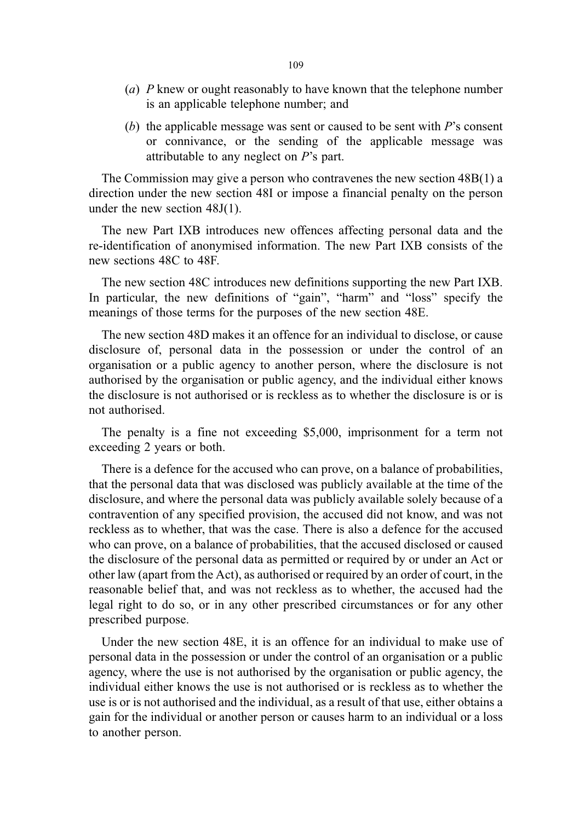- (a) P knew or ought reasonably to have known that the telephone number is an applicable telephone number; and
- (b) the applicable message was sent or caused to be sent with  $P$ 's consent or connivance, or the sending of the applicable message was attributable to any neglect on P's part.

The Commission may give a person who contravenes the new section 48B(1) a direction under the new section 48I or impose a financial penalty on the person under the new section 48J(1).

The new Part IXB introduces new offences affecting personal data and the re-identification of anonymised information. The new Part IXB consists of the new sections 48C to 48F.

The new section 48C introduces new definitions supporting the new Part IXB. In particular, the new definitions of "gain", "harm" and "loss" specify the meanings of those terms for the purposes of the new section 48E.

The new section 48D makes it an offence for an individual to disclose, or cause disclosure of, personal data in the possession or under the control of an organisation or a public agency to another person, where the disclosure is not authorised by the organisation or public agency, and the individual either knows the disclosure is not authorised or is reckless as to whether the disclosure is or is not authorised.

The penalty is a fine not exceeding \$5,000, imprisonment for a term not exceeding 2 years or both.

There is a defence for the accused who can prove, on a balance of probabilities, that the personal data that was disclosed was publicly available at the time of the disclosure, and where the personal data was publicly available solely because of a contravention of any specified provision, the accused did not know, and was not reckless as to whether, that was the case. There is also a defence for the accused who can prove, on a balance of probabilities, that the accused disclosed or caused the disclosure of the personal data as permitted or required by or under an Act or other law (apart from the Act), as authorised or required by an order of court, in the reasonable belief that, and was not reckless as to whether, the accused had the legal right to do so, or in any other prescribed circumstances or for any other prescribed purpose.

Under the new section 48E, it is an offence for an individual to make use of personal data in the possession or under the control of an organisation or a public agency, where the use is not authorised by the organisation or public agency, the individual either knows the use is not authorised or is reckless as to whether the use is or is not authorised and the individual, as a result of that use, either obtains a gain for the individual or another person or causes harm to an individual or a loss to another person.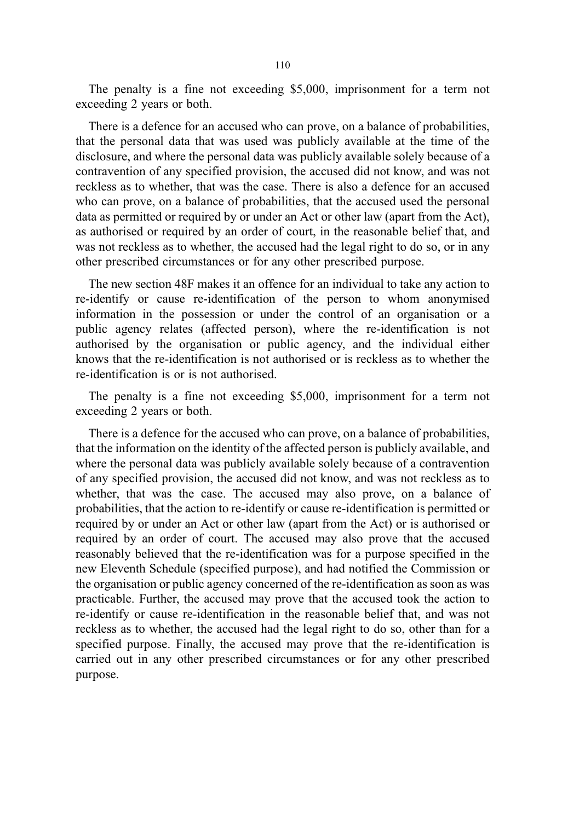The penalty is a fine not exceeding \$5,000, imprisonment for a term not exceeding 2 years or both.

There is a defence for an accused who can prove, on a balance of probabilities, that the personal data that was used was publicly available at the time of the disclosure, and where the personal data was publicly available solely because of a contravention of any specified provision, the accused did not know, and was not reckless as to whether, that was the case. There is also a defence for an accused who can prove, on a balance of probabilities, that the accused used the personal data as permitted or required by or under an Act or other law (apart from the Act), as authorised or required by an order of court, in the reasonable belief that, and was not reckless as to whether, the accused had the legal right to do so, or in any other prescribed circumstances or for any other prescribed purpose.

The new section 48F makes it an offence for an individual to take any action to re-identify or cause re-identification of the person to whom anonymised information in the possession or under the control of an organisation or a public agency relates (affected person), where the re-identification is not authorised by the organisation or public agency, and the individual either knows that the re-identification is not authorised or is reckless as to whether the re-identification is or is not authorised.

The penalty is a fine not exceeding \$5,000, imprisonment for a term not exceeding 2 years or both.

There is a defence for the accused who can prove, on a balance of probabilities, that the information on the identity of the affected person is publicly available, and where the personal data was publicly available solely because of a contravention of any specified provision, the accused did not know, and was not reckless as to whether, that was the case. The accused may also prove, on a balance of probabilities, that the action to re-identify or cause re-identification is permitted or required by or under an Act or other law (apart from the Act) or is authorised or required by an order of court. The accused may also prove that the accused reasonably believed that the re-identification was for a purpose specified in the new Eleventh Schedule (specified purpose), and had notified the Commission or the organisation or public agency concerned of the re-identification as soon as was practicable. Further, the accused may prove that the accused took the action to re-identify or cause re-identification in the reasonable belief that, and was not reckless as to whether, the accused had the legal right to do so, other than for a specified purpose. Finally, the accused may prove that the re-identification is carried out in any other prescribed circumstances or for any other prescribed purpose.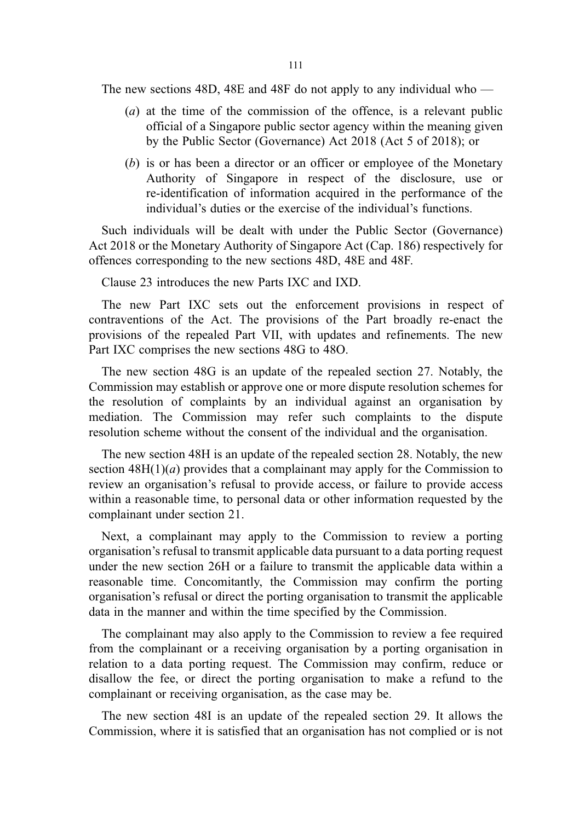The new sections 48D, 48E and 48F do not apply to any individual who —

- (a) at the time of the commission of the offence, is a relevant public official of a Singapore public sector agency within the meaning given by the Public Sector (Governance) Act 2018 (Act 5 of 2018); or
- (b) is or has been a director or an officer or employee of the Monetary Authority of Singapore in respect of the disclosure, use or re-identification of information acquired in the performance of the individual's duties or the exercise of the individual's functions.

Such individuals will be dealt with under the Public Sector (Governance) Act 2018 or the Monetary Authority of Singapore Act (Cap. 186) respectively for offences corresponding to the new sections 48D, 48E and 48F.

Clause 23 introduces the new Parts IXC and IXD.

The new Part IXC sets out the enforcement provisions in respect of contraventions of the Act. The provisions of the Part broadly re-enact the provisions of the repealed Part VII, with updates and refinements. The new Part IXC comprises the new sections 48G to 48O.

The new section 48G is an update of the repealed section 27. Notably, the Commission may establish or approve one or more dispute resolution schemes for the resolution of complaints by an individual against an organisation by mediation. The Commission may refer such complaints to the dispute resolution scheme without the consent of the individual and the organisation.

The new section 48H is an update of the repealed section 28. Notably, the new section  $48H(1)(a)$  provides that a complainant may apply for the Commission to review an organisation's refusal to provide access, or failure to provide access within a reasonable time, to personal data or other information requested by the complainant under section 21.

Next, a complainant may apply to the Commission to review a porting organisation's refusal to transmit applicable data pursuant to a data porting request under the new section 26H or a failure to transmit the applicable data within a reasonable time. Concomitantly, the Commission may confirm the porting organisation's refusal or direct the porting organisation to transmit the applicable data in the manner and within the time specified by the Commission.

The complainant may also apply to the Commission to review a fee required from the complainant or a receiving organisation by a porting organisation in relation to a data porting request. The Commission may confirm, reduce or disallow the fee, or direct the porting organisation to make a refund to the complainant or receiving organisation, as the case may be.

The new section 48I is an update of the repealed section 29. It allows the Commission, where it is satisfied that an organisation has not complied or is not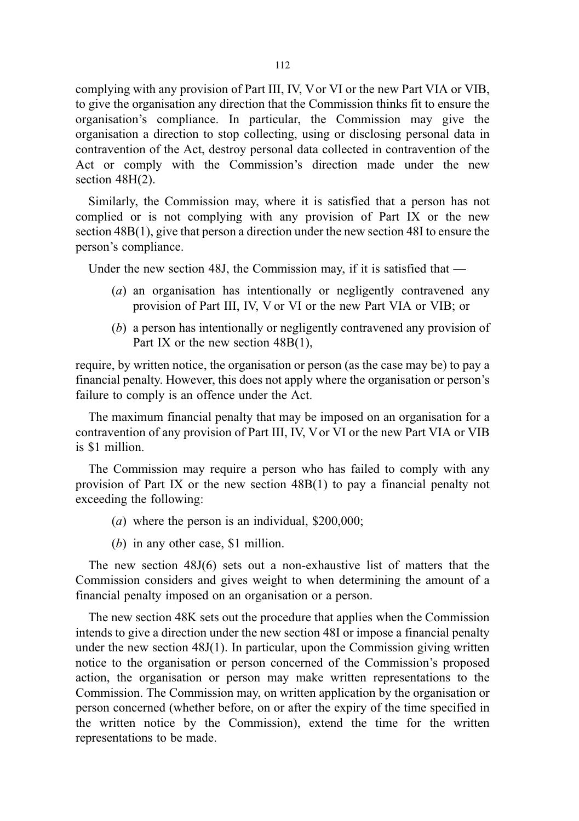complying with any provision of Part III, IV, V or VI or the new Part VIA or VIB, to give the organisation any direction that the Commission thinks fit to ensure the organisation's compliance. In particular, the Commission may give the organisation a direction to stop collecting, using or disclosing personal data in contravention of the Act, destroy personal data collected in contravention of the Act or comply with the Commission's direction made under the new section 48H(2).

Similarly, the Commission may, where it is satisfied that a person has not complied or is not complying with any provision of Part IX or the new section 48B(1), give that person a direction under the new section 48I to ensure the person's compliance.

Under the new section 48J, the Commission may, if it is satisfied that  $-$ 

- (a) an organisation has intentionally or negligently contravened any provision of Part III, IV, V or VI or the new Part VIA or VIB; or
- (b) a person has intentionally or negligently contravened any provision of Part IX or the new section 48B(1).

require, by written notice, the organisation or person (as the case may be) to pay a financial penalty. However, this does not apply where the organisation or person's failure to comply is an offence under the Act.

The maximum financial penalty that may be imposed on an organisation for a contravention of any provision of Part III, IV, V or VI or the new Part VIA or VIB is \$1 million.

The Commission may require a person who has failed to comply with any provision of Part IX or the new section 48B(1) to pay a financial penalty not exceeding the following:

- (a) where the person is an individual, \$200,000;
- (b) in any other case, \$1 million.

The new section 48J(6) sets out a non-exhaustive list of matters that the Commission considers and gives weight to when determining the amount of a financial penalty imposed on an organisation or a person.

The new section 48K sets out the procedure that applies when the Commission intends to give a direction under the new section 48I or impose a financial penalty under the new section 48J(1). In particular, upon the Commission giving written notice to the organisation or person concerned of the Commission's proposed action, the organisation or person may make written representations to the Commission. The Commission may, on written application by the organisation or person concerned (whether before, on or after the expiry of the time specified in the written notice by the Commission), extend the time for the written representations to be made.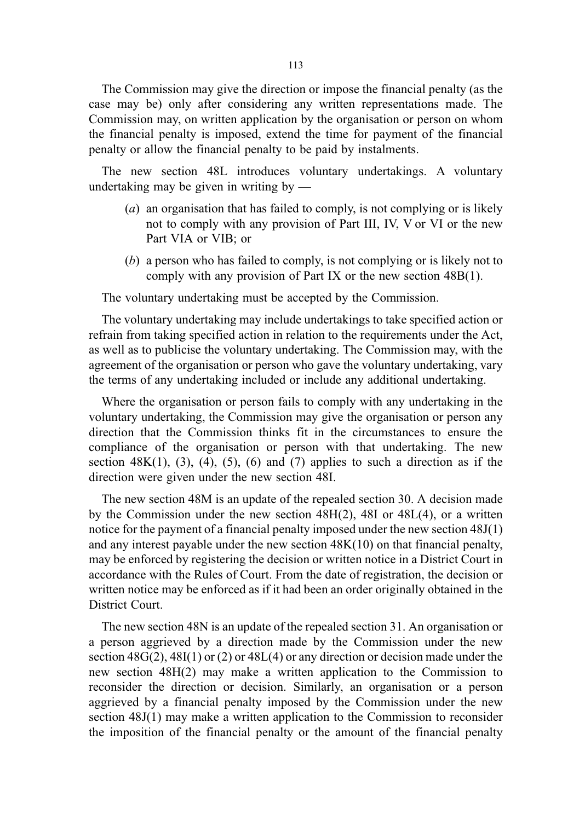The Commission may give the direction or impose the financial penalty (as the case may be) only after considering any written representations made. The Commission may, on written application by the organisation or person on whom the financial penalty is imposed, extend the time for payment of the financial penalty or allow the financial penalty to be paid by instalments.

The new section 48L introduces voluntary undertakings. A voluntary undertaking may be given in writing by —

- (a) an organisation that has failed to comply, is not complying or is likely not to comply with any provision of Part III, IV, V or VI or the new Part VIA or VIB; or
- (b) a person who has failed to comply, is not complying or is likely not to comply with any provision of Part IX or the new section 48B(1).

The voluntary undertaking must be accepted by the Commission.

The voluntary undertaking may include undertakings to take specified action or refrain from taking specified action in relation to the requirements under the Act, as well as to publicise the voluntary undertaking. The Commission may, with the agreement of the organisation or person who gave the voluntary undertaking, vary the terms of any undertaking included or include any additional undertaking.

Where the organisation or person fails to comply with any undertaking in the voluntary undertaking, the Commission may give the organisation or person any direction that the Commission thinks fit in the circumstances to ensure the compliance of the organisation or person with that undertaking. The new section  $48K(1)$ ,  $(3)$ ,  $(4)$ ,  $(5)$ ,  $(6)$  and  $(7)$  applies to such a direction as if the direction were given under the new section 48I.

The new section 48M is an update of the repealed section 30. A decision made by the Commission under the new section 48H(2), 48I or 48L(4), or a written notice for the payment of a financial penalty imposed under the new section 48J(1) and any interest payable under the new section 48K(10) on that financial penalty, may be enforced by registering the decision or written notice in a District Court in accordance with the Rules of Court. From the date of registration, the decision or written notice may be enforced as if it had been an order originally obtained in the District Court.

The new section 48N is an update of the repealed section 31. An organisation or a person aggrieved by a direction made by the Commission under the new section 48G(2), 48I(1) or (2) or 48L(4) or any direction or decision made under the new section 48H(2) may make a written application to the Commission to reconsider the direction or decision. Similarly, an organisation or a person aggrieved by a financial penalty imposed by the Commission under the new section 48J(1) may make a written application to the Commission to reconsider the imposition of the financial penalty or the amount of the financial penalty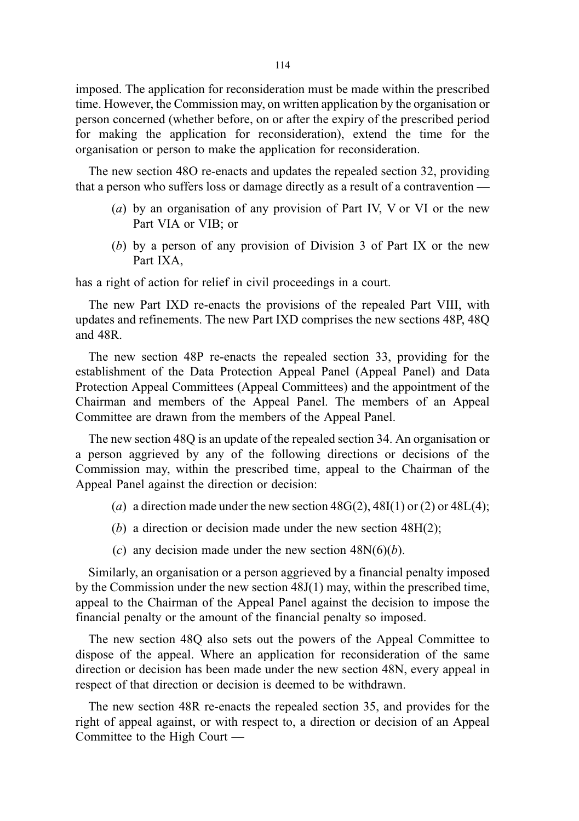imposed. The application for reconsideration must be made within the prescribed time. However, the Commission may, on written application by the organisation or person concerned (whether before, on or after the expiry of the prescribed period for making the application for reconsideration), extend the time for the organisation or person to make the application for reconsideration.

The new section 48O re-enacts and updates the repealed section 32, providing that a person who suffers loss or damage directly as a result of a contravention —

- (a) by an organisation of any provision of Part IV, V or VI or the new Part VIA or VIB; or
- (b) by a person of any provision of Division 3 of Part IX or the new Part IXA,

has a right of action for relief in civil proceedings in a court.

The new Part IXD re-enacts the provisions of the repealed Part VIII, with updates and refinements. The new Part IXD comprises the new sections 48P, 48Q and 48R.

The new section 48P re-enacts the repealed section 33, providing for the establishment of the Data Protection Appeal Panel (Appeal Panel) and Data Protection Appeal Committees (Appeal Committees) and the appointment of the Chairman and members of the Appeal Panel. The members of an Appeal Committee are drawn from the members of the Appeal Panel.

The new section 48Q is an update of the repealed section 34. An organisation or a person aggrieved by any of the following directions or decisions of the Commission may, within the prescribed time, appeal to the Chairman of the Appeal Panel against the direction or decision:

- (a) a direction made under the new section  $48G(2)$ ,  $48I(1)$  or (2) or  $48L(4)$ ;
- (b) a direction or decision made under the new section  $48H(2)$ ;
- (c) any decision made under the new section  $48N(6)(b)$ .

Similarly, an organisation or a person aggrieved by a financial penalty imposed by the Commission under the new section 48J(1) may, within the prescribed time, appeal to the Chairman of the Appeal Panel against the decision to impose the financial penalty or the amount of the financial penalty so imposed.

The new section 48Q also sets out the powers of the Appeal Committee to dispose of the appeal. Where an application for reconsideration of the same direction or decision has been made under the new section 48N, every appeal in respect of that direction or decision is deemed to be withdrawn.

The new section 48R re-enacts the repealed section 35, and provides for the right of appeal against, or with respect to, a direction or decision of an Appeal Committee to the High Court —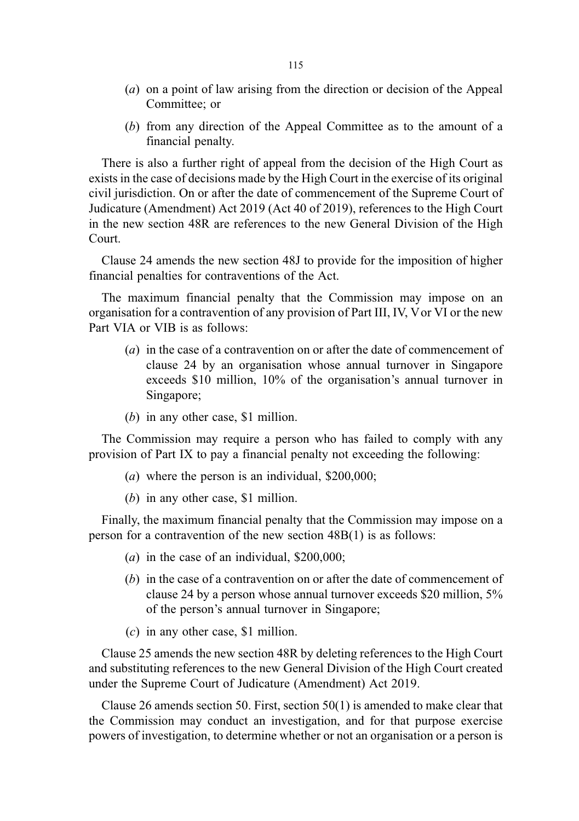- (a) on a point of law arising from the direction or decision of the Appeal Committee; or
- (b) from any direction of the Appeal Committee as to the amount of a financial penalty.

There is also a further right of appeal from the decision of the High Court as exists in the case of decisions made by the High Court in the exercise of its original civil jurisdiction. On or after the date of commencement of the Supreme Court of Judicature (Amendment) Act 2019 (Act 40 of 2019), references to the High Court in the new section 48R are references to the new General Division of the High Court.

Clause 24 amends the new section 48J to provide for the imposition of higher financial penalties for contraventions of the Act.

The maximum financial penalty that the Commission may impose on an organisation for a contravention of any provision of Part III, IV, Vor VI or the new Part VIA or VIB is as follows:

- (a) in the case of a contravention on or after the date of commencement of clause 24 by an organisation whose annual turnover in Singapore exceeds \$10 million, 10% of the organisation's annual turnover in Singapore;
- (b) in any other case, \$1 million.

The Commission may require a person who has failed to comply with any provision of Part IX to pay a financial penalty not exceeding the following:

- (a) where the person is an individual, \$200,000;
- (b) in any other case, \$1 million.

Finally, the maximum financial penalty that the Commission may impose on a person for a contravention of the new section 48B(1) is as follows:

- (a) in the case of an individual,  $$200,000$ ;
- (b) in the case of a contravention on or after the date of commencement of clause 24 by a person whose annual turnover exceeds \$20 million, 5% of the person's annual turnover in Singapore;
- (c) in any other case, \$1 million.

Clause 25 amends the new section 48R by deleting references to the High Court and substituting references to the new General Division of the High Court created under the Supreme Court of Judicature (Amendment) Act 2019.

Clause 26 amends section 50. First, section 50(1) is amended to make clear that the Commission may conduct an investigation, and for that purpose exercise powers of investigation, to determine whether or not an organisation or a person is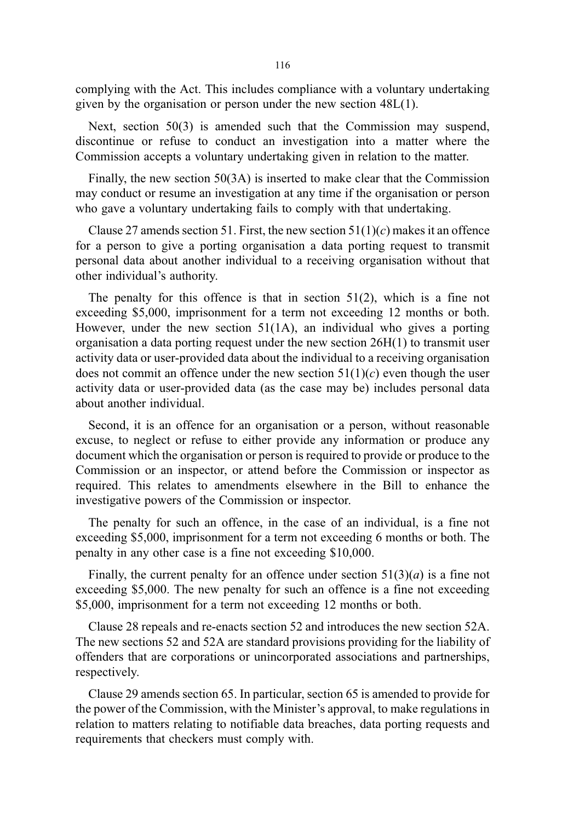complying with the Act. This includes compliance with a voluntary undertaking given by the organisation or person under the new section 48L(1).

Next, section 50(3) is amended such that the Commission may suspend, discontinue or refuse to conduct an investigation into a matter where the Commission accepts a voluntary undertaking given in relation to the matter.

Finally, the new section 50(3A) is inserted to make clear that the Commission may conduct or resume an investigation at any time if the organisation or person who gave a voluntary undertaking fails to comply with that undertaking.

Clause 27 amends section 51. First, the new section  $51(1)(c)$  makes it an offence for a person to give a porting organisation a data porting request to transmit personal data about another individual to a receiving organisation without that other individual's authority.

The penalty for this offence is that in section 51(2), which is a fine not exceeding \$5,000, imprisonment for a term not exceeding 12 months or both. However, under the new section 51(1A), an individual who gives a porting organisation a data porting request under the new section 26H(1) to transmit user activity data or user-provided data about the individual to a receiving organisation does not commit an offence under the new section  $51(1)(c)$  even though the user activity data or user-provided data (as the case may be) includes personal data about another individual.

Second, it is an offence for an organisation or a person, without reasonable excuse, to neglect or refuse to either provide any information or produce any document which the organisation or person is required to provide or produce to the Commission or an inspector, or attend before the Commission or inspector as required. This relates to amendments elsewhere in the Bill to enhance the investigative powers of the Commission or inspector.

The penalty for such an offence, in the case of an individual, is a fine not exceeding \$5,000, imprisonment for a term not exceeding 6 months or both. The penalty in any other case is a fine not exceeding \$10,000.

Finally, the current penalty for an offence under section  $51(3)(a)$  is a fine not exceeding \$5,000. The new penalty for such an offence is a fine not exceeding \$5,000, imprisonment for a term not exceeding 12 months or both.

Clause 28 repeals and re-enacts section 52 and introduces the new section 52A. The new sections 52 and 52A are standard provisions providing for the liability of offenders that are corporations or unincorporated associations and partnerships, respectively.

Clause 29 amends section 65. In particular, section 65 is amended to provide for the power of the Commission, with the Minister's approval, to make regulations in relation to matters relating to notifiable data breaches, data porting requests and requirements that checkers must comply with.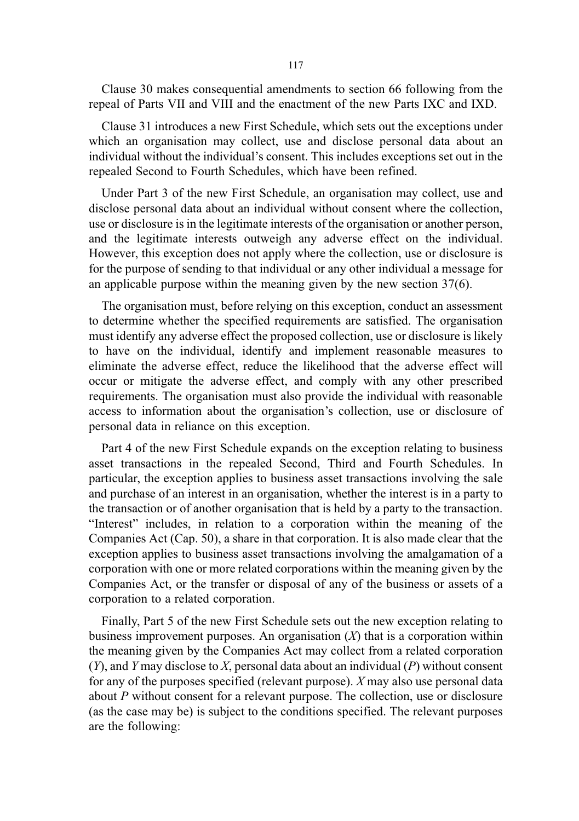Clause 30 makes consequential amendments to section 66 following from the repeal of Parts VII and VIII and the enactment of the new Parts IXC and IXD.

Clause 31 introduces a new First Schedule, which sets out the exceptions under which an organisation may collect, use and disclose personal data about an individual without the individual's consent. This includes exceptions set out in the repealed Second to Fourth Schedules, which have been refined.

Under Part 3 of the new First Schedule, an organisation may collect, use and disclose personal data about an individual without consent where the collection, use or disclosure is in the legitimate interests of the organisation or another person, and the legitimate interests outweigh any adverse effect on the individual. However, this exception does not apply where the collection, use or disclosure is for the purpose of sending to that individual or any other individual a message for an applicable purpose within the meaning given by the new section 37(6).

The organisation must, before relying on this exception, conduct an assessment to determine whether the specified requirements are satisfied. The organisation must identify any adverse effect the proposed collection, use or disclosure is likely to have on the individual, identify and implement reasonable measures to eliminate the adverse effect, reduce the likelihood that the adverse effect will occur or mitigate the adverse effect, and comply with any other prescribed requirements. The organisation must also provide the individual with reasonable access to information about the organisation's collection, use or disclosure of personal data in reliance on this exception.

Part 4 of the new First Schedule expands on the exception relating to business asset transactions in the repealed Second, Third and Fourth Schedules. In particular, the exception applies to business asset transactions involving the sale and purchase of an interest in an organisation, whether the interest is in a party to the transaction or of another organisation that is held by a party to the transaction. "Interest" includes, in relation to a corporation within the meaning of the Companies Act (Cap. 50), a share in that corporation. It is also made clear that the exception applies to business asset transactions involving the amalgamation of a corporation with one or more related corporations within the meaning given by the Companies Act, or the transfer or disposal of any of the business or assets of a corporation to a related corporation.

Finally, Part 5 of the new First Schedule sets out the new exception relating to business improvement purposes. An organisation  $(X)$  that is a corporation within the meaning given by the Companies Act may collect from a related corporation  $(Y)$ , and Y may disclose to X, personal data about an individual  $(P)$  without consent for any of the purposes specified (relevant purpose).  $X$  may also use personal data about P without consent for a relevant purpose. The collection, use or disclosure (as the case may be) is subject to the conditions specified. The relevant purposes are the following: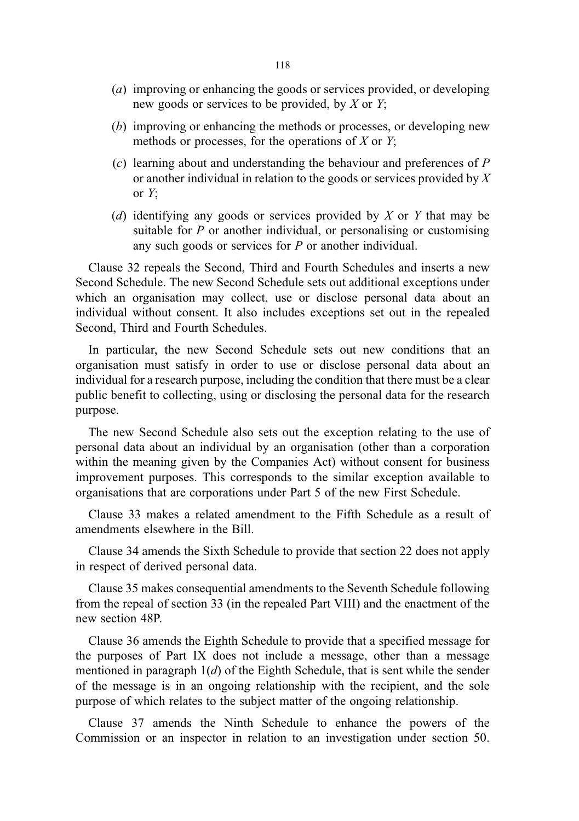- (a) improving or enhancing the goods or services provided, or developing new goods or services to be provided, by X or  $Y$ ;
- (b) improving or enhancing the methods or processes, or developing new methods or processes, for the operations of  $X$  or  $Y$ ;
- (c) learning about and understanding the behaviour and preferences of P or another individual in relation to the goods or services provided by X or  $Y$ :
- (d) identifying any goods or services provided by  $X$  or  $Y$  that may be suitable for  $P$  or another individual, or personalising or customising any such goods or services for P or another individual.

Clause 32 repeals the Second, Third and Fourth Schedules and inserts a new Second Schedule. The new Second Schedule sets out additional exceptions under which an organisation may collect, use or disclose personal data about an individual without consent. It also includes exceptions set out in the repealed Second, Third and Fourth Schedules.

In particular, the new Second Schedule sets out new conditions that an organisation must satisfy in order to use or disclose personal data about an individual for a research purpose, including the condition that there must be a clear public benefit to collecting, using or disclosing the personal data for the research purpose.

The new Second Schedule also sets out the exception relating to the use of personal data about an individual by an organisation (other than a corporation within the meaning given by the Companies Act) without consent for business improvement purposes. This corresponds to the similar exception available to organisations that are corporations under Part 5 of the new First Schedule.

Clause 33 makes a related amendment to the Fifth Schedule as a result of amendments elsewhere in the Bill.

Clause 34 amends the Sixth Schedule to provide that section 22 does not apply in respect of derived personal data.

Clause 35 makes consequential amendments to the Seventh Schedule following from the repeal of section 33 (in the repealed Part VIII) and the enactment of the new section 48P.

Clause 36 amends the Eighth Schedule to provide that a specified message for the purposes of Part IX does not include a message, other than a message mentioned in paragraph  $1(d)$  of the Eighth Schedule, that is sent while the sender of the message is in an ongoing relationship with the recipient, and the sole purpose of which relates to the subject matter of the ongoing relationship.

Clause 37 amends the Ninth Schedule to enhance the powers of the Commission or an inspector in relation to an investigation under section 50.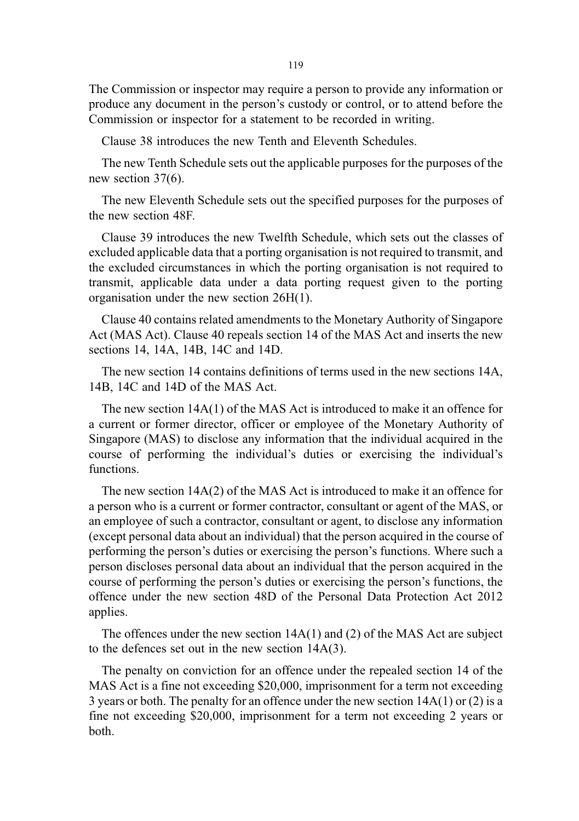The Commission or inspector may require a person to provide any information or produce any document in the person's custody or control, or to attend before the Commission or inspector for a statement to be recorded in writing.

Clause 38 introduces the new Tenth and Eleventh Schedules.

The new Tenth Schedule sets out the applicable purposes for the purposes of the new section 37(6).

The new Eleventh Schedule sets out the specified purposes for the purposes of the new section 48F.

Clause 39 introduces the new Twelfth Schedule, which sets out the classes of excluded applicable data that a porting organisation is not required to transmit, and the excluded circumstances in which the porting organisation is not required to transmit, applicable data under a data porting request given to the porting organisation under the new section 26H(1).

Clause 40 contains related amendments to the Monetary Authority of Singapore Act (MAS Act). Clause 40 repeals section 14 of the MAS Act and inserts the new sections 14, 14A, 14B, 14C and 14D.

The new section 14 contains definitions of terms used in the new sections 14A, 14B, 14C and 14D of the MAS Act.

The new section 14A(1) of the MAS Act is introduced to make it an offence for a current or former director, officer or employee of the Monetary Authority of Singapore (MAS) to disclose any information that the individual acquired in the course of performing the individual's duties or exercising the individual's functions.

The new section 14A(2) of the MAS Act is introduced to make it an offence for a person who is a current or former contractor, consultant or agent of the MAS, or an employee of such a contractor, consultant or agent, to disclose any information (except personal data about an individual) that the person acquired in the course of performing the person's duties or exercising the person's functions. Where such a person discloses personal data about an individual that the person acquired in the course of performing the person's duties or exercising the person's functions, the offence under the new section 48D of the Personal Data Protection Act 2012 applies.

The offences under the new section 14A(1) and (2) of the MAS Act are subject to the defences set out in the new section 14A(3).

The penalty on conviction for an offence under the repealed section 14 of the MAS Act is a fine not exceeding \$20,000, imprisonment for a term not exceeding 3 years or both. The penalty for an offence under the new section 14A(1) or (2) is a fine not exceeding \$20,000, imprisonment for a term not exceeding 2 years or both.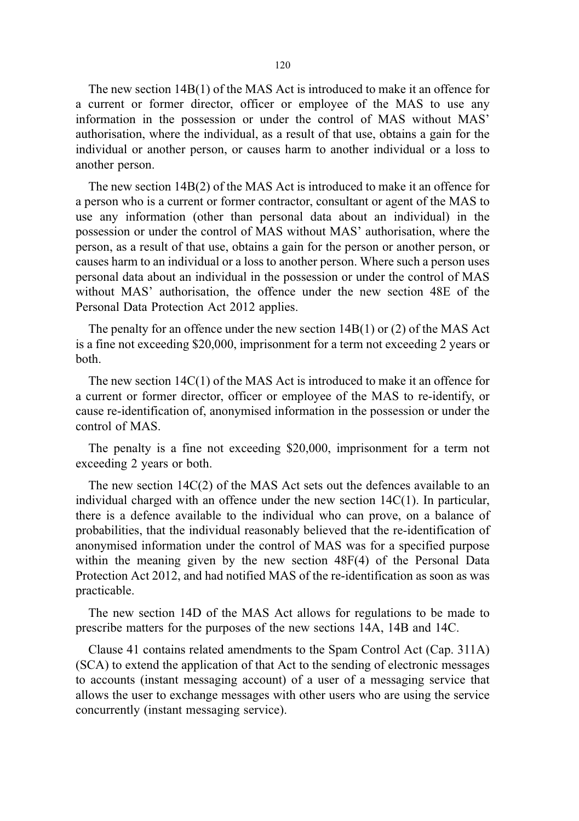The new section 14B(1) of the MAS Act is introduced to make it an offence for a current or former director, officer or employee of the MAS to use any information in the possession or under the control of MAS without MAS' authorisation, where the individual, as a result of that use, obtains a gain for the individual or another person, or causes harm to another individual or a loss to another person.

The new section 14B(2) of the MAS Act is introduced to make it an offence for a person who is a current or former contractor, consultant or agent of the MAS to use any information (other than personal data about an individual) in the possession or under the control of MAS without MAS' authorisation, where the person, as a result of that use, obtains a gain for the person or another person, or causes harm to an individual or a loss to another person. Where such a person uses personal data about an individual in the possession or under the control of MAS without MAS' authorisation, the offence under the new section 48E of the Personal Data Protection Act 2012 applies.

The penalty for an offence under the new section 14B(1) or (2) of the MAS Act is a fine not exceeding \$20,000, imprisonment for a term not exceeding 2 years or both.

The new section 14C(1) of the MAS Act is introduced to make it an offence for a current or former director, officer or employee of the MAS to re-identify, or cause re-identification of, anonymised information in the possession or under the control of MAS.

The penalty is a fine not exceeding \$20,000, imprisonment for a term not exceeding 2 years or both.

The new section 14C(2) of the MAS Act sets out the defences available to an individual charged with an offence under the new section  $14C(1)$ . In particular, there is a defence available to the individual who can prove, on a balance of probabilities, that the individual reasonably believed that the re-identification of anonymised information under the control of MAS was for a specified purpose within the meaning given by the new section 48F(4) of the Personal Data Protection Act 2012, and had notified MAS of the re-identification as soon as was practicable.

The new section 14D of the MAS Act allows for regulations to be made to prescribe matters for the purposes of the new sections 14A, 14B and 14C.

Clause 41 contains related amendments to the Spam Control Act (Cap. 311A) (SCA) to extend the application of that Act to the sending of electronic messages to accounts (instant messaging account) of a user of a messaging service that allows the user to exchange messages with other users who are using the service concurrently (instant messaging service).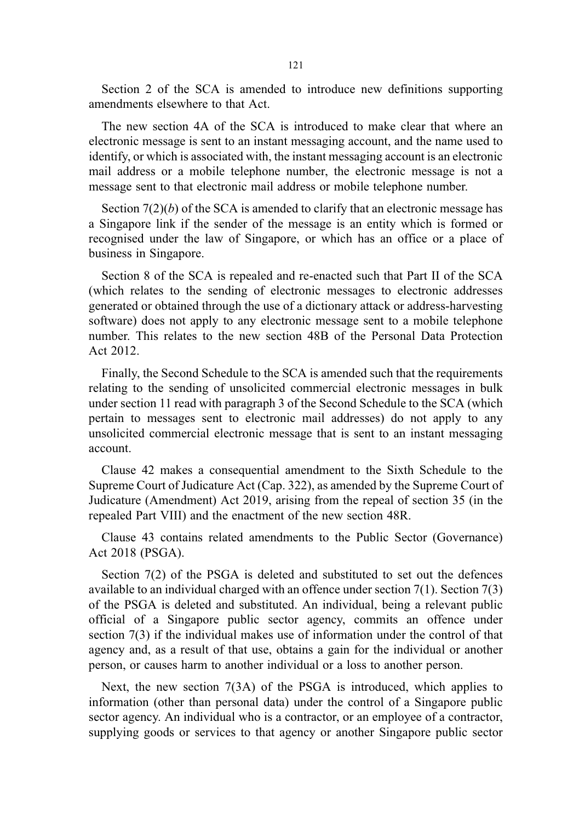Section 2 of the SCA is amended to introduce new definitions supporting amendments elsewhere to that Act.

The new section 4A of the SCA is introduced to make clear that where an electronic message is sent to an instant messaging account, and the name used to identify, or which is associated with, the instant messaging account is an electronic mail address or a mobile telephone number, the electronic message is not a message sent to that electronic mail address or mobile telephone number.

Section  $7(2)(b)$  of the SCA is amended to clarify that an electronic message has a Singapore link if the sender of the message is an entity which is formed or recognised under the law of Singapore, or which has an office or a place of business in Singapore.

Section 8 of the SCA is repealed and re-enacted such that Part II of the SCA (which relates to the sending of electronic messages to electronic addresses generated or obtained through the use of a dictionary attack or address-harvesting software) does not apply to any electronic message sent to a mobile telephone number. This relates to the new section 48B of the Personal Data Protection Act 2012.

Finally, the Second Schedule to the SCA is amended such that the requirements relating to the sending of unsolicited commercial electronic messages in bulk under section 11 read with paragraph 3 of the Second Schedule to the SCA (which pertain to messages sent to electronic mail addresses) do not apply to any unsolicited commercial electronic message that is sent to an instant messaging account.

Clause 42 makes a consequential amendment to the Sixth Schedule to the Supreme Court of Judicature Act (Cap. 322), as amended by the Supreme Court of Judicature (Amendment) Act 2019, arising from the repeal of section 35 (in the repealed Part VIII) and the enactment of the new section 48R.

Clause 43 contains related amendments to the Public Sector (Governance) Act 2018 (PSGA).

Section 7(2) of the PSGA is deleted and substituted to set out the defences available to an individual charged with an offence under section 7(1). Section 7(3) of the PSGA is deleted and substituted. An individual, being a relevant public official of a Singapore public sector agency, commits an offence under section 7(3) if the individual makes use of information under the control of that agency and, as a result of that use, obtains a gain for the individual or another person, or causes harm to another individual or a loss to another person.

Next, the new section 7(3A) of the PSGA is introduced, which applies to information (other than personal data) under the control of a Singapore public sector agency. An individual who is a contractor, or an employee of a contractor, supplying goods or services to that agency or another Singapore public sector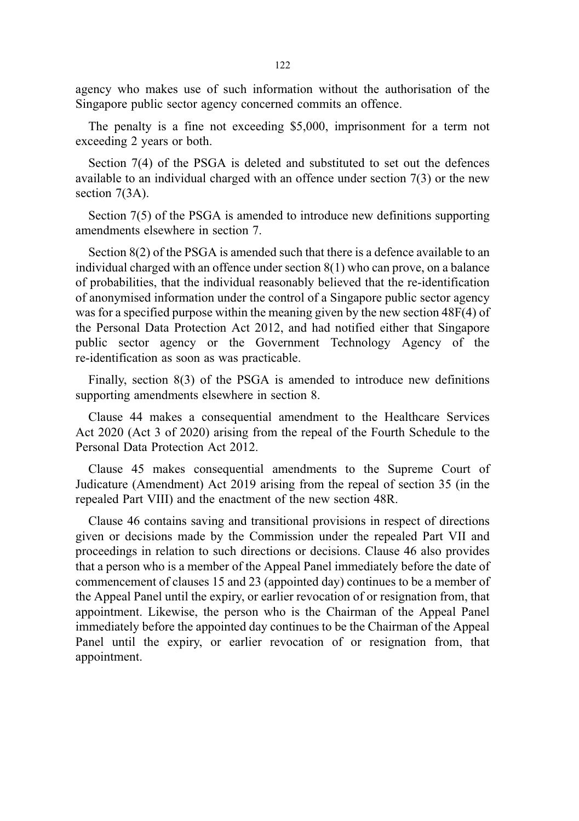agency who makes use of such information without the authorisation of the Singapore public sector agency concerned commits an offence.

The penalty is a fine not exceeding \$5,000, imprisonment for a term not exceeding 2 years or both.

Section 7(4) of the PSGA is deleted and substituted to set out the defences available to an individual charged with an offence under section 7(3) or the new section 7(3A).

Section 7(5) of the PSGA is amended to introduce new definitions supporting amendments elsewhere in section 7.

Section 8(2) of the PSGA is amended such that there is a defence available to an individual charged with an offence under section 8(1) who can prove, on a balance of probabilities, that the individual reasonably believed that the re-identification of anonymised information under the control of a Singapore public sector agency was for a specified purpose within the meaning given by the new section 48F(4) of the Personal Data Protection Act 2012, and had notified either that Singapore public sector agency or the Government Technology Agency of the re-identification as soon as was practicable.

Finally, section 8(3) of the PSGA is amended to introduce new definitions supporting amendments elsewhere in section 8.

Clause 44 makes a consequential amendment to the Healthcare Services Act 2020 (Act 3 of 2020) arising from the repeal of the Fourth Schedule to the Personal Data Protection Act 2012.

Clause 45 makes consequential amendments to the Supreme Court of Judicature (Amendment) Act 2019 arising from the repeal of section 35 (in the repealed Part VIII) and the enactment of the new section 48R.

Clause 46 contains saving and transitional provisions in respect of directions given or decisions made by the Commission under the repealed Part VII and proceedings in relation to such directions or decisions. Clause 46 also provides that a person who is a member of the Appeal Panel immediately before the date of commencement of clauses 15 and 23 (appointed day) continues to be a member of the Appeal Panel until the expiry, or earlier revocation of or resignation from, that appointment. Likewise, the person who is the Chairman of the Appeal Panel immediately before the appointed day continues to be the Chairman of the Appeal Panel until the expiry, or earlier revocation of or resignation from, that appointment.